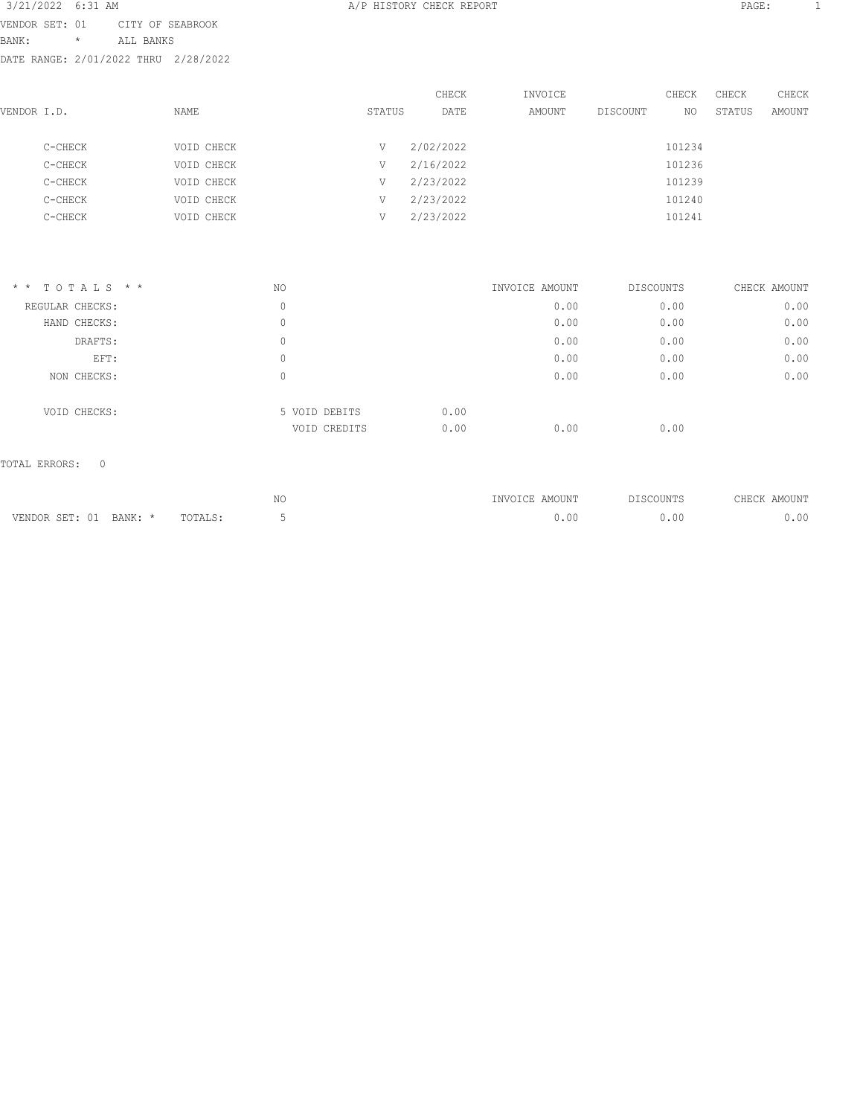| 3/21/2022 6:31 AM                    |         |                  |            |        | A/P HISTORY CHECK REPORT |         |          |        | PAGE:  |        |  |
|--------------------------------------|---------|------------------|------------|--------|--------------------------|---------|----------|--------|--------|--------|--|
| VENDOR SET: 01                       |         | CITY OF SEABROOK |            |        |                          |         |          |        |        |        |  |
| BANK:                                | $\star$ | ALL BANKS        |            |        |                          |         |          |        |        |        |  |
| DATE RANGE: 2/01/2022 THRU 2/28/2022 |         |                  |            |        |                          |         |          |        |        |        |  |
|                                      |         |                  |            |        | CHECK                    | INVOICE |          | CHECK  | CHECK  | CHECK  |  |
| VENDOR I.D.                          |         |                  | NAME       | STATUS | DATE                     | AMOUNT  | DISCOUNT | NO.    | STATUS | AMOUNT |  |
| C-CHECK                              |         |                  | VOID CHECK | V      | 2/02/2022                |         |          | 101234 |        |        |  |
| C-CHECK                              |         |                  | VOID CHECK | V      | 2/16/2022                |         |          | 101236 |        |        |  |
| C-CHECK                              |         |                  | VOID CHECK | V      | 2/23/2022                |         |          | 101239 |        |        |  |
| C-CHECK                              |         |                  | VOID CHECK | V      | 2/23/2022                |         |          | 101240 |        |        |  |
| C-CHECK                              |         |                  | VOID CHECK | V      | 2/23/2022                |         |          | 101241 |        |        |  |

| $*$ * TOTALS * * | NO |               | INVOICE AMOUNT | <b>DISCOUNTS</b> | CHECK AMOUNT |
|------------------|----|---------------|----------------|------------------|--------------|
| REGULAR CHECKS:  | 0  |               | 0.00           | 0.00             | 0.00         |
| HAND CHECKS:     | 0  |               | 0.00           | 0.00             | 0.00         |
| DRAFTS:          | 0  |               | 0.00           | 0.00             | 0.00         |
| EFT:             | 0  |               | 0.00           | 0.00             | 0.00         |
| NON CHECKS:      | 0  |               | 0.00           | 0.00             | 0.00         |
| VOID CHECKS:     |    | 5 VOID DEBITS | 0.00           |                  |              |
|                  |    | VOID CREDITS  | 0.00<br>0.00   | 0.00             |              |

### TOTAL ERRORS: 0

|                               |                 | 57/<br>7 V L | 10UN'   |   | $- - -$<br>7. A A<br><b>HH</b> |
|-------------------------------|-----------------|--------------|---------|---|--------------------------------|
| ,,,,,,,,,<br>- BANN.<br>שו זו | ™∩ጥ∧<br>1011110 |              | , . v v | . | $\sim$ $\sim$                  |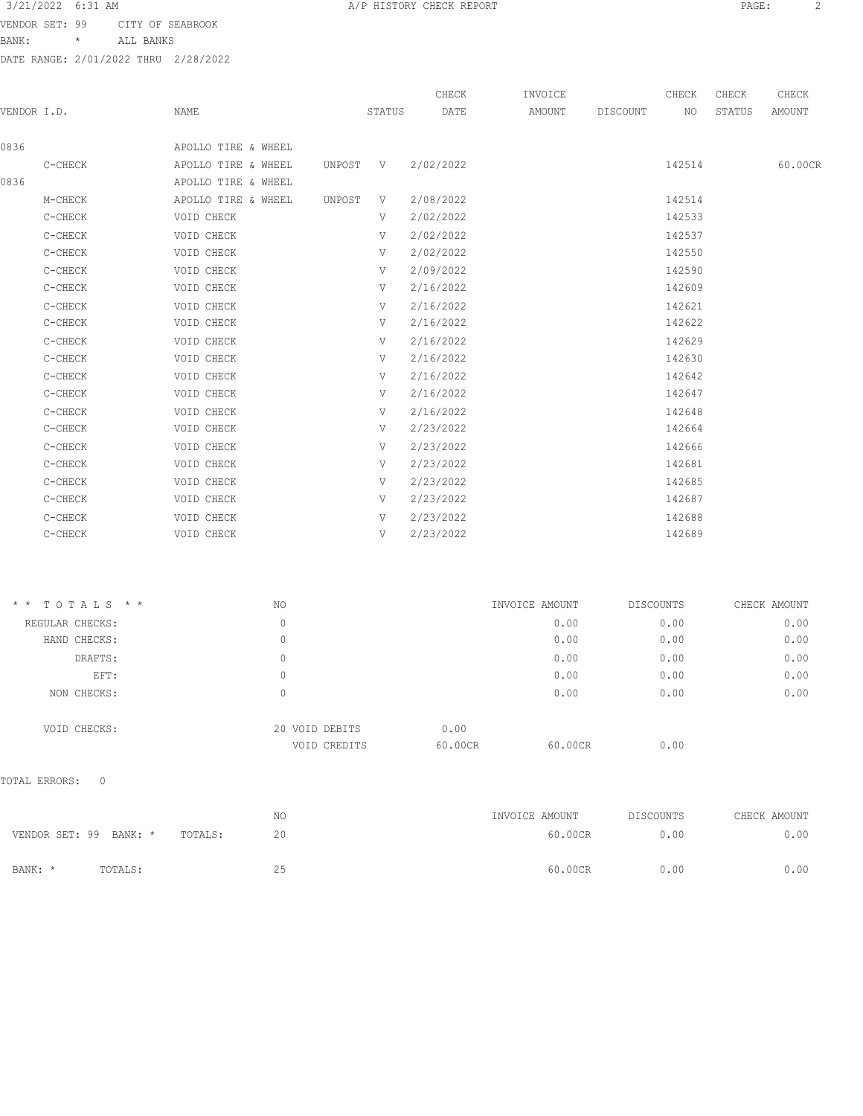VENDOR SET: 99 CITY OF SEABROOK

BANK: \* ALL BANKS

DATE RANGE: 2/01/2022 THRU 2/28/2022

|             |         |                     |          |        | CHECK     | INVOICE |          | CHECK  | CHECK  | CHECK   |
|-------------|---------|---------------------|----------|--------|-----------|---------|----------|--------|--------|---------|
| VENDOR I.D. |         | NAME                |          | STATUS | DATE      | AMOUNT  | DISCOUNT | NO     | STATUS | AMOUNT  |
| 0836        |         | APOLLO TIRE & WHEEL |          |        |           |         |          |        |        |         |
|             | C-CHECK | APOLLO TIRE & WHEEL | UNPOST V |        | 2/02/2022 |         |          | 142514 |        | 60.00CR |
| 0836        |         | APOLLO TIRE & WHEEL |          |        |           |         |          |        |        |         |
|             | M-CHECK | APOLLO TIRE & WHEEL | UNPOST   | V      | 2/08/2022 |         |          | 142514 |        |         |
|             | C-CHECK | VOID CHECK          |          | V      | 2/02/2022 |         |          | 142533 |        |         |
|             | C-CHECK | VOID CHECK          |          | V      | 2/02/2022 |         |          | 142537 |        |         |
|             | C-CHECK | VOID CHECK          |          | V      | 2/02/2022 |         |          | 142550 |        |         |
|             | C-CHECK | VOID CHECK          |          | V      | 2/09/2022 |         |          | 142590 |        |         |
|             | C-CHECK | VOID CHECK          |          | V      | 2/16/2022 |         |          | 142609 |        |         |
|             | C-CHECK | VOID CHECK          |          | V      | 2/16/2022 |         |          | 142621 |        |         |
|             | C-CHECK | VOID CHECK          |          | V      | 2/16/2022 |         |          | 142622 |        |         |
|             | C-CHECK | VOID CHECK          |          | V      | 2/16/2022 |         |          | 142629 |        |         |
|             | C-CHECK | VOID CHECK          |          | V      | 2/16/2022 |         |          | 142630 |        |         |
|             | C-CHECK | VOID CHECK          |          | V      | 2/16/2022 |         |          | 142642 |        |         |
|             | C-CHECK | VOID CHECK          |          | V      | 2/16/2022 |         |          | 142647 |        |         |
|             | C-CHECK | VOID CHECK          |          | V      | 2/16/2022 |         |          | 142648 |        |         |
|             | C-CHECK | VOID CHECK          |          | V      | 2/23/2022 |         |          | 142664 |        |         |
|             | C-CHECK | VOID CHECK          |          | V      | 2/23/2022 |         |          | 142666 |        |         |
|             | C-CHECK | VOID CHECK          |          | V      | 2/23/2022 |         |          | 142681 |        |         |
|             | C-CHECK | VOID CHECK          |          | V      | 2/23/2022 |         |          | 142685 |        |         |
|             | C-CHECK | VOID CHECK          |          | V      | 2/23/2022 |         |          | 142687 |        |         |
|             | C-CHECK | VOID CHECK          |          | V      | 2/23/2022 |         |          | 142688 |        |         |
|             | C-CHECK | VOID CHECK          |          | V      | 2/23/2022 |         |          | 142689 |        |         |
|             |         |                     |          |        |           |         |          |        |        |         |

| $*$ * TOTALS * * | NO                             | INVOICE AMOUNT             | DISCOUNTS | CHECK AMOUNT |
|------------------|--------------------------------|----------------------------|-----------|--------------|
| REGULAR CHECKS:  | 0                              | 0.00                       | 0.00      | 0.00         |
| HAND CHECKS:     | 0                              | 0.00                       | 0.00      | 0.00         |
| DRAFTS:          | 0                              | 0.00                       | 0.00      | 0.00         |
| EFT:             | 0                              | 0.00                       | 0.00      | 0.00         |
| NON CHECKS:      | 0                              | 0.00                       | 0.00      | 0.00         |
| VOID CHECKS:     | 20 VOID DEBITS<br>VOID CREDITS | 0.00<br>60.00CR<br>60.00CR | 0.00      |              |

TOTAL ERRORS: 0

|                        |         |         | NΟ | INVOICE AMOUNT | DISCOUNTS | CHECK AMOUNT |
|------------------------|---------|---------|----|----------------|-----------|--------------|
| VENDOR SET: 99 BANK: * |         | TOTALS: | 20 | 60.00CR        | 0.00      | 0.00         |
|                        |         |         |    |                |           |              |
| BANK: *                | TOTALS: |         | 25 | 60.00CR        | 0.00      | 0.00         |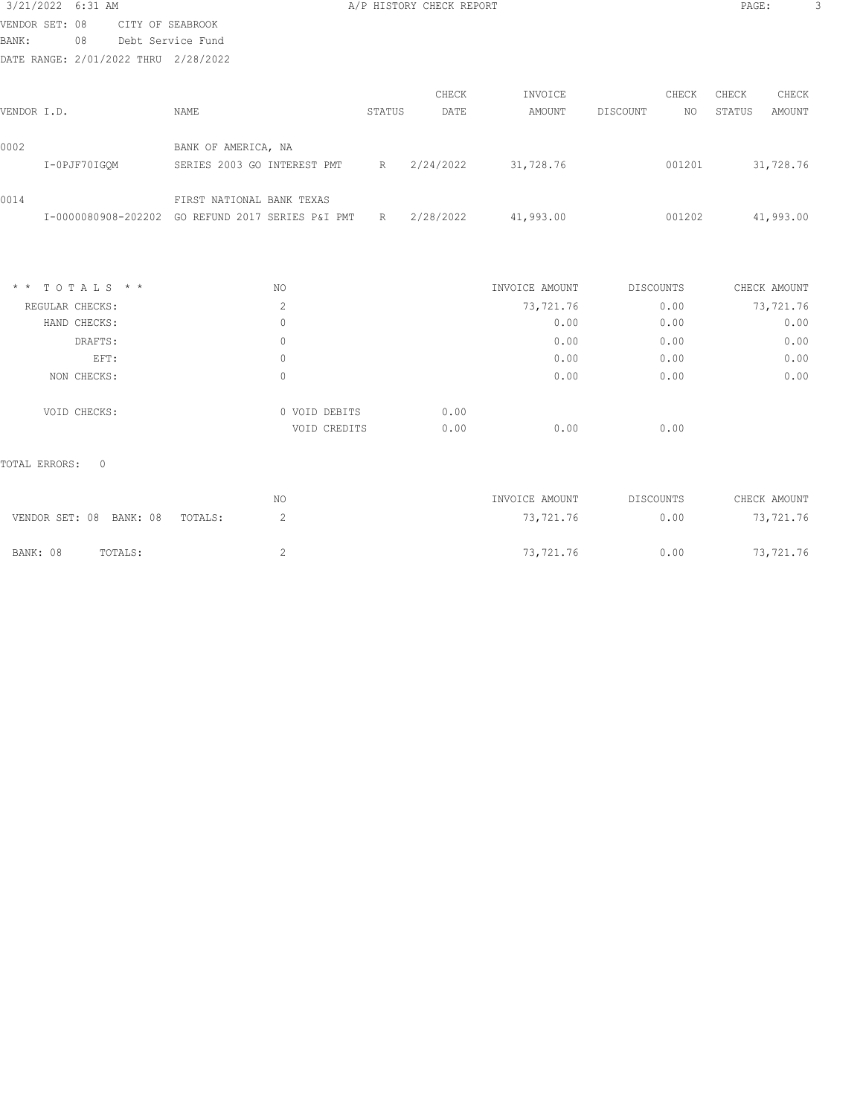| 3/21/2022 6:31 AM |                 |                                                               |                |        | A/P HISTORY CHECK REPORT |                |           |        | PAGE:  |              |  |
|-------------------|-----------------|---------------------------------------------------------------|----------------|--------|--------------------------|----------------|-----------|--------|--------|--------------|--|
| VENDOR SET: 08    |                 | CITY OF SEABROOK                                              |                |        |                          |                |           |        |        |              |  |
| <b>BANK:</b>      | 08              | Debt Service Fund                                             |                |        |                          |                |           |        |        |              |  |
|                   |                 | DATE RANGE: 2/01/2022 THRU 2/28/2022                          |                |        |                          |                |           |        |        |              |  |
|                   |                 |                                                               |                |        | CHECK                    | INVOICE        |           | CHECK  | CHECK  | CHECK        |  |
| VENDOR I.D.       |                 | NAME                                                          |                | STATUS | DATE                     | AMOUNT         | DISCOUNT  | NO     | STATUS | AMOUNT       |  |
| 0002              |                 | BANK OF AMERICA, NA                                           |                |        |                          |                |           |        |        |              |  |
|                   | I-0PJF70IGQM    | SERIES 2003 GO INTEREST PMT                                   |                | R      | 2/24/2022                | 31,728.76      |           | 001201 |        | 31,728.76    |  |
| 0014              |                 | FIRST NATIONAL BANK TEXAS                                     |                |        |                          |                |           |        |        |              |  |
|                   |                 | I-0000080908-202202 GO REFUND 2017 SERIES P&I PMT R 2/28/2022 |                |        |                          | 41,993.00      |           | 001202 |        | 41,993.00    |  |
|                   |                 |                                                               |                |        |                          |                |           |        |        |              |  |
| $*$ * TOTALS * *  |                 |                                                               | NO.            |        |                          | INVOICE AMOUNT | DISCOUNTS |        |        | CHECK AMOUNT |  |
|                   | REGULAR CHECKS: |                                                               | $\overline{c}$ |        |                          | 73,721.76      |           | 0.00   |        | 73,721.76    |  |
|                   | HAND CHECKS:    |                                                               | $\mathbf{0}$   |        |                          | 0.00           |           | 0.00   |        | 0.00         |  |
|                   | DRAFTS:         |                                                               | $\circ$        |        |                          | 0.00           |           | 0.00   |        | 0.00         |  |
|                   | EFT:            |                                                               | $\circ$        |        |                          | 0.00           |           | 0.00   |        | 0.00         |  |
|                   | NON CHECKS:     |                                                               | $\circ$        |        |                          | 0.00           |           | 0.00   |        | 0.00         |  |
|                   |                 |                                                               |                |        |                          |                |           |        |        |              |  |

TOTAL ERRORS: 0

VOID CHECKS: 0 VOID DEBITS 0.00

|                                 | NO | INVOICE AMOUNT | DISCOUNTS | CHECK AMOUNT |
|---------------------------------|----|----------------|-----------|--------------|
| VENDOR SET: 08 BANK: 08 TOTALS: |    | 73,721.76      | 0.00      | 73,721.76    |
| BANK: 08<br>TOTALS:             |    | 73,721.76      | 0.00      | 73,721.76    |

VOID CREDITS 0.00 0.00 0.00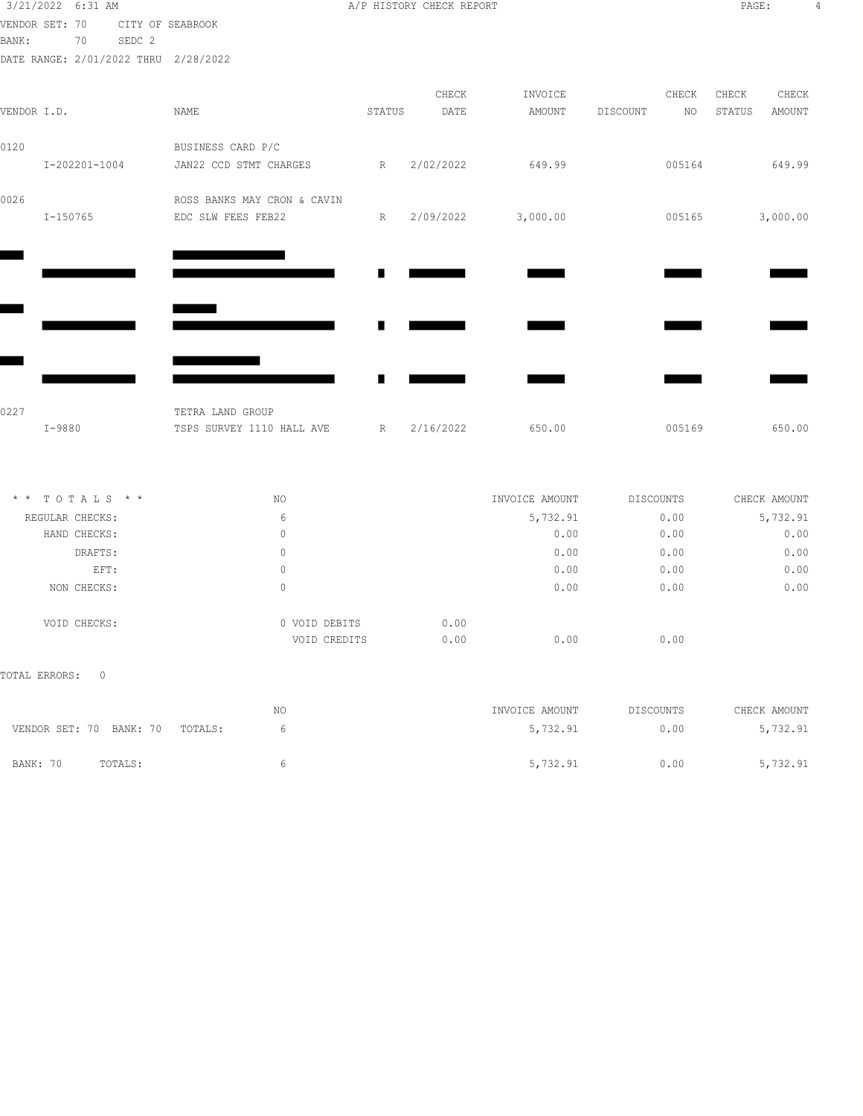| 3/21/2022 6:31 AM                    |         |                             |        | A/P HISTORY CHECK REPORT |                |                | PAGE:        | 4             |
|--------------------------------------|---------|-----------------------------|--------|--------------------------|----------------|----------------|--------------|---------------|
| VENDOR SET: 70                       |         | CITY OF SEABROOK            |        |                          |                |                |              |               |
| BANK:<br>70                          | SEDC 2  |                             |        |                          |                |                |              |               |
| DATE RANGE: 2/01/2022 THRU 2/28/2022 |         |                             |        |                          |                |                |              |               |
|                                      |         |                             |        | CHECK                    | INVOICE        | CHECK          | CHECK        | CHECK         |
| VENDOR I.D.                          |         | NAME                        | STATUS | DATE                     | AMOUNT         | DISCOUNT<br>NO | STATUS       | <b>AMOUNT</b> |
| 0120                                 |         | BUSINESS CARD P/C           |        |                          |                |                |              |               |
| $I - 202201 - 1004$                  |         | JAN22 CCD STMT CHARGES      | R      | 2/02/2022                | 649.99         | 005164         |              | 649.99        |
| 0026                                 |         | ROSS BANKS MAY CRON & CAVIN |        |                          |                |                |              |               |
| $I-150765$                           |         | EDC SLW FEES FEB22          | R      | 2/09/2022                | 3,000.00       | 005165         |              | 3,000.00      |
|                                      |         |                             |        |                          |                |                |              |               |
|                                      |         |                             |        |                          |                |                |              |               |
|                                      |         |                             |        |                          |                |                |              |               |
|                                      |         |                             |        |                          |                |                |              |               |
|                                      |         |                             |        |                          |                |                |              |               |
|                                      |         |                             |        |                          |                |                |              |               |
| 0227                                 |         | TETRA LAND GROUP            |        |                          |                |                |              |               |
| I-9880                               |         | TSPS SURVEY 1110 HALL AVE   | R      | 2/16/2022                | 650.00         | 005169         |              | 650.00        |
| * * TOTALS * *                       |         | NO                          |        |                          | INVOICE AMOUNT | DISCOUNTS      | CHECK AMOUNT |               |
| REGULAR CHECKS:                      |         | 6                           |        |                          | 5,732.91       | 0.00           |              | 5,732.91      |
| HAND CHECKS:                         |         | $\mathbf{0}$                |        |                          | 0.00           | 0.00           |              | 0.00          |
|                                      | DRAFTS: | $\mathbf{0}$                |        |                          | 0.00           | 0.00           |              | 0.00          |
|                                      | EFT:    | $\mathbf{0}$                |        |                          | 0.00           | 0.00           |              | 0.00          |
| NON CHECKS:                          |         | $\Omega$                    |        |                          | 0.00           | 0.00           |              | 0.00          |
|                                      |         |                             |        |                          |                |                |              |               |

TOTAL ERRORS: 0

VOID CHECKS: 0 VOID DEBITS 0.00

|                         |         | NΟ      | INVOICE AMOUNT | DISCOUNTS | CHECK AMOUNT |
|-------------------------|---------|---------|----------------|-----------|--------------|
| VENDOR SET: 70 BANK: 70 |         | TOTALS: | 5,732.91       | 0.00      | 5,732.91     |
|                         |         |         |                |           |              |
| BANK: 70                | TOTALS: |         | 5,732.91       | 0.00      | 5,732.91     |

VOID CREDITS 0.00 0.00 0.00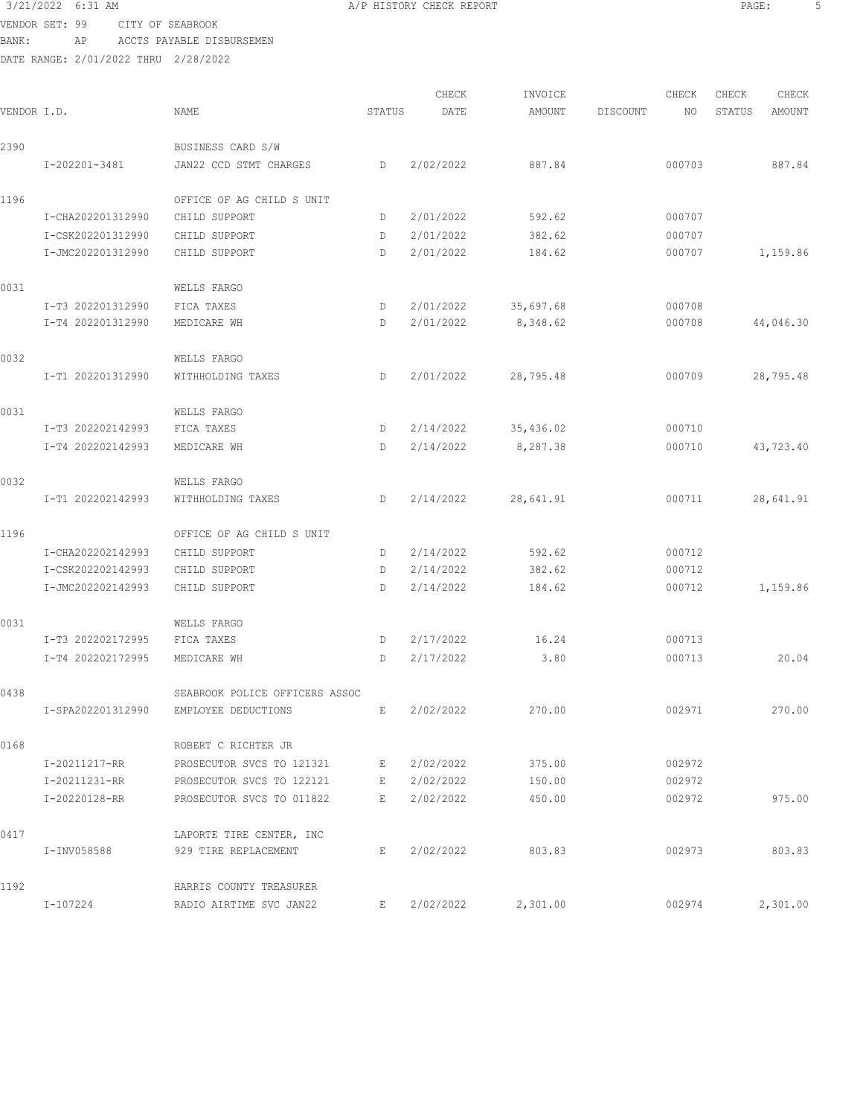## 3/21/2022 6:31 AM **BEE:** 5 VENDOR SET: 99 CITY OF SEABROOK

BANK: AP ACCTS PAYABLE DISBURSEMEN

| VENDOR I.D. |                   | <b>NAME</b>                    | STATUS | CHECK<br>DATE | INVOICE<br>AMOUNT | DISCOUNT | CHECK<br>NO. | CHECK<br>STATUS | CHECK<br>AMOUNT |
|-------------|-------------------|--------------------------------|--------|---------------|-------------------|----------|--------------|-----------------|-----------------|
|             |                   |                                |        |               |                   |          |              |                 |                 |
| 2390        |                   | BUSINESS CARD S/W              |        |               |                   |          |              |                 |                 |
|             | I-202201-3481     | JAN22 CCD STMT CHARGES         | D      | 2/02/2022     | 887.84            |          | 000703       |                 | 887.84          |
| 1196        |                   | OFFICE OF AG CHILD S UNIT      |        |               |                   |          |              |                 |                 |
|             | I-CHA202201312990 | CHILD SUPPORT                  | D      | 2/01/2022     | 592.62            |          | 000707       |                 |                 |
|             | I-CSK202201312990 | CHILD SUPPORT                  | D      | 2/01/2022     | 382.62            |          | 000707       |                 |                 |
|             | I-JMC202201312990 | CHILD SUPPORT                  | D      | 2/01/2022     | 184.62            |          | 000707       |                 | 1,159.86        |
| 0031        |                   | WELLS FARGO                    |        |               |                   |          |              |                 |                 |
|             | I-T3 202201312990 | FICA TAXES                     | D      | 2/01/2022     | 35,697.68         |          | 000708       |                 |                 |
|             | I-T4 202201312990 | MEDICARE WH                    | D      | 2/01/2022     | 8,348.62          |          | 000708       |                 | 44,046.30       |
| 0032        |                   | WELLS FARGO                    |        |               |                   |          |              |                 |                 |
|             | I-T1 202201312990 | WITHHOLDING TAXES              | D      | 2/01/2022     | 28,795.48         |          | 000709       |                 | 28,795.48       |
| 0031        |                   | WELLS FARGO                    |        |               |                   |          |              |                 |                 |
|             | I-T3 202202142993 | FICA TAXES                     | D      | 2/14/2022     | 35,436.02         |          | 000710       |                 |                 |
|             | I-T4 202202142993 | MEDICARE WH                    | D      | 2/14/2022     | 8,287.38          |          | 000710       |                 | 43,723.40       |
| 0032        |                   | WELLS FARGO                    |        |               |                   |          |              |                 |                 |
|             | I-T1 202202142993 | WITHHOLDING TAXES              | D      | 2/14/2022     | 28,641.91         |          | 000711       |                 | 28,641.91       |
| 1196        |                   | OFFICE OF AG CHILD S UNIT      |        |               |                   |          |              |                 |                 |
|             | I-CHA202202142993 | CHILD SUPPORT                  | D      | 2/14/2022     | 592.62            |          | 000712       |                 |                 |
|             | I-CSK202202142993 | CHILD SUPPORT                  | D      | 2/14/2022     | 382.62            |          | 000712       |                 |                 |
|             | I-JMC202202142993 | CHILD SUPPORT                  | D      | 2/14/2022     | 184.62            |          | 000712       |                 | 1,159.86        |
| 0031        |                   | WELLS FARGO                    |        |               |                   |          |              |                 |                 |
|             | I-T3 202202172995 | FICA TAXES                     | D      | 2/17/2022     | 16.24             |          | 000713       |                 |                 |
|             | I-T4 202202172995 | MEDICARE WH                    | D      | 2/17/2022     | 3.80              |          | 000713       |                 | 20.04           |
| 0438        |                   | SEABROOK POLICE OFFICERS ASSOC |        |               |                   |          |              |                 |                 |
|             | I-SPA202201312990 | EMPLOYEE DEDUCTIONS            | E,     | 2/02/2022     | 270.00            |          | 002971       |                 | 270.00          |
| 0168        |                   | ROBERT C RICHTER JR            |        |               |                   |          |              |                 |                 |
|             | I-20211217-RR     | PROSECUTOR SVCS TO 121321      | E      | 2/02/2022     | 375.00            |          | 002972       |                 |                 |
|             | I-20211231-RR     | PROSECUTOR SVCS TO 122121      | E      | 2/02/2022     | 150.00            |          | 002972       |                 |                 |
|             | I-20220128-RR     | PROSECUTOR SVCS TO 011822      | E      | 2/02/2022     | 450.00            |          | 002972       |                 | 975.00          |
| 0417        |                   | LAPORTE TIRE CENTER, INC       |        |               |                   |          |              |                 |                 |
|             | I-INV058588       | 929 TIRE REPLACEMENT           | E      | 2/02/2022     | 803.83            |          | 002973       |                 | 803.83          |
| 1192        |                   | HARRIS COUNTY TREASURER        |        |               |                   |          |              |                 |                 |
|             | I-107224          | RADIO AIRTIME SVC JAN22        | E      | 2/02/2022     | 2,301.00          |          | 002974       |                 | 2,301.00        |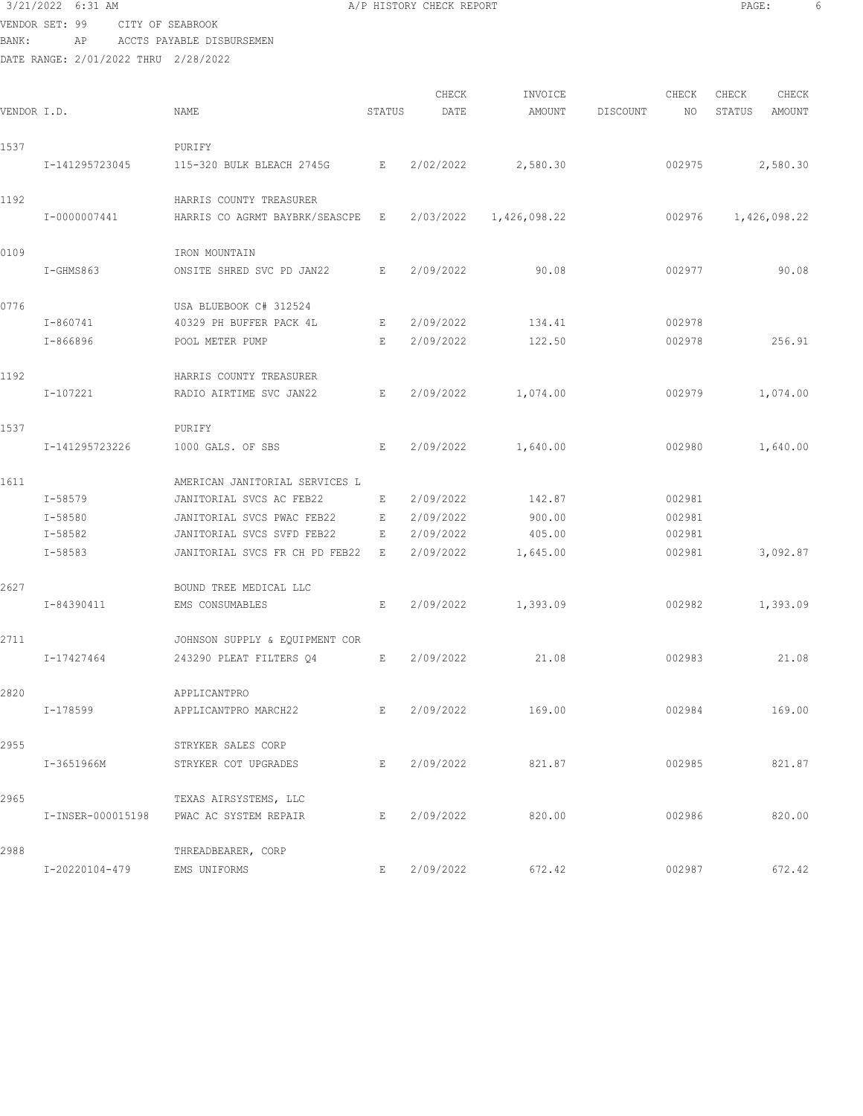## 3/21/2022 6:31 AM **A**/P HISTORY CHECK REPORT **PAGE:** 6 VENDOR SET: 99 CITY OF SEABROOK

BANK: AP ACCTS PAYABLE DISBURSEMEN

| VENDOR I.D. |                | <b>NAME</b>                             | STATUS | CHECK<br>DATE | INVOICE<br>AMOUNT | DISCOUNT | CHECK<br>NO. | CHECK<br>STATUS | CHECK<br>AMOUNT |
|-------------|----------------|-----------------------------------------|--------|---------------|-------------------|----------|--------------|-----------------|-----------------|
| 1537        |                | PURIFY                                  |        |               |                   |          |              |                 |                 |
|             | I-141295723045 | 115-320 BULK BLEACH 2745G               | Е      | 2/02/2022     | 2,580.30          |          | 002975       |                 | 2,580.30        |
| 1192        |                | HARRIS COUNTY TREASURER                 |        |               |                   |          |              |                 |                 |
|             | I-0000007441   | HARRIS CO AGRMT BAYBRK/SEASCPE          | E      | 2/03/2022     | 1,426,098.22      |          | 002976       |                 | 1,426,098.22    |
| 0109        |                | IRON MOUNTAIN                           |        |               |                   |          |              |                 |                 |
|             | I-GHMS863      | ONSITE SHRED SVC PD JAN22               | E      | 2/09/2022     | 90.08             |          | 002977       |                 | 90.08           |
| 0776        |                | USA BLUEBOOK C# 312524                  |        |               |                   |          |              |                 |                 |
|             | I-860741       | 40329 PH BUFFER PACK 4L                 | E      | 2/09/2022     | 134.41            |          | 002978       |                 |                 |
|             | I-866896       | POOL METER PUMP                         | E      | 2/09/2022     | 122.50            |          | 002978       |                 | 256.91          |
| 1192        |                | HARRIS COUNTY TREASURER                 |        |               |                   |          |              |                 |                 |
|             | I-107221       | RADIO AIRTIME SVC JAN22                 | Е      | 2/09/2022     | 1,074.00          |          | 002979       |                 | 1,074.00        |
| 1537        |                | PURIFY                                  |        |               |                   |          |              |                 |                 |
|             | I-141295723226 | 1000 GALS. OF SBS                       | E      | 2/09/2022     | 1,640.00          |          | 002980       |                 | 1,640.00        |
| 1611        |                | AMERICAN JANITORIAL SERVICES L          |        |               |                   |          |              |                 |                 |
|             | I-58579        | JANITORIAL SVCS AC FEB22                | Е      | 2/09/2022     | 142.87            |          | 002981       |                 |                 |
|             | I-58580        | JANITORIAL SVCS PWAC FEB22              | E      | 2/09/2022     | 900.00            |          | 002981       |                 |                 |
|             | I-58582        | JANITORIAL SVCS SVFD FEB22              | E      | 2/09/2022     | 405.00            |          | 002981       |                 |                 |
|             | I-58583        | JANITORIAL SVCS FR CH PD FEB22          | E      | 2/09/2022     | 1,645.00          |          | 002981       |                 | 3,092.87        |
| 2627        |                | BOUND TREE MEDICAL LLC                  |        |               |                   |          |              |                 |                 |
|             | I-84390411     | EMS CONSUMABLES                         | E      | 2/09/2022     | 1,393.09          |          | 002982       |                 | 1,393.09        |
| 2711        |                | JOHNSON SUPPLY & EQUIPMENT COR          |        |               |                   |          |              |                 |                 |
|             | I-17427464     | 243290 PLEAT FILTERS 04                 | E      | 2/09/2022     | 21.08             |          | 002983       |                 | 21.08           |
| 2820        |                | APPLICANTPRO                            |        |               |                   |          |              |                 |                 |
|             | I-178599       | APPLICANTPRO MARCH22                    | E      | 2/09/2022     | 169.00            |          | 002984       |                 | 169.00          |
| 2955        |                | STRYKER SALES CORP                      |        |               |                   |          |              |                 |                 |
|             | I-3651966M     | STRYKER COT UPGRADES                    | E      |               | 2/09/2022 821.87  |          | 002985       |                 | 821.87          |
| 2965        |                | TEXAS AIRSYSTEMS, LLC                   |        |               |                   |          |              |                 |                 |
|             |                | I-INSER-000015198 PWAC AC SYSTEM REPAIR | Е      | 2/09/2022     | 820.00            |          | 002986       |                 | 820.00          |
| 2988        |                | THREADBEARER, CORP                      |        |               |                   |          |              |                 |                 |
|             | I-20220104-479 | EMS UNIFORMS                            | E.     | 2/09/2022     | 672.42            |          | 002987       |                 | 672.42          |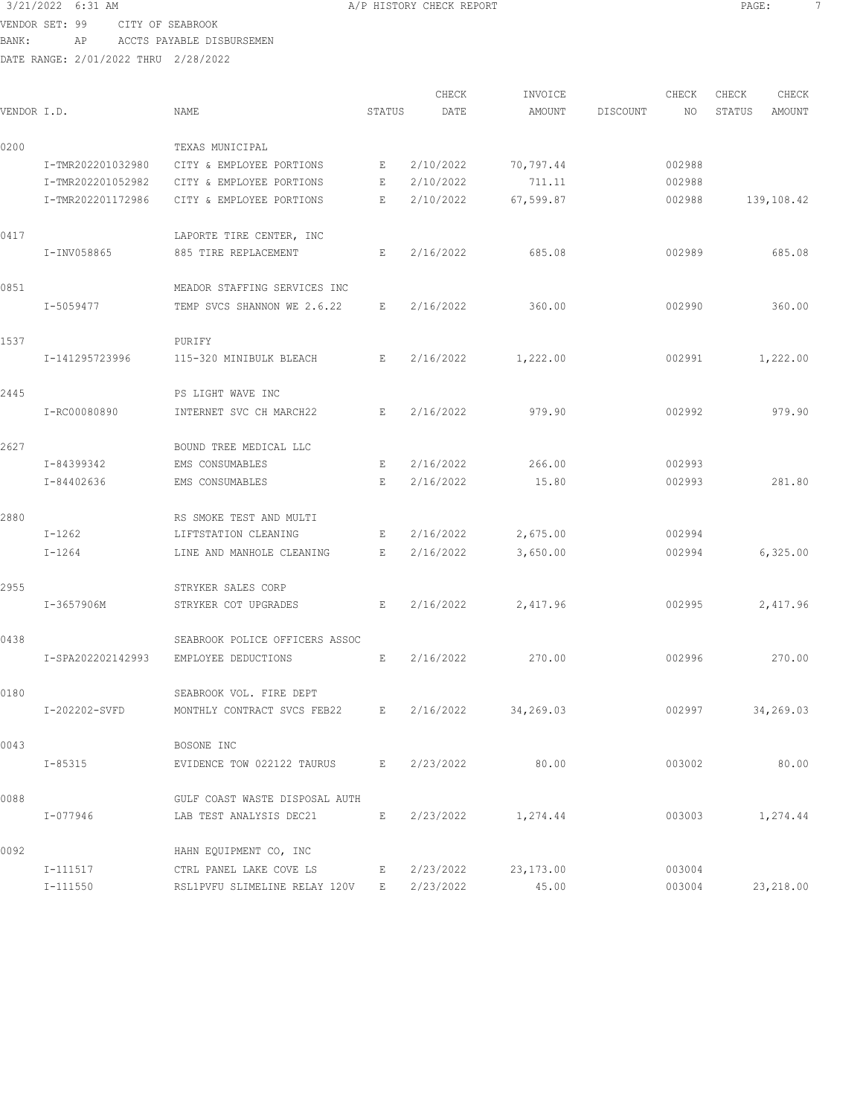VENDOR SET: 99 CITY OF SEABROOK

BANK: AP ACCTS PAYABLE DISBURSEMEN

DATE RANGE: 2/01/2022 THRU 2/28/2022

| 3/21/2022 6:31 AM<br>A/P HISTORY CHECK REPORT<br>PAGE: |  |
|--------------------------------------------------------|--|
|--------------------------------------------------------|--|

CHECK INVOICE CHECK CHECK CHECK VENDOR I.D. NAME STATUS DATE AMOUNT DISCOUNT NO STATUS AMOUNT 0200 TEXAS MUNICIPAL I-TMR202201032980 CITY & EMPLOYEE PORTIONS E 2/10/2022 70,797.44 002988 I-TMR202201052982 CITY & EMPLOYEE PORTIONS E 2/10/2022 711.11 002988 I-TMR202201172986 CITY & EMPLOYEE PORTIONS E 2/10/2022 67,599.87 002988 139,108.42 0417 **LAPORTE TIRE CENTER, INC**  I-INV058865 885 TIRE REPLACEMENT E 2/16/2022 685.08 002989 685.08 0851 MEADOR STAFFING SERVICES INC I-5059477 TEMP SVCS SHANNON WE 2.6.22 E 2/16/2022 360.00 002990 360.00 1537 PURIFY I-141295723996 115-320 MINIBULK BLEACH E 2/16/2022 1,222.00 002991 1,222.00 2445 PS LIGHT WAVE INC I-RC00080890 INTERNET SVC CH MARCH22 E 2/16/2022 979.90 002992 979.90 2627 BOUND TREE MEDICAL LLC I-84399342 EMS CONSUMABLES E 2/16/2022 266.00 002993 I-84402636 EMS CONSUMABLES E 2/16/2022 15.80 002993 281.80 2880 RS SMOKE TEST AND MULTI I-1262 LIFTSTATION CLEANING E 2/16/2022 2,675.00 002994 I-1264 LINE AND MANHOLE CLEANING E 2/16/2022 3,650.00 002994 6,325.00 2955 STRYKER SALES CORP I-3657906M STRYKER COT UPGRADES E 2/16/2022 2,417.96 002995 2,417.96 0438 SEABROOK POLICE OFFICERS ASSOC I-SPA202202142993 EMPLOYEE DEDUCTIONS E 2/16/2022 270.00 002996 270.00 0180 SEABROOK VOL. FIRE DEPT I-202202-SVFD MONTHLY CONTRACT SVCS FEB22 E 2/16/2022 34,269.03 002997 34,269.03 0043 BOSONE INC I-85315 EVIDENCE TOW 022122 TAURUS E 2/23/2022 80.00 003002 80.00 0088 GULF COAST WASTE DISPOSAL AUTH I-077946 LAB TEST ANALYSIS DEC21 E 2/23/2022 1,274.44 003003 1,274.44 0092 HAHN EQUIPMENT CO, INC I-111517 CTRL PANEL LAKE COVE LS E 2/23/2022 23,173.00 003004 I-111550 RSL1PVFU SLIMELINE RELAY 120V E 2/23/2022 45.00 003004 23,218.00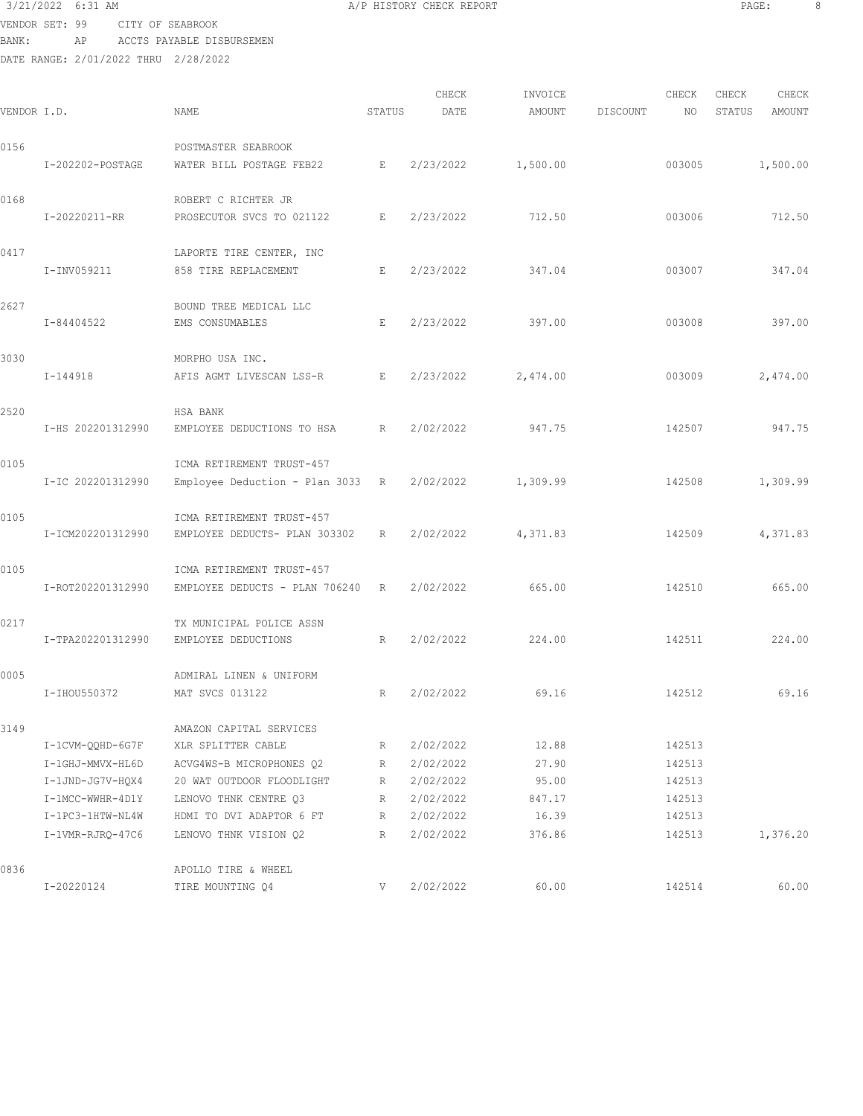## 3/21/2022 6:31 AM A/P HISTORY CHECK REPORT PAGE: 8 VENDOR SET: 99 CITY OF SEABROOK

BANK: AP ACCTS PAYABLE DISBURSEMEN

| VENDOR I.D. |                   | NAME                             | STATUS | CHECK<br>DATE | INVOICE<br>AMOUNT | DISCOUNT | CHECK<br>NO | CHECK<br>STATUS | CHECK<br>AMOUNT |
|-------------|-------------------|----------------------------------|--------|---------------|-------------------|----------|-------------|-----------------|-----------------|
| 0156        |                   | POSTMASTER SEABROOK              |        |               |                   |          |             |                 |                 |
|             | I-202202-POSTAGE  | WATER BILL POSTAGE FEB22         | Е      | 2/23/2022     | 1,500.00          |          | 003005      |                 | 1,500.00        |
| 0168        |                   | ROBERT C RICHTER JR              |        |               |                   |          |             |                 |                 |
|             | I-20220211-RR     | PROSECUTOR SVCS TO 021122        | Е      | 2/23/2022     | 712.50            |          | 003006      |                 | 712.50          |
| 0417        |                   | LAPORTE TIRE CENTER, INC         |        |               |                   |          |             |                 |                 |
|             | I-INV059211       | 858 TIRE REPLACEMENT             | Е      | 2/23/2022     | 347.04            |          | 003007      |                 | 347.04          |
| 2627        |                   | BOUND TREE MEDICAL LLC           |        |               |                   |          |             |                 |                 |
|             | I-84404522        | EMS CONSUMABLES                  | E      | 2/23/2022     | 397.00            |          | 003008      |                 | 397.00          |
| 3030        |                   | MORPHO USA INC.                  |        |               |                   |          |             |                 |                 |
|             | $I - 144918$      | AFIS AGMT LIVESCAN LSS-R         | E      | 2/23/2022     | 2,474.00          |          | 003009      |                 | 2,474.00        |
| 2520        |                   | HSA BANK                         |        |               |                   |          |             |                 |                 |
|             | I-HS 202201312990 | EMPLOYEE DEDUCTIONS TO HSA       | R      | 2/02/2022     | 947.75            |          | 142507      |                 | 947.75          |
| 0105        |                   | ICMA RETIREMENT TRUST-457        |        |               |                   |          |             |                 |                 |
|             | I-IC 202201312990 | Employee Deduction - Plan 3033 R |        | 2/02/2022     | 1,309.99          |          | 142508      |                 | 1,309.99        |
| 0105        |                   | ICMA RETIREMENT TRUST-457        |        |               |                   |          |             |                 |                 |
|             | I-ICM202201312990 | EMPLOYEE DEDUCTS- PLAN 303302    | R      | 2/02/2022     | 4,371.83          |          | 142509      |                 | 4,371.83        |
| 0105        |                   | ICMA RETIREMENT TRUST-457        |        |               |                   |          |             |                 |                 |
|             | I-ROT202201312990 | EMPLOYEE DEDUCTS - PLAN 706240   | R      | 2/02/2022     | 665.00            |          | 142510      |                 | 665.00          |
| 0217        |                   | TX MUNICIPAL POLICE ASSN         |        |               |                   |          |             |                 |                 |
|             | I-TPA202201312990 | EMPLOYEE DEDUCTIONS              | R      | 2/02/2022     | 224.00            |          | 142511      |                 | 224.00          |
| 0005        |                   | ADMIRAL LINEN & UNIFORM          |        |               |                   |          |             |                 |                 |
|             | I-IHOU550372      | MAT SVCS 013122                  | R      | 2/02/2022     | 69.16             |          | 142512      |                 | 69.16           |
| 3149        |                   | AMAZON CAPITAL SERVICES          |        |               |                   |          |             |                 |                 |
|             | I-1CVM-QQHD-6G7F  | XLR SPLITTER CABLE               | R      | 2/02/2022     | 12.88             |          | 142513      |                 |                 |
|             | I-1GHJ-MMVX-HL6D  | ACVG4WS-B MICROPHONES Q2         | R      | 2/02/2022     | 27.90             |          | 142513      |                 |                 |
|             | I-1JND-JG7V-HQX4  | 20 WAT OUTDOOR FLOODLIGHT        | R      | 2/02/2022     | 95.00             |          | 142513      |                 |                 |
|             | I-1MCC-WWHR-4D1Y  | LENOVO THNK CENTRE Q3            | R      | 2/02/2022     | 847.17            |          | 142513      |                 |                 |
|             | I-1PC3-1HTW-NL4W  | HDMI TO DVI ADAPTOR 6 FT         | R      | 2/02/2022     | 16.39             |          | 142513      |                 |                 |
|             | I-1VMR-RJRQ-47C6  | LENOVO THNK VISION Q2            | R      | 2/02/2022     | 376.86            |          | 142513      |                 | 1,376.20        |
| 0836        |                   | APOLLO TIRE & WHEEL              |        |               |                   |          |             |                 |                 |
|             | I-20220124        | TIRE MOUNTING Q4                 | V.     | 2/02/2022     | 60.00             |          | 142514      |                 | 60.00           |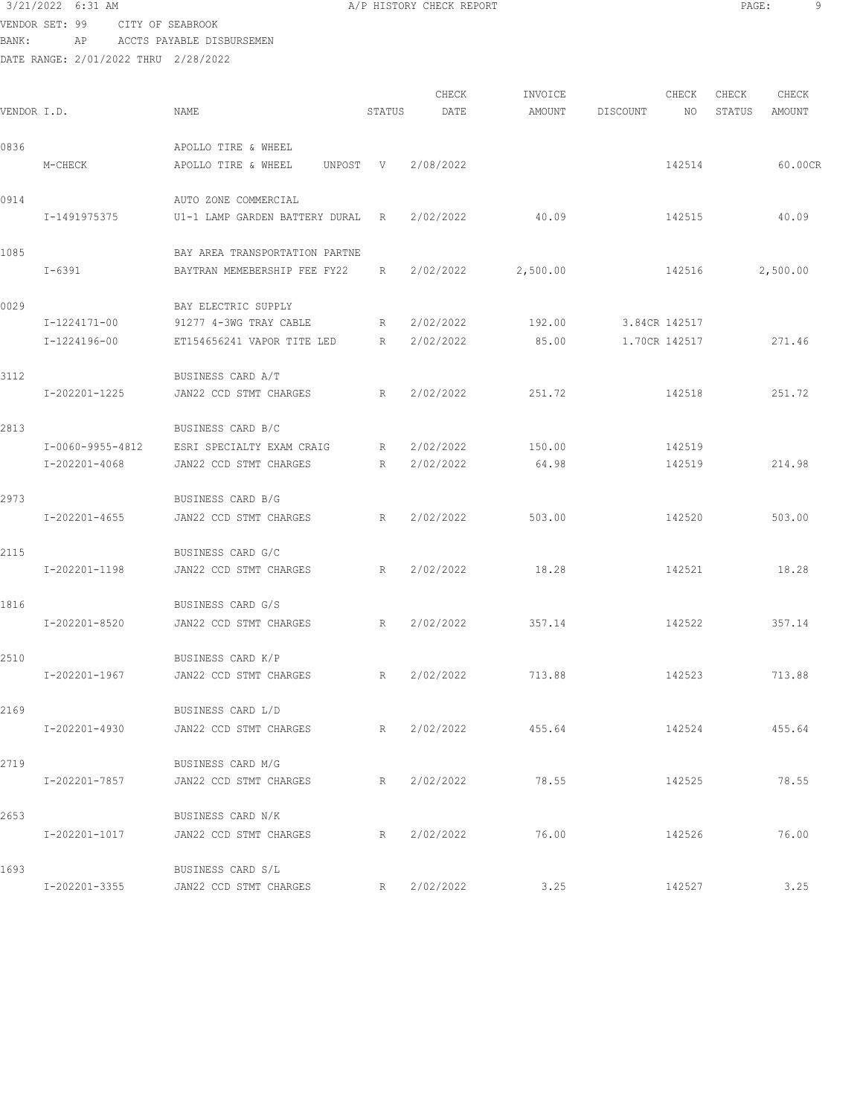VENDOR SET: 99 CITY OF SEABROOK BANK: AP ACCTS PAYAB

| BANK:<br>AP AP                       | ACCTS PAYABLE DISBURSEMEN |      |                     |        |       |         |          |       |        |        |
|--------------------------------------|---------------------------|------|---------------------|--------|-------|---------|----------|-------|--------|--------|
| DATE RANGE: 2/01/2022 THRU 2/28/2022 |                           |      |                     |        |       |         |          |       |        |        |
|                                      |                           |      |                     |        | CHECK | INVOICE |          | CHECK | CHECK  | CHECK  |
| VENDOR I.D.                          |                           | NAME |                     | STATUS | DATE  | AMOUNT  | DISCOUNT | NO    | STATUS | AMOUNT |
| 0836                                 |                           |      | APOLLO TIRE & WHEEL |        |       |         |          |       |        |        |

| 0836 |                  | APOLLO TIRE & WHEEL            |   |                    |          |               |          |
|------|------------------|--------------------------------|---|--------------------|----------|---------------|----------|
|      | M-CHECK          | APOLLO TIRE & WHEEL            |   | UNPOST V 2/08/2022 |          | 142514        | 60.00CR  |
| 0914 |                  | AUTO ZONE COMMERCIAL           |   |                    |          |               |          |
|      | I-1491975375     | U1-1 LAMP GARDEN BATTERY DURAL | R | 2/02/2022          | 40.09    | 142515        | 40.09    |
| 1085 |                  | BAY AREA TRANSPORTATION PARTNE |   |                    |          |               |          |
|      | $I - 6391$       | BAYTRAN MEMEBERSHIP FEE FY22   | R | 2/02/2022          | 2,500.00 | 142516        | 2,500.00 |
| 0029 |                  | BAY ELECTRIC SUPPLY            |   |                    |          |               |          |
|      | I-1224171-00     | 91277 4-3WG TRAY CABLE         | R | 2/02/2022          | 192.00   | 3.84CR 142517 |          |
|      | I-1224196-00     | ET154656241 VAPOR TITE LED     | R | 2/02/2022          | 85.00    | 1.70CR 142517 | 271.46   |
| 3112 |                  | BUSINESS CARD A/T              |   |                    |          |               |          |
|      | I-202201-1225    | JAN22 CCD STMT CHARGES         | R | 2/02/2022          | 251.72   | 142518        | 251.72   |
| 2813 |                  | BUSINESS CARD B/C              |   |                    |          |               |          |
|      | I-0060-9955-4812 | ESRI SPECIALTY EXAM CRAIG      | R | 2/02/2022          | 150.00   | 142519        |          |
|      | I-202201-4068    | JAN22 CCD STMT CHARGES         | R | 2/02/2022          | 64.98    | 142519        | 214.98   |
| 2973 |                  | BUSINESS CARD B/G              |   |                    |          |               |          |

|      | I-202201-4655 | JAN22 CCD STMT CHARGES                      | R 2/02/2022        | 503.00 | 142520 | 503.00 |
|------|---------------|---------------------------------------------|--------------------|--------|--------|--------|
| 2115 | I-202201-1198 | BUSINESS CARD G/C<br>JAN22 CCD STMT CHARGES | R 2/02/2022 18.28  |        | 142521 | 18.28  |
| 1816 |               | BUSINESS CARD G/S                           |                    |        |        |        |
|      | I-202201-8520 | JAN22 CCD STMT CHARGES                      | R 2/02/2022 357.14 |        | 142522 | 357.14 |
| 2510 | I-202201-1967 | BUSINESS CARD K/P<br>JAN22 CCD STMT CHARGES | R 2/02/2022 713.88 |        | 142523 | 713.88 |
| 2169 | I-202201-4930 | BUSINESS CARD L/D<br>JAN22 CCD STMT CHARGES | R 2/02/2022 455.64 |        | 142524 | 455.64 |
| 2719 | I-202201-7857 | BUSINESS CARD M/G<br>JAN22 CCD STMT CHARGES | R 2/02/2022        | 78.55  | 142525 | 78.55  |
| 2653 | I-202201-1017 | BUSINESS CARD N/K<br>JAN22 CCD STMT CHARGES | R 2/02/2022 76.00  |        | 142526 | 76.00  |
| 1693 | I-202201-3355 | BUSINESS CARD S/L<br>JAN22 CCD STMT CHARGES | R 2/02/2022        | 3.25   | 142527 | 3.25   |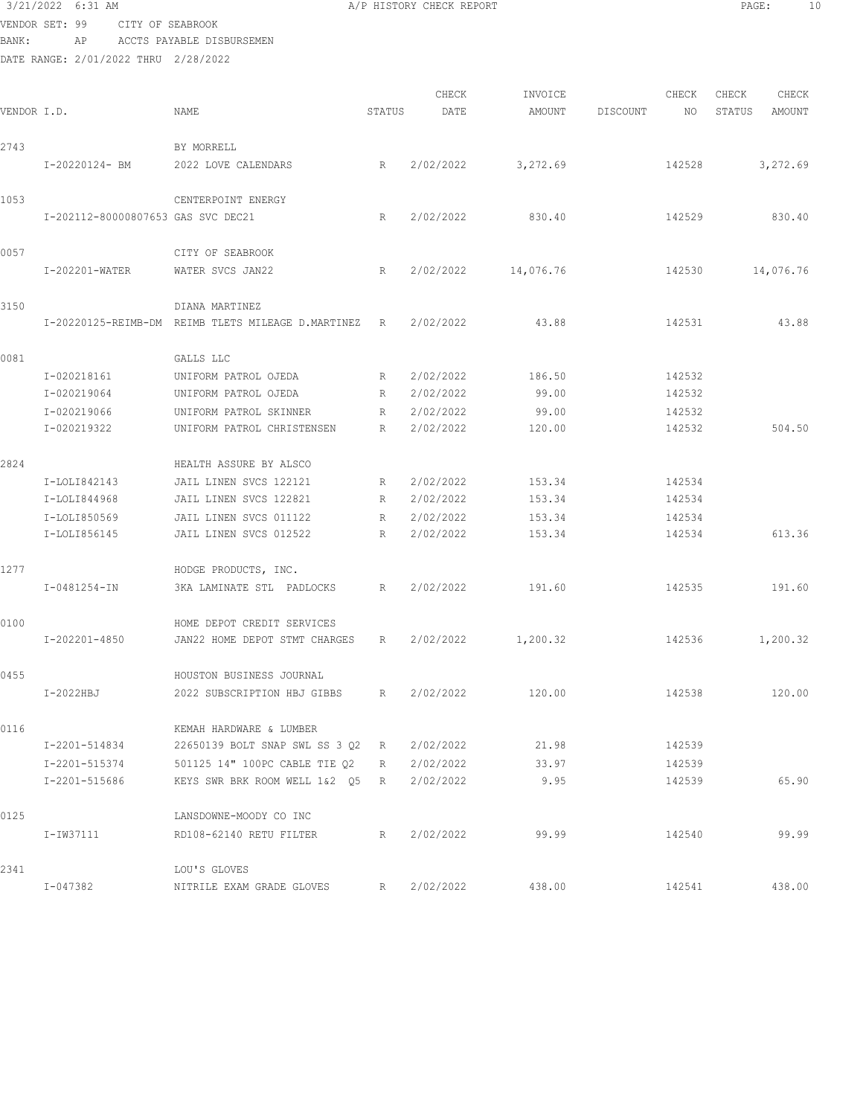|       | 3/21/2022 6:31 AM                    |                                                             |             | A/P HISTORY CHECK REPORT |                 |          |                  | PAGE:            | 10    |
|-------|--------------------------------------|-------------------------------------------------------------|-------------|--------------------------|-----------------|----------|------------------|------------------|-------|
|       | VENDOR SET: 99<br>CITY OF SEABROOK   |                                                             |             |                          |                 |          |                  |                  |       |
| BANK: | ΑP                                   | ACCTS PAYABLE DISBURSEMEN                                   |             |                          |                 |          |                  |                  |       |
|       | DATE RANGE: 2/01/2022 THRU 2/28/2022 |                                                             |             |                          |                 |          |                  |                  |       |
|       |                                      |                                                             |             | CHECK                    | INVOICE         |          | CHECK            | CHECK            | CHECK |
|       | VENDOR I.D.                          | NAME                                                        | STATUS      | DATE                     | AMOUNT          | DISCOUNT | NO               | STATUS<br>AMOUNT |       |
|       |                                      |                                                             |             |                          |                 |          |                  |                  |       |
| 2743  |                                      | BY MORRELL                                                  |             |                          |                 |          |                  |                  |       |
|       | I-20220124- BM                       | 2022 LOVE CALENDARS                                         | R           | 2/02/2022                | 3,272.69        |          | 142528           | 3,272.69         |       |
|       |                                      |                                                             |             |                          |                 |          |                  |                  |       |
| 1053  |                                      | CENTERPOINT ENERGY                                          |             |                          |                 |          |                  |                  |       |
|       | I-202112-80000807653 GAS SVC DEC21   |                                                             | R           | 2/02/2022                | 830.40          |          | 142529           | 830.40           |       |
| 0057  |                                      | CITY OF SEABROOK                                            |             |                          |                 |          |                  |                  |       |
|       | I-202201-WATER                       | WATER SVCS JAN22                                            | R           | 2/02/2022                | 14,076.76       |          | 142530           | 14,076.76        |       |
|       |                                      |                                                             |             |                          |                 |          |                  |                  |       |
| 3150  |                                      | DIANA MARTINEZ                                              |             |                          |                 |          |                  |                  |       |
|       |                                      | I-20220125-REIMB-DM REIMB TLETS MILEAGE D.MARTINEZ R        |             | 2/02/2022                | 43.88           |          | 142531           |                  | 43.88 |
|       |                                      |                                                             |             |                          |                 |          |                  |                  |       |
| 0081  |                                      | GALLS LLC                                                   |             |                          |                 |          |                  |                  |       |
|       | I-020218161<br>I-020219064           | UNIFORM PATROL OJEDA<br>UNIFORM PATROL OJEDA                | R<br>R      | 2/02/2022<br>2/02/2022   | 186.50<br>99.00 |          | 142532<br>142532 |                  |       |
|       | I-020219066                          | UNIFORM PATROL SKINNER                                      | R           | 2/02/2022                | 99.00           |          | 142532           |                  |       |
|       | I-020219322                          | UNIFORM PATROL CHRISTENSEN                                  | R           | 2/02/2022                | 120.00          |          | 142532           | 504.50           |       |
|       |                                      |                                                             |             |                          |                 |          |                  |                  |       |
| 2824  |                                      | HEALTH ASSURE BY ALSCO                                      |             |                          |                 |          |                  |                  |       |
|       | I-LOLI842143                         | JAIL LINEN SVCS 122121                                      | R           | 2/02/2022                | 153.34          |          | 142534           |                  |       |
|       | I-LOLI844968                         | JAIL LINEN SVCS 122821                                      | R           | 2/02/2022                | 153.34          |          | 142534           |                  |       |
|       | I-LOLI850569                         | JAIL LINEN SVCS 011122                                      | R           | 2/02/2022                | 153.34          |          | 142534           |                  |       |
|       | I-LOLI856145                         | JAIL LINEN SVCS 012522                                      | R           | 2/02/2022                | 153.34          |          | 142534           | 613.36           |       |
|       |                                      |                                                             |             |                          |                 |          |                  |                  |       |
| 1277  |                                      | HODGE PRODUCTS, INC.                                        |             |                          |                 |          |                  |                  |       |
|       | $I - 0481254 - IN$                   | 3KA LAMINATE STL PADLOCKS                                   | R           | 2/02/2022                | 191.60          |          | 142535           | 191.60           |       |
| 0100  |                                      | HOME DEPOT CREDIT SERVICES                                  |             |                          |                 |          |                  |                  |       |
|       | I-202201-4850                        | JAN22 HOME DEPOT STMT CHARGES R                             |             | 2/02/2022                | 1,200.32        |          | 142536           | 1,200.32         |       |
|       |                                      |                                                             |             |                          |                 |          |                  |                  |       |
| 0455  |                                      | HOUSTON BUSINESS JOURNAL                                    |             |                          |                 |          |                  |                  |       |
|       | I-2022HBJ                            | 2022 SUBSCRIPTION HBJ GIBBS                                 | $R$ and $R$ | 2/02/2022                | 120.00          |          | 142538           | 120.00           |       |
| 0116  |                                      |                                                             |             |                          |                 |          |                  |                  |       |
|       | I-2201-514834                        | KEMAH HARDWARE & LUMBER<br>22650139 BOLT SNAP SWL SS 3 Q2 R |             | 2/02/2022                | 21.98           |          | 142539           |                  |       |
|       | I-2201-515374                        | 501125 14" 100PC CABLE TIE 02 R                             |             | 2/02/2022                | 33.97           |          | 142539           |                  |       |
|       | I-2201-515686                        | KEYS SWR BRK ROOM WELL 1&2 Q5 R                             |             | 2/02/2022                | 9.95            |          | 142539           |                  | 65.90 |
|       |                                      |                                                             |             |                          |                 |          |                  |                  |       |
| 0125  |                                      | LANSDOWNE-MOODY CO INC                                      |             |                          |                 |          |                  |                  |       |
|       | I-IW37111                            | RD108-62140 RETU FILTER                                     | R           | 2/02/2022                | 99.99           |          | 142540           |                  | 99.99 |
|       |                                      |                                                             |             |                          |                 |          |                  |                  |       |
| 2341  |                                      | LOU'S GLOVES                                                |             |                          |                 |          |                  |                  |       |
|       | I-047382                             | NITRILE EXAM GRADE GLOVES                                   | R           | 2/02/2022                | 438.00          |          | 142541           | 438.00           |       |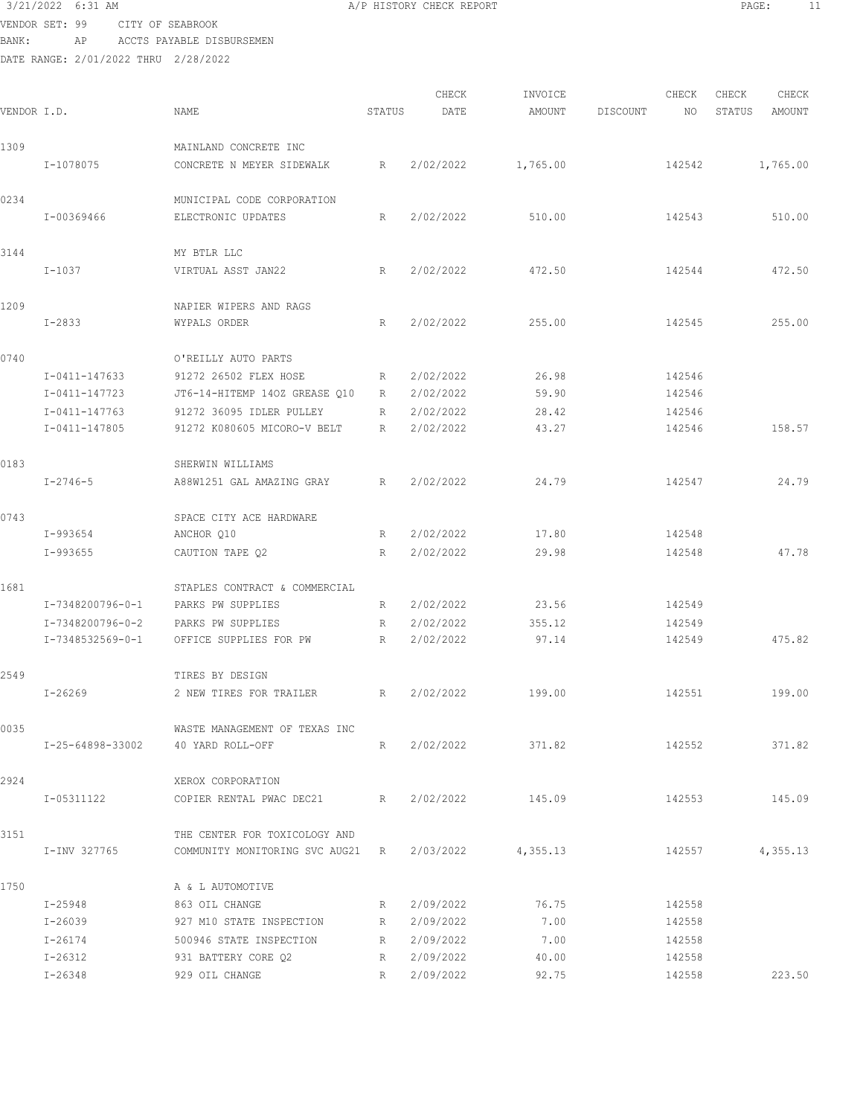VENDOR SET: 99 CITY OF SEABROOK BANK: AP ACCTS PAYABLE DISBURSEMEN

| VENDOR I.D. |                     | NAME                                             | STATUS      | CHECK<br>DATE | INVOICE<br>AMOUNT | DISCOUNT | CHECK<br>NO. | CHECK<br>STATUS | CHECK<br>AMOUNT |
|-------------|---------------------|--------------------------------------------------|-------------|---------------|-------------------|----------|--------------|-----------------|-----------------|
| 1309        |                     | MAINLAND CONCRETE INC                            |             |               |                   |          |              |                 |                 |
|             | I-1078075           | CONCRETE N MEYER SIDEWALK                        | R           | 2/02/2022     | 1,765.00          |          | 142542       |                 | 1,765.00        |
| 0234        | I-00369466          | MUNICIPAL CODE CORPORATION<br>ELECTRONIC UPDATES | $\mathbb R$ | 2/02/2022     | 510.00            |          | 142543       |                 | 510.00          |
| 3144        |                     | MY BTLR LLC                                      |             |               |                   |          |              |                 |                 |
|             | $I-1037$            | VIRTUAL ASST JAN22                               | R           | 2/02/2022     | 472.50            |          | 142544       |                 | 472.50          |
| 1209        | $I - 2833$          | NAPIER WIPERS AND RAGS<br>WYPALS ORDER           | R           | 2/02/2022     | 255.00            |          | 142545       |                 | 255.00          |
| 0740        |                     | O'REILLY AUTO PARTS                              |             |               |                   |          |              |                 |                 |
|             | $I - 0411 - 147633$ | 91272 26502 FLEX HOSE                            | R           | 2/02/2022     | 26.98             |          | 142546       |                 |                 |
|             | I-0411-147723       | JT6-14-HITEMP 140Z GREASE Q10                    | R           | 2/02/2022     | 59.90             |          | 142546       |                 |                 |
|             | $I - 0411 - 147763$ | 91272 36095 IDLER PULLEY                         | R           | 2/02/2022     | 28.42             |          | 142546       |                 |                 |
|             | I-0411-147805       | 91272 K080605 MICORO-V BELT                      | R           | 2/02/2022     | 43.27             |          | 142546       |                 | 158.57          |
| 0183        |                     | SHERWIN WILLIAMS                                 |             |               |                   |          |              |                 |                 |
|             | $I - 2746 - 5$      | A88W1251 GAL AMAZING GRAY                        | R           | 2/02/2022     | 24.79             |          | 142547       |                 | 24.79           |
| 0743        |                     | SPACE CITY ACE HARDWARE                          |             |               |                   |          |              |                 |                 |
|             | I-993654            | ANCHOR Q10                                       | R           | 2/02/2022     | 17.80             |          | 142548       |                 |                 |
|             | $I-993655$          | CAUTION TAPE Q2                                  | R           | 2/02/2022     | 29.98             |          | 142548       |                 | 47.78           |
| 1681        |                     | STAPLES CONTRACT & COMMERCIAL                    |             |               |                   |          |              |                 |                 |
|             | I-7348200796-0-1    | PARKS PW SUPPLIES                                | R           | 2/02/2022     | 23.56             |          | 142549       |                 |                 |
|             | I-7348200796-0-2    | PARKS PW SUPPLIES                                | R           | 2/02/2022     | 355.12            |          | 142549       |                 |                 |
|             | I-7348532569-0-1    | OFFICE SUPPLIES FOR PW                           | R           | 2/02/2022     | 97.14             |          | 142549       |                 | 475.82          |
| 2549        |                     | TIRES BY DESIGN                                  |             |               |                   |          |              |                 |                 |
|             | $I - 26269$         | 2 NEW TIRES FOR TRAILER                          | R           | 2/02/2022     | 199.00            |          | 142551       |                 | 199.00          |
| 0035        |                     | WASTE MANAGEMENT OF TEXAS INC                    |             |               |                   |          |              |                 |                 |
|             | I-25-64898-33002    | 40 YARD ROLL-OFF                                 | R           | 2/02/2022     | 371.82            |          | 142552       |                 | 371.82          |
| 2924        |                     | XEROX CORPORATION                                |             |               |                   |          |              |                 |                 |
|             | I-05311122          | COPIER RENTAL PWAC DEC21                         | R           | 2/02/2022     | 145.09            |          | 142553       |                 | 145.09          |
| 3151        |                     | THE CENTER FOR TOXICOLOGY AND                    |             |               |                   |          |              |                 |                 |
|             | I-INV 327765        | COMMUNITY MONITORING SVC AUG21 R                 |             | 2/03/2022     | 4,355.13          |          | 142557       |                 | 4,355.13        |
| 1750        |                     | A & L AUTOMOTIVE                                 |             |               |                   |          |              |                 |                 |
|             | I-25948             | 863 OIL CHANGE                                   | R           | 2/09/2022     | 76.75             |          | 142558       |                 |                 |
|             | I-26039             | 927 M10 STATE INSPECTION                         | R           | 2/09/2022     | 7.00              |          | 142558       |                 |                 |
|             | I-26174             | 500946 STATE INSPECTION                          | R           | 2/09/2022     | 7.00              |          | 142558       |                 |                 |
|             | I-26312             | 931 BATTERY CORE Q2                              | R           | 2/09/2022     | 40.00             |          | 142558       |                 |                 |
|             | I-26348             | 929 OIL CHANGE                                   | R           | 2/09/2022     | 92.75             |          | 142558       |                 | 223.50          |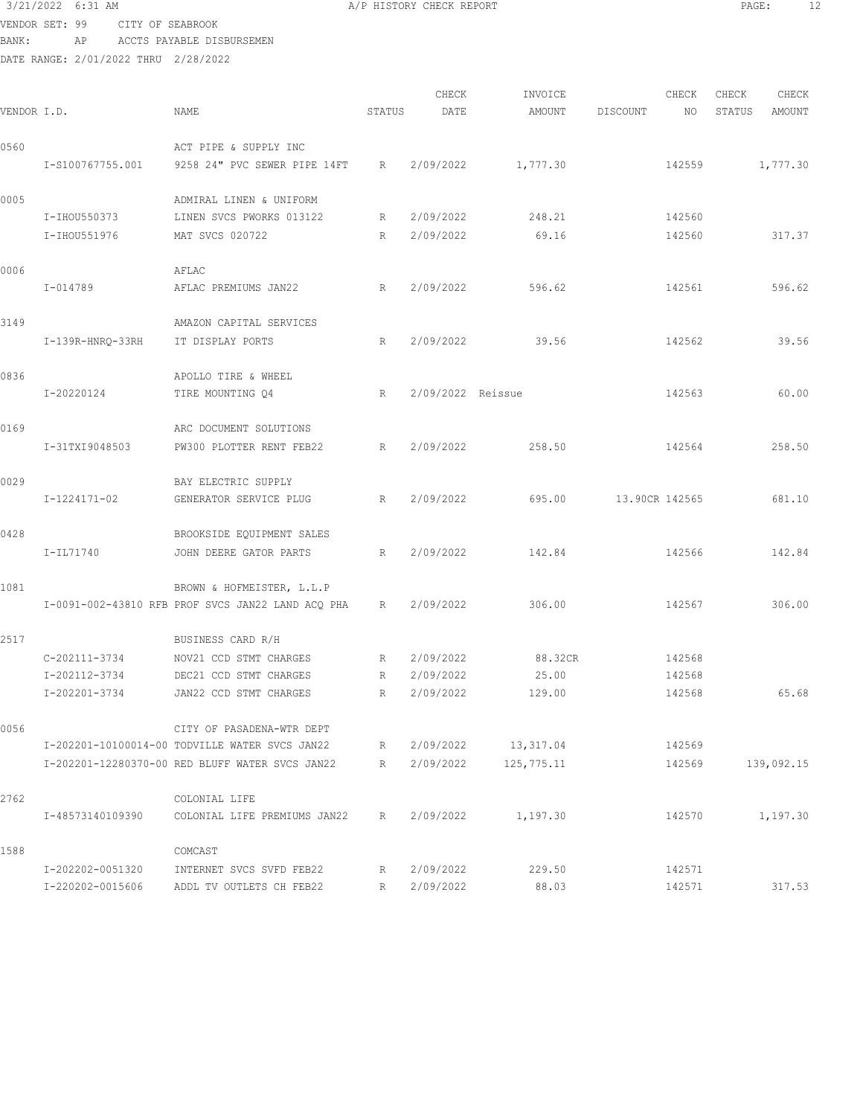| 3/21/2022 6:31 AM |           |                  |                  |                                                   |             | A/P HISTORY CHECK REPORT |          |                | PAGE:  | 12       |
|-------------------|-----------|------------------|------------------|---------------------------------------------------|-------------|--------------------------|----------|----------------|--------|----------|
| VENDOR SET: 99    |           |                  |                  | CITY OF SEABROOK                                  |             |                          |          |                |        |          |
| BANK:             |           | ΑP               |                  | ACCTS PAYABLE DISBURSEMEN                         |             |                          |          |                |        |          |
|                   |           |                  |                  | DATE RANGE: 2/01/2022 THRU 2/28/2022              |             |                          |          |                |        |          |
|                   |           |                  |                  |                                                   |             | CHECK                    | INVOICE  | CHECK          | CHECK  | CHECK    |
| VENDOR I.D.       |           |                  |                  | NAME                                              | STATUS      | DATE                     | AMOUNT   | DISCOUNT<br>NO | STATUS | AMOUNT   |
| 0560              |           |                  |                  | ACT PIPE & SUPPLY INC                             |             |                          |          |                |        |          |
|                   |           | I-S100767755.001 |                  | 9258 24" PVC SEWER PIPE 14FT                      | R           | 2/09/2022                | 1,777.30 | 142559         |        | 1,777.30 |
| 0005              |           |                  |                  | ADMIRAL LINEN & UNIFORM                           |             |                          |          |                |        |          |
|                   |           | I-IHOU550373     |                  | LINEN SVCS PWORKS 013122                          | R           | 2/09/2022                | 248.21   | 142560         |        |          |
|                   |           | I-IHOU551976     |                  | MAT SVCS 020722                                   | R           | 2/09/2022                | 69.16    | 142560         |        | 317.37   |
| 0006              |           |                  |                  | AFLAC                                             |             |                          |          |                |        |          |
|                   | I-014789  |                  |                  | AFLAC PREMIUMS JAN22                              | R           | 2/09/2022                | 596.62   | 142561         |        | 596.62   |
| 3149              |           |                  |                  | AMAZON CAPITAL SERVICES                           |             |                          |          |                |        |          |
|                   |           |                  | I-139R-HNRQ-33RH | IT DISPLAY PORTS                                  | R           | 2/09/2022                | 39.56    | 142562         |        | 39.56    |
| 0836              |           |                  |                  | APOLLO TIRE & WHEEL                               |             |                          |          |                |        |          |
|                   |           | I-20220124       |                  | TIRE MOUNTING Q4                                  | R           | 2/09/2022 Reissue        |          | 142563         |        | 60.00    |
| 0169              |           |                  |                  | ARC DOCUMENT SOLUTIONS                            |             |                          |          |                |        |          |
|                   |           | I-31TXI9048503   |                  | PW300 PLOTTER RENT FEB22                          | R           | 2/09/2022                | 258.50   | 142564         |        | 258.50   |
| 0029              |           |                  |                  | BAY ELECTRIC SUPPLY                               |             |                          |          |                |        |          |
|                   |           | I-1224171-02     |                  | GENERATOR SERVICE PLUG                            | R           | 2/09/2022                | 695.00   | 13.90CR 142565 |        | 681.10   |
| 0428              |           |                  |                  | BROOKSIDE EQUIPMENT SALES                         |             |                          |          |                |        |          |
|                   | I-IL71740 |                  |                  | JOHN DEERE GATOR PARTS                            | R           | 2/09/2022                | 142.84   | 142566         |        | 142.84   |
| 1081              |           |                  |                  | BROWN & HOFMEISTER, L.L.P                         |             |                          |          |                |        |          |
|                   |           |                  |                  | I-0091-002-43810 RFB PROF SVCS JAN22 LAND ACQ PHA | R           | 2/09/2022                | 306.00   | 142567         |        | 306.00   |
| 2517              |           |                  |                  | BUSINESS CARD R/H                                 |             |                          |          |                |        |          |
|                   |           | $C-202111-3734$  |                  | NOV21 CCD STMT CHARGES                            | R           | 2/09/2022                | 88.32CR  | 142568         |        |          |
|                   |           | I-202112-3734    |                  | DEC21 CCD STMT CHARGES                            | R           | 2/09/2022                | 25.00    | 142568         |        |          |
|                   |           | I-202201-3734    |                  | JAN22 CCD STMT CHARGES                            | $\mathbb R$ | 2/09/2022                | 129.00   | 142568         |        | 65.68    |

I-202201-10100014-00 TODVILLE WATER SVCS JAN22 R 2/09/2022 13,317.04 142569

I-202202-0051320 INTERNET SVCS SVFD FEB22 R 2/09/2022 229.50 142571

I-202201-12280370-00 RED BLUFF WATER SVCS JAN22 R 2/09/2022 125,775.11 142569 139,092.15

I-220202-0015606 ADDL TV OUTLETS CH FEB22 R 2/09/2022 88.03 142571 317.53

I-48573140109390 COLONIAL LIFE PREMIUMS JAN22 R 2/09/2022 1,197.30 142570 1,197.30

0056 CITY OF PASADENA-WTR DEPT

2762 COLONIAL LIFE

1588 COMCAST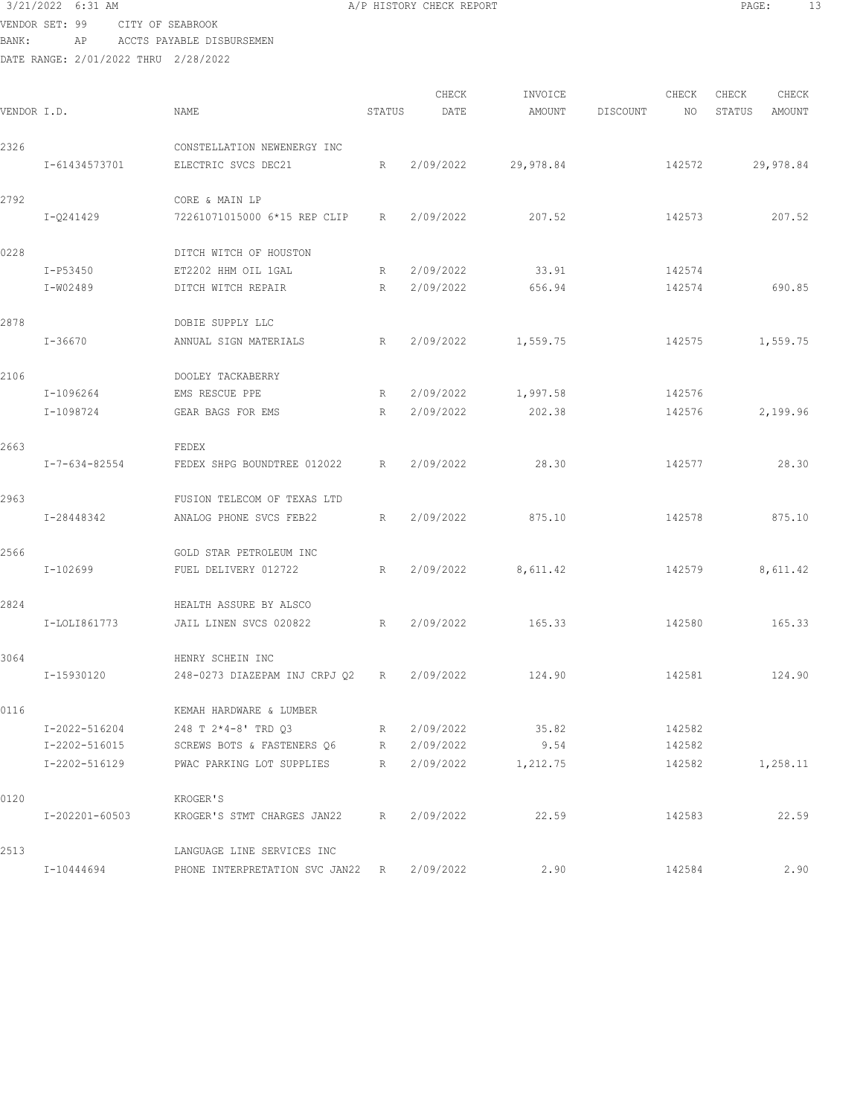VENDOR SET: 99 CITY OF SEABROOK BANK: AP ACCTS PAYABLE DISBURSEMEN

| VENDOR I.D. |                | NAME                                               | STATUS | CHECK<br>DATE | INVOICE<br>AMOUNT | DISCOUNT | CHECK<br>NO. | CHECK<br>STATUS | CHECK<br>AMOUNT |
|-------------|----------------|----------------------------------------------------|--------|---------------|-------------------|----------|--------------|-----------------|-----------------|
|             |                |                                                    |        |               |                   |          |              |                 |                 |
| 2326        | I-61434573701  | CONSTELLATION NEWENERGY INC<br>ELECTRIC SVCS DEC21 | R      | 2/09/2022     | 29,978.84         |          | 142572       |                 | 29,978.84       |
| 2792        |                | CORE & MAIN LP                                     |        |               |                   |          |              |                 |                 |
|             | I-Q241429      | 72261071015000 6*15 REP CLIP                       | R      | 2/09/2022     | 207.52            |          | 142573       |                 | 207.52          |
| 0228        |                | DITCH WITCH OF HOUSTON                             |        |               |                   |          |              |                 |                 |
|             | I-P53450       | ET2202 HHM OIL 1GAL                                | R      | 2/09/2022     | 33.91             |          | 142574       |                 |                 |
|             | I-W02489       | DITCH WITCH REPAIR                                 | R      | 2/09/2022     | 656.94            |          | 142574       |                 | 690.85          |
| 2878        |                | DOBIE SUPPLY LLC                                   |        |               |                   |          |              |                 |                 |
|             | I-36670        | ANNUAL SIGN MATERIALS                              | R      | 2/09/2022     | 1,559.75          |          | 142575       |                 | 1,559.75        |
| 2106        |                | DOOLEY TACKABERRY                                  |        |               |                   |          |              |                 |                 |
|             | I-1096264      | EMS RESCUE PPE                                     | R      | 2/09/2022     | 1,997.58          |          | 142576       |                 |                 |
|             | I-1098724      | GEAR BAGS FOR EMS                                  | R      | 2/09/2022     | 202.38            |          | 142576       |                 | 2,199.96        |
| 2663        |                | FEDEX                                              |        |               |                   |          |              |                 |                 |
|             | I-7-634-82554  | FEDEX SHPG BOUNDTREE 012022                        | R      | 2/09/2022     | 28.30             |          | 142577       |                 | 28.30           |
| 2963        |                | FUSION TELECOM OF TEXAS LTD                        |        |               |                   |          |              |                 |                 |
|             | I-28448342     | ANALOG PHONE SVCS FEB22                            | R      | 2/09/2022     | 875.10            |          | 142578       |                 | 875.10          |
| 2566        |                | GOLD STAR PETROLEUM INC                            |        |               |                   |          |              |                 |                 |
|             | I-102699       | FUEL DELIVERY 012722                               | R      | 2/09/2022     | 8,611.42          |          | 142579       |                 | 8,611.42        |
| 2824        |                | HEALTH ASSURE BY ALSCO                             |        |               |                   |          |              |                 |                 |
|             | I-LOLI861773   | JAIL LINEN SVCS 020822                             | R      | 2/09/2022     | 165.33            |          | 142580       |                 | 165.33          |
| 3064        |                | HENRY SCHEIN INC                                   |        |               |                   |          |              |                 |                 |
|             | I-15930120     | 248-0273 DIAZEPAM INJ CRPJ 02                      | R      | 2/09/2022     | 124.90            |          | 142581       |                 | 124.90          |
| 0116        |                | KEMAH HARDWARE & LUMBER                            |        |               |                   |          |              |                 |                 |
|             | I-2022-516204  | 248 T 2*4-8' TRD Q3                                | R      | 2/09/2022     | 35.82             |          | 142582       |                 |                 |
|             | I-2202-516015  | SCREWS BOTS & FASTENERS Q6                         | R      | 2/09/2022     | 9.54              |          | 142582       |                 |                 |
|             | I-2202-516129  | PWAC PARKING LOT SUPPLIES                          | R      | 2/09/2022     | 1,212.75          |          | 142582       |                 | 1,258.11        |
| 0120        |                | KROGER'S                                           |        |               |                   |          |              |                 |                 |
|             | I-202201-60503 | KROGER'S STMT CHARGES JAN22                        | R      | 2/09/2022     | 22.59             |          | 142583       |                 | 22.59           |
| 2513        |                | LANGUAGE LINE SERVICES INC                         |        |               |                   |          |              |                 |                 |
|             | I-10444694     | PHONE INTERPRETATION SVC JAN22 R                   |        | 2/09/2022     | 2.90              |          | 142584       |                 | 2.90            |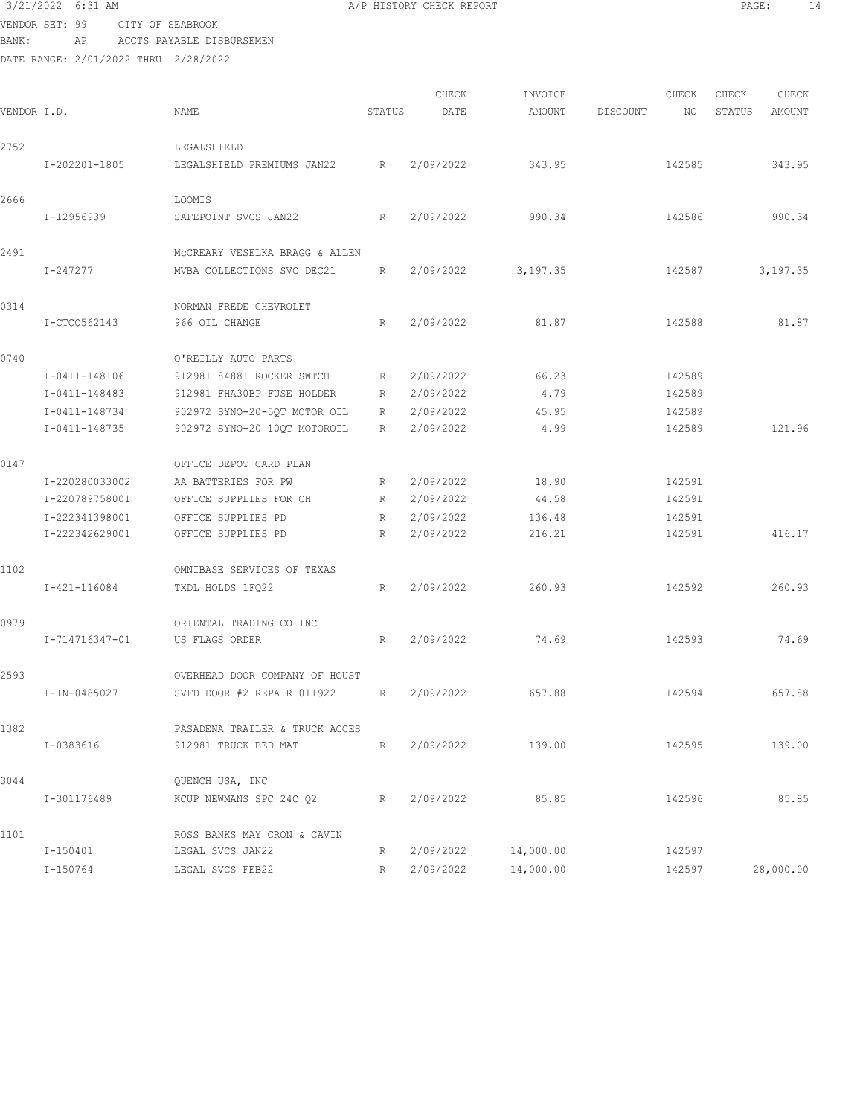VENDOR SET: 99 CITY OF SEABROOK BANK: AP ACCTS PAYABLE DISBURSEMEN

| VENDOR I.D. |                | NAME                           | STATUS          | CHECK<br>DATE | INVOICE<br>AMOUNT | DISCOUNT | CHECK<br>NO. | CHECK<br>STATUS | CHECK<br>AMOUNT |
|-------------|----------------|--------------------------------|-----------------|---------------|-------------------|----------|--------------|-----------------|-----------------|
| 2752        |                | LEGALSHIELD                    |                 |               |                   |          |              |                 |                 |
|             | I-202201-1805  | LEGALSHIELD PREMIUMS JAN22     | R               | 2/09/2022     | 343.95            |          | 142585       |                 | 343.95          |
| 2666        |                | LOOMIS                         |                 |               |                   |          |              |                 |                 |
|             | I-12956939     | SAFEPOINT SVCS JAN22           | R               | 2/09/2022     | 990.34            |          | 142586       |                 | 990.34          |
| 2491        |                | MCCREARY VESELKA BRAGG & ALLEN |                 |               |                   |          |              |                 |                 |
|             | I-247277       | MVBA COLLECTIONS SVC DEC21     | R               | 2/09/2022     | 3,197.35          |          | 142587       |                 | 3,197.35        |
| 0314        |                | NORMAN FREDE CHEVROLET         |                 |               |                   |          |              |                 |                 |
|             | I-CTCQ562143   | 966 OIL CHANGE                 | R               | 2/09/2022     | 81.87             |          | 142588       |                 | 81.87           |
| 0740        |                | O'REILLY AUTO PARTS            |                 |               |                   |          |              |                 |                 |
|             | I-0411-148106  | 912981 84881 ROCKER SWTCH      | R               | 2/09/2022     | 66.23             |          | 142589       |                 |                 |
|             | I-0411-148483  | 912981 FHA30BP FUSE HOLDER     | R               | 2/09/2022     | 4.79              |          | 142589       |                 |                 |
|             | I-0411-148734  | 902972 SYNO-20-5QT MOTOR OIL   | R               | 2/09/2022     | 45.95             |          | 142589       |                 |                 |
|             | I-0411-148735  | 902972 SYNO-20 10QT MOTOROIL   | R               | 2/09/2022     | 4.99              |          | 142589       |                 | 121.96          |
| 0147        |                | OFFICE DEPOT CARD PLAN         |                 |               |                   |          |              |                 |                 |
|             | I-220280033002 | AA BATTERIES FOR PW            | R               | 2/09/2022     | 18.90             |          | 142591       |                 |                 |
|             | I-220789758001 | OFFICE SUPPLIES FOR CH         | R               | 2/09/2022     | 44.58             |          | 142591       |                 |                 |
|             | I-222341398001 | OFFICE SUPPLIES PD             | R               | 2/09/2022     | 136.48            |          | 142591       |                 |                 |
|             | I-222342629001 | OFFICE SUPPLIES PD             | $R_{\parallel}$ | 2/09/2022     | 216.21            |          | 142591       |                 | 416.17          |
| 1102        |                | OMNIBASE SERVICES OF TEXAS     |                 |               |                   |          |              |                 |                 |
|             | I-421-116084   | TXDL HOLDS 1FQ22               | R               | 2/09/2022     | 260.93            |          | 142592       |                 | 260.93          |
| 0979        |                | ORIENTAL TRADING CO INC        |                 |               |                   |          |              |                 |                 |
|             | I-714716347-01 | US FLAGS ORDER                 | R               | 2/09/2022     | 74.69             |          | 142593       |                 | 74.69           |
| 2593        |                | OVERHEAD DOOR COMPANY OF HOUST |                 |               |                   |          |              |                 |                 |
|             | I-IN-0485027   | SVFD DOOR #2 REPAIR 011922     | R               | 2/09/2022     | 657.88            |          | 142594       |                 | 657.88          |
| 1382        |                | PASADENA TRAILER & TRUCK ACCES |                 |               |                   |          |              |                 |                 |
|             | I-0383616      | 912981 TRUCK BED MAT           | R               | 2/09/2022     | 139.00            |          | 142595       |                 | 139.00          |
| 3044        |                | QUENCH USA, INC                |                 |               |                   |          |              |                 |                 |
|             | I-301176489    | KCUP NEWMANS SPC 24C 02        | R               | 2/09/2022     | 85.85             |          | 142596       |                 | 85.85           |
| 1101        |                | ROSS BANKS MAY CRON & CAVIN    |                 |               |                   |          |              |                 |                 |
|             | I-150401       | LEGAL SVCS JAN22               | R               | 2/09/2022     | 14,000.00         |          | 142597       |                 |                 |
|             | I-150764       | LEGAL SVCS FEB22               | R               | 2/09/2022     | 14,000.00         |          | 142597       |                 | 28,000.00       |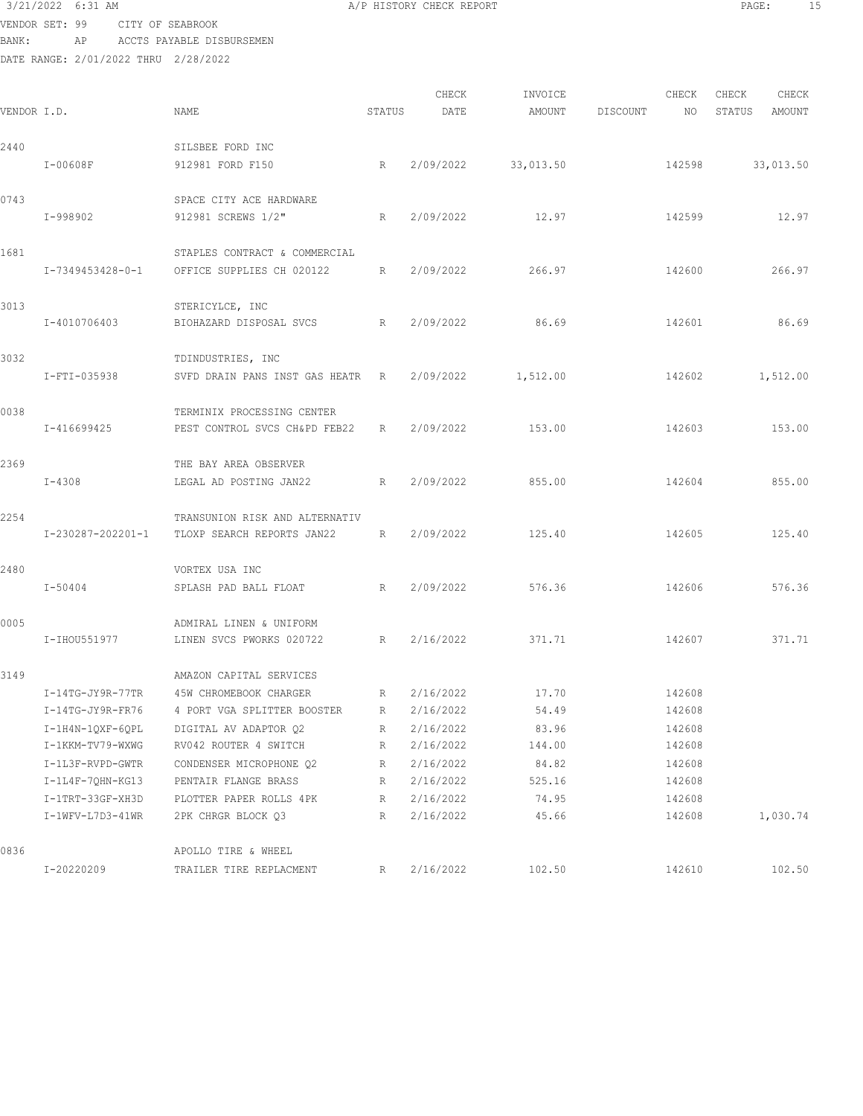VENDOR SET: 99 CITY OF SEABROOK

| BANK:                                | AP |  | ACCTS PAYABLE DISBURSEMEN |  |
|--------------------------------------|----|--|---------------------------|--|
| DATE RANGE: 2/01/2022 THRU 2/28/2022 |    |  |                           |  |

|             |                    |                                |                 | CHECK     | INVOICE   |          | CHECK  | CHECK  | CHECK     |
|-------------|--------------------|--------------------------------|-----------------|-----------|-----------|----------|--------|--------|-----------|
| VENDOR I.D. |                    | NAME                           | STATUS          | DATE      | AMOUNT    | DISCOUNT | NO.    | STATUS | AMOUNT    |
| 2440        |                    | SILSBEE FORD INC               |                 |           |           |          |        |        |           |
|             | I-00608F           | 912981 FORD F150               | R               | 2/09/2022 | 33,013.50 |          | 142598 |        | 33,013.50 |
| 0743        |                    | SPACE CITY ACE HARDWARE        |                 |           |           |          |        |        |           |
|             | I-998902           | 912981 SCREWS 1/2"             | $R_{\parallel}$ | 2/09/2022 | 12.97     |          | 142599 |        | 12.97     |
| 1681        |                    | STAPLES CONTRACT & COMMERCIAL  |                 |           |           |          |        |        |           |
|             | I-7349453428-0-1   | OFFICE SUPPLIES CH 020122      | R               | 2/09/2022 | 266.97    |          | 142600 |        | 266.97    |
| 3013        |                    | STERICYLCE, INC                |                 |           |           |          |        |        |           |
|             | I-4010706403       | BIOHAZARD DISPOSAL SVCS        | R               | 2/09/2022 | 86.69     |          | 142601 |        | 86.69     |
| 3032        |                    | TDINDUSTRIES, INC              |                 |           |           |          |        |        |           |
|             | I-FTI-035938       | SVFD DRAIN PANS INST GAS HEATR | R               | 2/09/2022 | 1,512.00  |          | 142602 |        | 1,512.00  |
| 0038        |                    | TERMINIX PROCESSING CENTER     |                 |           |           |          |        |        |           |
|             | I-416699425        | PEST CONTROL SVCS CH&PD FEB22  | $R_{\parallel}$ | 2/09/2022 | 153.00    |          | 142603 |        | 153.00    |
| 2369        |                    | THE BAY AREA OBSERVER          |                 |           |           |          |        |        |           |
|             | $I - 4308$         | LEGAL AD POSTING JAN22         | R               | 2/09/2022 | 855.00    |          | 142604 |        | 855.00    |
| 2254        |                    | TRANSUNION RISK AND ALTERNATIV |                 |           |           |          |        |        |           |
|             | I-230287-202201-1  | TLOXP SEARCH REPORTS JAN22     | R               | 2/09/2022 | 125.40    |          | 142605 |        | 125.40    |
| 2480        |                    | VORTEX USA INC                 |                 |           |           |          |        |        |           |
|             | I-50404            | SPLASH PAD BALL FLOAT          | R               | 2/09/2022 | 576.36    |          | 142606 |        | 576.36    |
| 0005        |                    | ADMIRAL LINEN & UNIFORM        |                 |           |           |          |        |        |           |
|             | I-IHOU551977       | LINEN SVCS PWORKS 020722       | R               | 2/16/2022 | 371.71    |          | 142607 |        | 371.71    |
| 3149        |                    | AMAZON CAPITAL SERVICES        |                 |           |           |          |        |        |           |
|             | $I-14TG-JY9R-77TR$ | 45W CHROMEBOOK CHARGER         | R               | 2/16/2022 | 17.70     |          | 142608 |        |           |
|             | I-14TG-JY9R-FR76   | 4 PORT VGA SPLITTER BOOSTER    | R               | 2/16/2022 | 54.49     |          | 142608 |        |           |
|             | $I-1H4N-1QXF-6QPL$ | DIGITAL AV ADAPTOR Q2          | R               | 2/16/2022 | 83.96     |          | 142608 |        |           |
|             | I-1KKM-TV79-WXWG   | RV042 ROUTER 4 SWITCH          | R               | 2/16/2022 | 144.00    |          | 142608 |        |           |
|             | I-1L3F-RVPD-GWTR   | CONDENSER MICROPHONE Q2        | R               | 2/16/2022 | 84.82     |          | 142608 |        |           |
|             | $I-1L4F-7QHN-KG13$ | PENTAIR FLANGE BRASS           | R               | 2/16/2022 | 525.16    |          | 142608 |        |           |
|             | I-1TRT-33GF-XH3D   | PLOTTER PAPER ROLLS 4PK        | R               | 2/16/2022 | 74.95     |          | 142608 |        |           |
|             | I-1WFV-L7D3-41WR   | 2PK CHRGR BLOCK Q3             | R               | 2/16/2022 | 45.66     |          | 142608 |        | 1,030.74  |
| 0836        |                    | APOLLO TIRE & WHEEL            |                 |           |           |          |        |        |           |
|             | I-20220209         | TRAILER TIRE REPLACMENT        | R.              | 2/16/2022 | 102.50    |          | 142610 |        | 102.50    |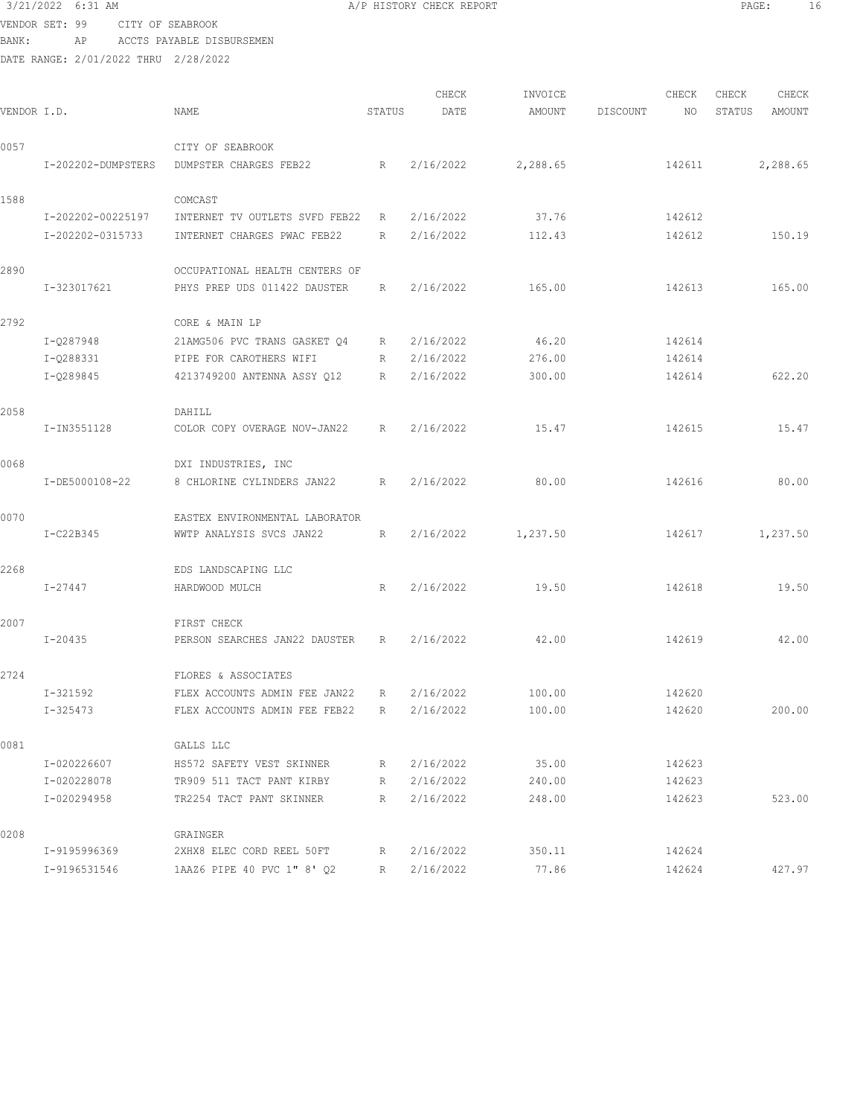## 3/21/2022 6:31 AM **A**/P HISTORY CHECK REPORT **PAGE:** 16 VENDOR SET: 99 CITY OF SEABROOK

BANK: AP ACCTS PAYABLE DISBURSEMEN

|             |                    |                                |              | CHECK     | INVOICE  |          | CHECK  | CHECK  | CHECK    |
|-------------|--------------------|--------------------------------|--------------|-----------|----------|----------|--------|--------|----------|
| VENDOR I.D. |                    | <b>NAME</b>                    | STATUS       | DATE      | AMOUNT   | DISCOUNT | NO     | STATUS | AMOUNT   |
| 0057        |                    | CITY OF SEABROOK               |              |           |          |          |        |        |          |
|             | I-202202-DUMPSTERS | DUMPSTER CHARGES FEB22         | R            | 2/16/2022 | 2,288.65 |          | 142611 |        | 2,288.65 |
| 1588        |                    | COMCAST                        |              |           |          |          |        |        |          |
|             | I-202202-00225197  | INTERNET TV OUTLETS SVFD FEB22 | R            | 2/16/2022 | 37.76    |          | 142612 |        |          |
|             | I-202202-0315733   | INTERNET CHARGES PWAC FEB22    | R            | 2/16/2022 | 112.43   |          | 142612 |        | 150.19   |
| 2890        |                    | OCCUPATIONAL HEALTH CENTERS OF |              |           |          |          |        |        |          |
|             | I-323017621        | PHYS PREP UDS 011422 DAUSTER   | R            | 2/16/2022 | 165.00   |          | 142613 |        | 165.00   |
| 2792        |                    | CORE & MAIN LP                 |              |           |          |          |        |        |          |
|             | I-Q287948          | 21AMG506 PVC TRANS GASKET Q4   | R            | 2/16/2022 | 46.20    |          | 142614 |        |          |
|             | I-Q288331          | PIPE FOR CAROTHERS WIFI        | R            | 2/16/2022 | 276.00   |          | 142614 |        |          |
|             | I-Q289845          | 4213749200 ANTENNA ASSY 012    | $\mathbb{R}$ | 2/16/2022 | 300.00   |          | 142614 |        | 622.20   |
| 2058        |                    | DAHILL                         |              |           |          |          |        |        |          |
|             | I-IN3551128        | COLOR COPY OVERAGE NOV-JAN22   | R            | 2/16/2022 | 15.47    |          | 142615 |        | 15.47    |
| 0068        |                    | DXI INDUSTRIES, INC            |              |           |          |          |        |        |          |
|             | I-DE5000108-22     | 8 CHLORINE CYLINDERS JAN22     | R            | 2/16/2022 | 80.00    |          | 142616 |        | 80.00    |
| 0070        |                    | EASTEX ENVIRONMENTAL LABORATOR |              |           |          |          |        |        |          |
|             | I-C22B345          | WWTP ANALYSIS SVCS JAN22       | R            | 2/16/2022 | 1,237.50 |          | 142617 |        | 1,237.50 |
| 2268        |                    | EDS LANDSCAPING LLC            |              |           |          |          |        |        |          |
|             | I-27447            | HARDWOOD MULCH                 | R            | 2/16/2022 | 19.50    |          | 142618 |        | 19.50    |
| 2007        |                    | FIRST CHECK                    |              |           |          |          |        |        |          |
|             | $I - 20435$        | PERSON SEARCHES JAN22 DAUSTER  | R            | 2/16/2022 | 42.00    |          | 142619 |        | 42.00    |
| 2724        |                    | FLORES & ASSOCIATES            |              |           |          |          |        |        |          |
|             | $I - 321592$       | FLEX ACCOUNTS ADMIN FEE JAN22  | R            | 2/16/2022 | 100.00   |          | 142620 |        |          |
|             | I-325473           | FLEX ACCOUNTS ADMIN FEE FEB22  | R            | 2/16/2022 | 100.00   |          | 142620 |        | 200.00   |
| 0081        |                    | GALLS LLC                      |              |           |          |          |        |        |          |
|             | I-020226607        | HS572 SAFETY VEST SKINNER      | R            | 2/16/2022 | 35.00    |          | 142623 |        |          |
|             | I-020228078        | TR909 511 TACT PANT KIRBY      | R            | 2/16/2022 | 240.00   |          | 142623 |        |          |
|             | I-020294958        | TR2254 TACT PANT SKINNER       | R            | 2/16/2022 | 248.00   |          | 142623 |        | 523.00   |
| 0208        |                    | GRAINGER                       |              |           |          |          |        |        |          |
|             | I-9195996369       | 2XHX8 ELEC CORD REEL 50FT      | R            | 2/16/2022 | 350.11   |          | 142624 |        |          |
|             | I-9196531546       | 1AAZ6 PIPE 40 PVC 1" 8' Q2     | R            | 2/16/2022 | 77.86    |          | 142624 |        | 427.97   |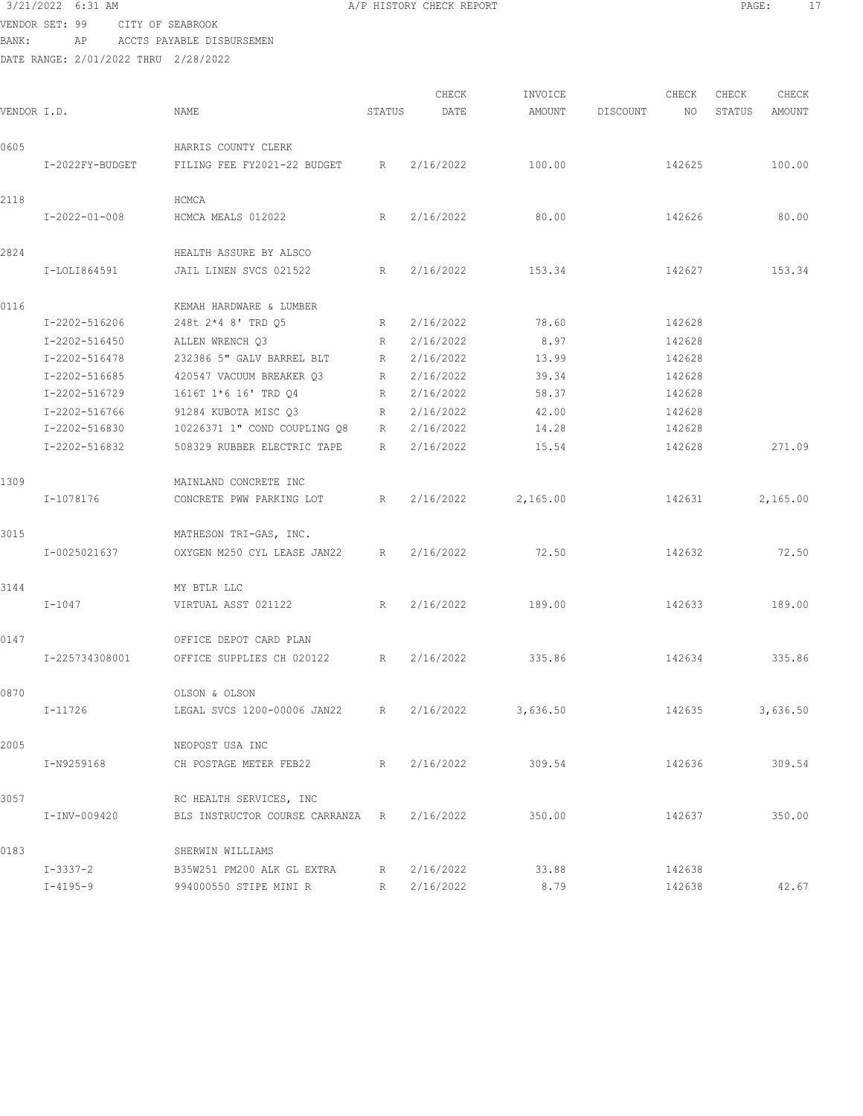VENDOR SET: 99 CITY OF SEABROOK BANK: AP ACCTS PAYABLE DISBURSEMEN

| VENDOR I.D. |                 | NAME                             | STATUS | CHECK<br>DATE | INVOICE<br>AMOUNT | DISCOUNT | CHECK<br>NO | CHECK<br>STATUS | CHECK<br>AMOUNT |
|-------------|-----------------|----------------------------------|--------|---------------|-------------------|----------|-------------|-----------------|-----------------|
| 0605        |                 | HARRIS COUNTY CLERK              |        |               |                   |          |             |                 |                 |
|             | I-2022FY-BUDGET | FILING FEE FY2021-22 BUDGET      | R      | 2/16/2022     | 100.00            |          | 142625      |                 | 100.00          |
| 2118        |                 | HCMCA                            |        |               |                   |          |             |                 |                 |
|             | $I-2022-01-008$ | HCMCA MEALS 012022               | R      | 2/16/2022     | 80.00             |          | 142626      |                 | 80.00           |
| 2824        |                 | HEALTH ASSURE BY ALSCO           |        |               |                   |          |             |                 |                 |
|             | I-LOLI864591    | JAIL LINEN SVCS 021522           | R      | 2/16/2022     | 153.34            |          | 142627      |                 | 153.34          |
| 0116        |                 | KEMAH HARDWARE & LUMBER          |        |               |                   |          |             |                 |                 |
|             | I-2202-516206   | 248t 2*4 8' TRD Q5               | R      | 2/16/2022     | 78.60             |          | 142628      |                 |                 |
|             | I-2202-516450   | ALLEN WRENCH Q3                  | R      | 2/16/2022     | 8.97              |          | 142628      |                 |                 |
|             | I-2202-516478   | 232386 5" GALV BARREL BLT        | R      | 2/16/2022     | 13.99             |          | 142628      |                 |                 |
|             | I-2202-516685   | 420547 VACUUM BREAKER Q3         | R      | 2/16/2022     | 39.34             |          | 142628      |                 |                 |
|             | I-2202-516729   | 1616T 1*6 16' TRD 04             | R      | 2/16/2022     | 58.37             |          | 142628      |                 |                 |
|             | I-2202-516766   | 91284 KUBOTA MISC Q3             | R      | 2/16/2022     | 42.00             |          | 142628      |                 |                 |
|             | I-2202-516830   | 10226371 1" COND COUPLING Q8     | R      | 2/16/2022     | 14.28             |          | 142628      |                 |                 |
|             | I-2202-516832   | 508329 RUBBER ELECTRIC TAPE      | R      | 2/16/2022     | 15.54             |          | 142628      |                 | 271.09          |
| 1309        |                 | MAINLAND CONCRETE INC            |        |               |                   |          |             |                 |                 |
|             | I-1078176       | CONCRETE PWW PARKING LOT         | R      | 2/16/2022     | 2,165.00          |          | 142631      |                 | 2,165.00        |
| 3015        |                 | MATHESON TRI-GAS, INC.           |        |               |                   |          |             |                 |                 |
|             | I-0025021637    | OXYGEN M250 CYL LEASE JAN22      | R      | 2/16/2022     | 72.50             |          | 142632      |                 | 72.50           |
| 3144        |                 | MY BTLR LLC                      |        |               |                   |          |             |                 |                 |
|             | $I-1047$        | VIRTUAL ASST 021122              | R      | 2/16/2022     | 189.00            |          | 142633      |                 | 189.00          |
| 0147        |                 | OFFICE DEPOT CARD PLAN           |        |               |                   |          |             |                 |                 |
|             | I-225734308001  | OFFICE SUPPLIES CH 020122        | R      | 2/16/2022     | 335.86            |          | 142634      |                 | 335.86          |
| 0870        |                 | OLSON & OLSON                    |        |               |                   |          |             |                 |                 |
|             | $I-11726$       | LEGAL SVCS 1200-00006 JAN22      | R      | 2/16/2022     | 3,636.50          |          | 142635      |                 | 3,636.50        |
| 2005        |                 | NEOPOST USA INC                  |        |               |                   |          |             |                 |                 |
|             | I-N9259168      | CH POSTAGE METER FEB22           | R      | 2/16/2022     | 309.54            |          | 142636      |                 | 309.54          |
| 3057        |                 | RC HEALTH SERVICES, INC          |        |               |                   |          |             |                 |                 |
|             | I-INV-009420    | BLS INSTRUCTOR COURSE CARRANZA R |        | 2/16/2022     | 350.00            |          | 142637      |                 | 350.00          |
| 0183        |                 | SHERWIN WILLIAMS                 |        |               |                   |          |             |                 |                 |
|             | $I - 3337 - 2$  | B35W251 PM200 ALK GL EXTRA       | R      | 2/16/2022     | 33.88             |          | 142638      |                 |                 |
|             | $I - 4195 - 9$  | 994000550 STIPE MINI R           | R      | 2/16/2022     | 8.79              |          | 142638      |                 | 42.67           |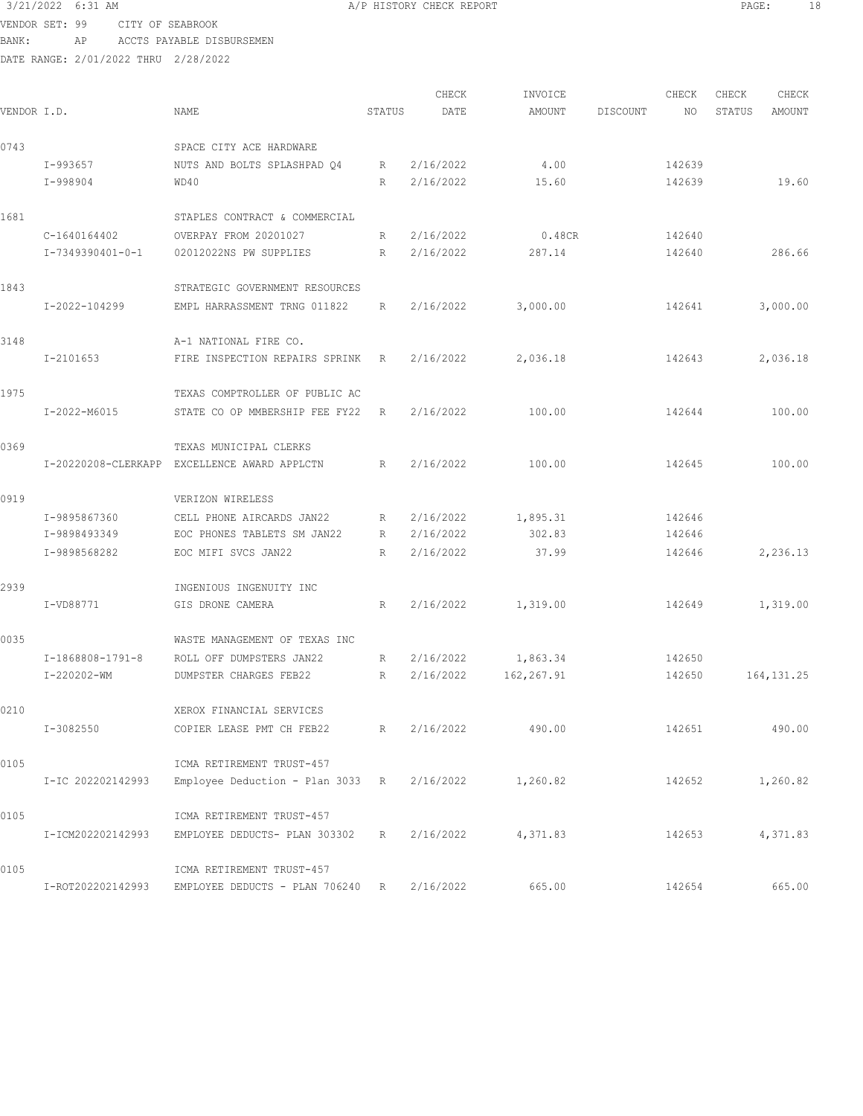VENDOR SET: 99 CITY OF SEABROOK BANK: AP ACCTS PAYABLE DISBURSEMEN

| VENDOR I.D. |                   | NAME                                                                | STATUS | CHECK<br>DATE | INVOICE<br>AMOUNT | DISCOUNT | CHECK<br>NO | CHECK<br>STATUS | CHECK<br><b>AMOUNT</b> |
|-------------|-------------------|---------------------------------------------------------------------|--------|---------------|-------------------|----------|-------------|-----------------|------------------------|
| 0743        |                   | SPACE CITY ACE HARDWARE                                             |        |               |                   |          |             |                 |                        |
|             | I-993657          | NUTS AND BOLTS SPLASHPAD 04                                         | R      | 2/16/2022     | 4.00              |          | 142639      |                 |                        |
|             | I-998904          | WD40                                                                | R      | 2/16/2022     | 15.60             |          | 142639      |                 | 19.60                  |
| 1681        |                   | STAPLES CONTRACT & COMMERCIAL                                       |        |               |                   |          |             |                 |                        |
|             | C-1640164402      | OVERPAY FROM 20201027                                               | R      | 2/16/2022     | 0.48CR            |          | 142640      |                 |                        |
|             | I-7349390401-0-1  | 02012022NS PW SUPPLIES                                              | R      | 2/16/2022     | 287.14            |          | 142640      |                 | 286.66                 |
| 1843        |                   | STRATEGIC GOVERNMENT RESOURCES                                      |        |               |                   |          |             |                 |                        |
|             | I-2022-104299     | EMPL HARRASSMENT TRNG 011822                                        | R      | 2/16/2022     | 3,000.00          |          | 142641      |                 | 3,000.00               |
| 3148        |                   | A-1 NATIONAL FIRE CO.                                               |        |               |                   |          |             |                 |                        |
|             | I-2101653         | FIRE INSPECTION REPAIRS SPRINK                                      | R      | 2/16/2022     | 2,036.18          |          | 142643      |                 | 2,036.18               |
| 1975        |                   | TEXAS COMPTROLLER OF PUBLIC AC                                      |        |               |                   |          |             |                 |                        |
|             | I-2022-M6015      | STATE CO OP MMBERSHIP FEE FY22                                      | R      | 2/16/2022     | 100.00            |          | 142644      |                 | 100.00                 |
| 0369        |                   | TEXAS MUNICIPAL CLERKS                                              |        |               |                   |          |             |                 |                        |
|             |                   | I-20220208-CLERKAPP EXCELLENCE AWARD APPLCTN                        | R      | 2/16/2022     | 100.00            |          | 142645      |                 | 100.00                 |
| 0919        |                   | VERIZON WIRELESS                                                    |        |               |                   |          |             |                 |                        |
|             | I-9895867360      | CELL PHONE AIRCARDS JAN22                                           | R      | 2/16/2022     | 1,895.31          |          | 142646      |                 |                        |
|             | I-9898493349      | EOC PHONES TABLETS SM JAN22                                         | R      | 2/16/2022     | 302.83            |          | 142646      |                 |                        |
|             | I-9898568282      | EOC MIFI SVCS JAN22                                                 | R      | 2/16/2022     | 37.99             |          | 142646      |                 | 2,236.13               |
| 2939        |                   | INGENIOUS INGENUITY INC                                             |        |               |                   |          |             |                 |                        |
|             | I-VD88771         | GIS DRONE CAMERA                                                    | R      | 2/16/2022     | 1,319.00          |          | 142649      |                 | 1,319.00               |
| 0035        |                   | WASTE MANAGEMENT OF TEXAS INC                                       |        |               |                   |          |             |                 |                        |
|             | I-1868808-1791-8  | ROLL OFF DUMPSTERS JAN22                                            | R      | 2/16/2022     | 1,863.34          |          | 142650      |                 |                        |
|             | I-220202-WM       | DUMPSTER CHARGES FEB22                                              | R      | 2/16/2022     | 162,267.91        |          | 142650      |                 | 164, 131. 25           |
| 0210        |                   | XEROX FINANCIAL SERVICES                                            |        |               |                   |          |             |                 |                        |
|             | I-3082550         | COPIER LEASE PMT CH FEB22                                           |        | R 2/16/2022   | 490.00            |          |             |                 | 142651 490.00          |
| 0105        |                   | ICMA RETIREMENT TRUST-457                                           |        |               |                   |          |             |                 |                        |
|             | I-IC 202202142993 | Employee Deduction - Plan 3033 R $2/16/2022$ 1,260.82               |        |               |                   |          |             | 142652          | 1,260.82               |
| 0105        |                   | ICMA RETIREMENT TRUST-457                                           |        |               |                   |          |             |                 |                        |
|             | I-ICM202202142993 | EMPLOYEE DEDUCTS- PLAN 303302 R                                     |        | 2/16/2022     | 4,371.83          |          | 142653      |                 | 4,371.83               |
| 0105        |                   | ICMA RETIREMENT TRUST-457                                           |        |               |                   |          |             |                 |                        |
|             |                   | I-ROT202202142993 EMPLOYEE DEDUCTS - PLAN 706240 R 2/16/2022 665.00 |        |               |                   |          | 142654      |                 | 665.00                 |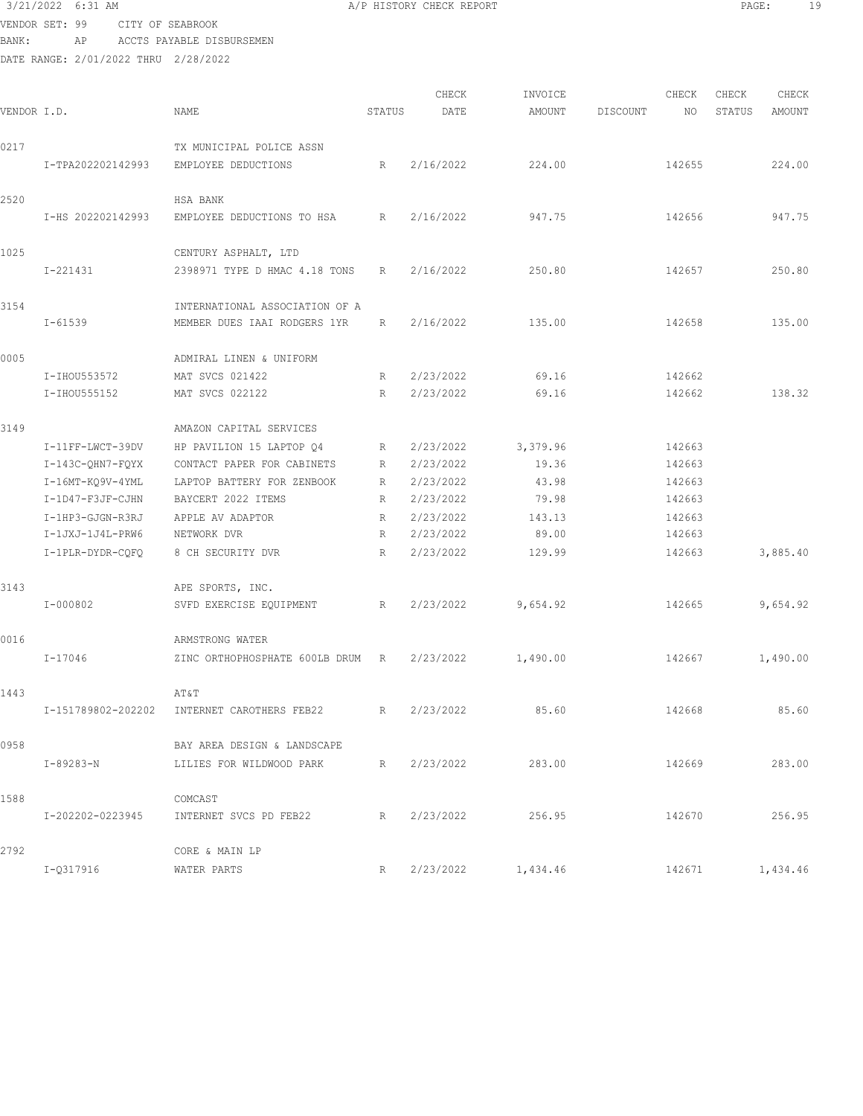## 3/21/2022 6:31 AM **A**/P HISTORY CHECK REPORT **PAGE:** 19 VENDOR SET: 99 CITY OF SEABROOK

BANK: AP ACCTS PAYABLE DISBURSEMEN

| VENDOR I.D. |                    | NAME                           | STATUS          | CHECK<br>DATE | INVOICE<br>AMOUNT | DISCOUNT | CHECK<br>NO | CHECK<br>STATUS | CHECK<br>AMOUNT |
|-------------|--------------------|--------------------------------|-----------------|---------------|-------------------|----------|-------------|-----------------|-----------------|
| 0217        |                    | TX MUNICIPAL POLICE ASSN       |                 |               |                   |          |             |                 |                 |
|             | I-TPA202202142993  | EMPLOYEE DEDUCTIONS            | R               | 2/16/2022     | 224.00            |          | 142655      |                 | 224.00          |
| 2520        |                    | HSA BANK                       |                 |               |                   |          |             |                 |                 |
|             | I-HS 202202142993  | EMPLOYEE DEDUCTIONS TO HSA     | R               | 2/16/2022     | 947.75            |          | 142656      |                 | 947.75          |
| 1025        |                    | CENTURY ASPHALT, LTD           |                 |               |                   |          |             |                 |                 |
|             | I-221431           | 2398971 TYPE D HMAC 4.18 TONS  | R               | 2/16/2022     | 250.80            |          | 142657      |                 | 250.80          |
| 3154        |                    | INTERNATIONAL ASSOCIATION OF A |                 |               |                   |          |             |                 |                 |
|             | $I - 61539$        | MEMBER DUES IAAI RODGERS 1YR   | R               | 2/16/2022     | 135.00            |          | 142658      |                 | 135.00          |
| 0005        |                    | ADMIRAL LINEN & UNIFORM        |                 |               |                   |          |             |                 |                 |
|             | I-IHOU553572       | MAT SVCS 021422                | R               | 2/23/2022     | 69.16             |          | 142662      |                 |                 |
|             | I-IHOU555152       | MAT SVCS 022122                | $R_{\parallel}$ | 2/23/2022     | 69.16             |          | 142662      |                 | 138.32          |
| 3149        |                    | AMAZON CAPITAL SERVICES        |                 |               |                   |          |             |                 |                 |
|             | I-11FF-LWCT-39DV   | HP PAVILION 15 LAPTOP Q4       | R               | 2/23/2022     | 3,379.96          |          | 142663      |                 |                 |
|             | $I-143C-QHN7-FQYX$ | CONTACT PAPER FOR CABINETS     | R               | 2/23/2022     | 19.36             |          | 142663      |                 |                 |
|             | I-16MT-KO9V-4YML   | LAPTOP BATTERY FOR ZENBOOK     | R               | 2/23/2022     | 43.98             |          | 142663      |                 |                 |
|             | I-1D47-F3JF-CJHN   | BAYCERT 2022 ITEMS             | R               | 2/23/2022     | 79.98             |          | 142663      |                 |                 |
|             | I-1HP3-GJGN-R3RJ   | APPLE AV ADAPTOR               | R               | 2/23/2022     | 143.13            |          | 142663      |                 |                 |
|             | I-1JXJ-1J4L-PRW6   | NETWORK DVR                    | R               | 2/23/2022     | 89.00             |          | 142663      |                 |                 |
|             | I-1PLR-DYDR-CQFQ   | 8 CH SECURITY DVR              | R               | 2/23/2022     | 129.99            |          | 142663      |                 | 3,885.40        |
| 3143        |                    | APE SPORTS, INC.               |                 |               |                   |          |             |                 |                 |
|             | I-000802           | SVFD EXERCISE EQUIPMENT        | R               | 2/23/2022     | 9,654.92          |          | 142665      |                 | 9,654.92        |
| 0016        |                    | ARMSTRONG WATER                |                 |               |                   |          |             |                 |                 |
|             | $I - 17046$        | ZINC ORTHOPHOSPHATE 600LB DRUM | R               | 2/23/2022     | 1,490.00          |          | 142667      |                 | 1,490.00        |
| 1443        |                    | AT&T                           |                 |               |                   |          |             |                 |                 |
|             | I-151789802-202202 | INTERNET CAROTHERS FEB22       | R               | 2/23/2022     | 85.60             |          | 142668      |                 | 85.60           |
| 0958        |                    | BAY AREA DESIGN & LANDSCAPE    |                 |               |                   |          |             |                 |                 |
|             | I-89283-N          | LILIES FOR WILDWOOD PARK       | R               | 2/23/2022     | 283.00            |          | 142669      |                 | 283.00          |
| 1588        |                    | COMCAST                        |                 |               |                   |          |             |                 |                 |
|             | I-202202-0223945   | INTERNET SVCS PD FEB22         | R               | 2/23/2022     | 256.95            |          | 142670      |                 | 256.95          |
| 2792        |                    | CORE & MAIN LP                 |                 |               |                   |          |             |                 |                 |
|             | I-Q317916          | WATER PARTS                    | R               | 2/23/2022     | 1,434.46          |          | 142671      |                 | 1,434.46        |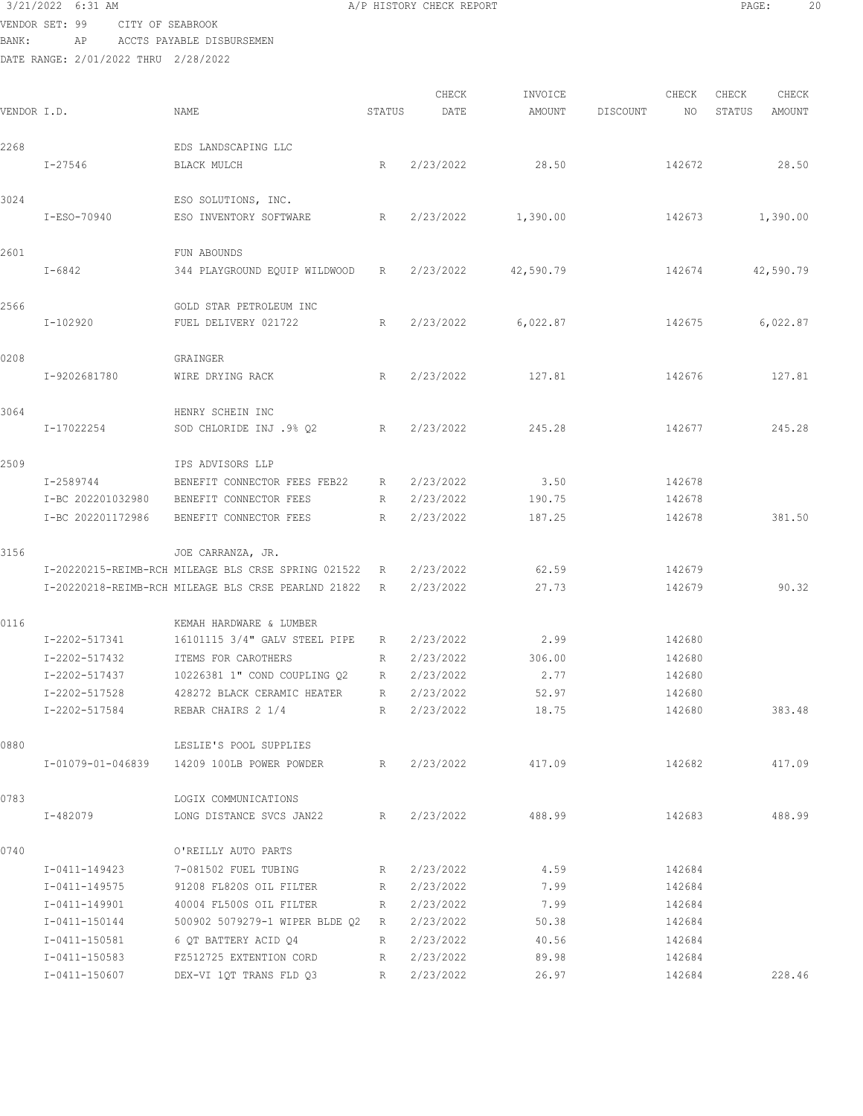### 3/21/2022 6:31 AM **A/P HISTORY CHECK REPORT PAGE:** 20 VENDOR SET: 99 CITY OF SEABROOK

BANK: AP ACCTS PAYABLE DISBURSEMEN

| VENDOR I.D. |                                                                                                                     | NAME                                                                                                                                                                                                                | STATUS                     | CHECK<br>DATE                                                                           | INVOICE<br>AMOUNT                                        | DISCOUNT | CHECK<br>NO.                                                       | CHECK<br>STATUS | CHECK<br>AMOUNT |
|-------------|---------------------------------------------------------------------------------------------------------------------|---------------------------------------------------------------------------------------------------------------------------------------------------------------------------------------------------------------------|----------------------------|-----------------------------------------------------------------------------------------|----------------------------------------------------------|----------|--------------------------------------------------------------------|-----------------|-----------------|
| 2268        |                                                                                                                     | EDS LANDSCAPING LLC                                                                                                                                                                                                 |                            |                                                                                         |                                                          |          |                                                                    |                 |                 |
|             | I-27546                                                                                                             | BLACK MULCH                                                                                                                                                                                                         | R                          | 2/23/2022                                                                               | 28.50                                                    |          | 142672                                                             |                 | 28.50           |
| 3024        | I-ESO-70940                                                                                                         | ESO SOLUTIONS, INC.<br>ESO INVENTORY SOFTWARE                                                                                                                                                                       | R                          | 2/23/2022                                                                               | 1,390.00                                                 |          | 142673                                                             |                 | 1,390.00        |
| 2601        | $I - 6842$                                                                                                          | FUN ABOUNDS<br>344 PLAYGROUND EQUIP WILDWOOD                                                                                                                                                                        | R                          | 2/23/2022                                                                               | 42,590.79                                                |          | 142674                                                             |                 | 42,590.79       |
| 2566        | I-102920                                                                                                            | GOLD STAR PETROLEUM INC<br>FUEL DELIVERY 021722                                                                                                                                                                     | R                          | 2/23/2022                                                                               | 6,022.87                                                 |          | 142675                                                             |                 | 6,022.87        |
| 0208        | I-9202681780                                                                                                        | GRAINGER<br>WIRE DRYING RACK                                                                                                                                                                                        | R                          | 2/23/2022                                                                               | 127.81                                                   |          | 142676                                                             |                 | 127.81          |
| 3064        | I-17022254                                                                                                          | HENRY SCHEIN INC<br>SOD CHLORIDE INJ .9% Q2                                                                                                                                                                         | R                          | 2/23/2022                                                                               | 245.28                                                   |          | 142677                                                             |                 | 245.28          |
| 2509        | I-2589744<br>I-BC 202201032980<br>I-BC 202201172986                                                                 | IPS ADVISORS LLP<br>BENEFIT CONNECTOR FEES FEB22<br>BENEFIT CONNECTOR FEES<br>BENEFIT CONNECTOR FEES                                                                                                                | R<br>R<br>$R_{\parallel}$  | 2/23/2022<br>2/23/2022<br>2/23/2022                                                     | 3.50<br>190.75<br>187.25                                 |          | 142678<br>142678<br>142678                                         |                 | 381.50          |
| 3156        |                                                                                                                     | JOE CARRANZA, JR.<br>I-20220215-REIMB-RCH MILEAGE BLS CRSE SPRING 021522<br>I-20220218-REIMB-RCH MILEAGE BLS CRSE PEARLND 21822                                                                                     | R<br>R                     | 2/23/2022<br>2/23/2022                                                                  | 62.59<br>27.73                                           |          | 142679<br>142679                                                   |                 | 90.32           |
| 0116        | I-2202-517341<br>I-2202-517432<br>I-2202-517437<br>I-2202-517528<br>I-2202-517584                                   | KEMAH HARDWARE & LUMBER<br>16101115 3/4" GALV STEEL PIPE<br>ITEMS FOR CAROTHERS<br>10226381 1" COND COUPLING Q2<br>428272 BLACK CERAMIC HEATER<br>REBAR CHAIRS 2 1/4                                                | R<br>R<br>R<br>R<br>R      | 2/23/2022<br>2/23/2022<br>2/23/2022<br>2/23/2022<br>2/23/2022                           | 2.99<br>306.00<br>2.77<br>52.97<br>18.75                 |          | 142680<br>142680<br>142680<br>142680<br>142680                     |                 | 383.48          |
| 0880        |                                                                                                                     | LESLIE'S POOL SUPPLIES<br>I-01079-01-046839 14209 100LB POWER POWDER                                                                                                                                                |                            | R 2/23/2022                                                                             | 417.09                                                   |          | 142682                                                             |                 | 417.09          |
| 0783        | I-482079                                                                                                            | LOGIX COMMUNICATIONS<br>LONG DISTANCE SVCS JAN22                                                                                                                                                                    | R                          | 2/23/2022                                                                               | 488.99                                                   |          | 142683                                                             |                 | 488.99          |
| 0740        | I-0411-149423<br>I-0411-149575<br>I-0411-149901<br>I-0411-150144<br>I-0411-150581<br>I-0411-150583<br>I-0411-150607 | O'REILLY AUTO PARTS<br>7-081502 FUEL TUBING<br>91208 FL820S OIL FILTER<br>40004 FL500S OIL FILTER<br>500902 5079279-1 WIPER BLDE Q2 R<br>6 QT BATTERY ACID Q4<br>FZ512725 EXTENTION CORD<br>DEX-VI 1QT TRANS FLD Q3 | R<br>R<br>R<br>R<br>R<br>R | 2/23/2022<br>2/23/2022<br>2/23/2022<br>2/23/2022<br>2/23/2022<br>2/23/2022<br>2/23/2022 | 4.59<br>7.99<br>7.99<br>50.38<br>40.56<br>89.98<br>26.97 |          | 142684<br>142684<br>142684<br>142684<br>142684<br>142684<br>142684 |                 | 228.46          |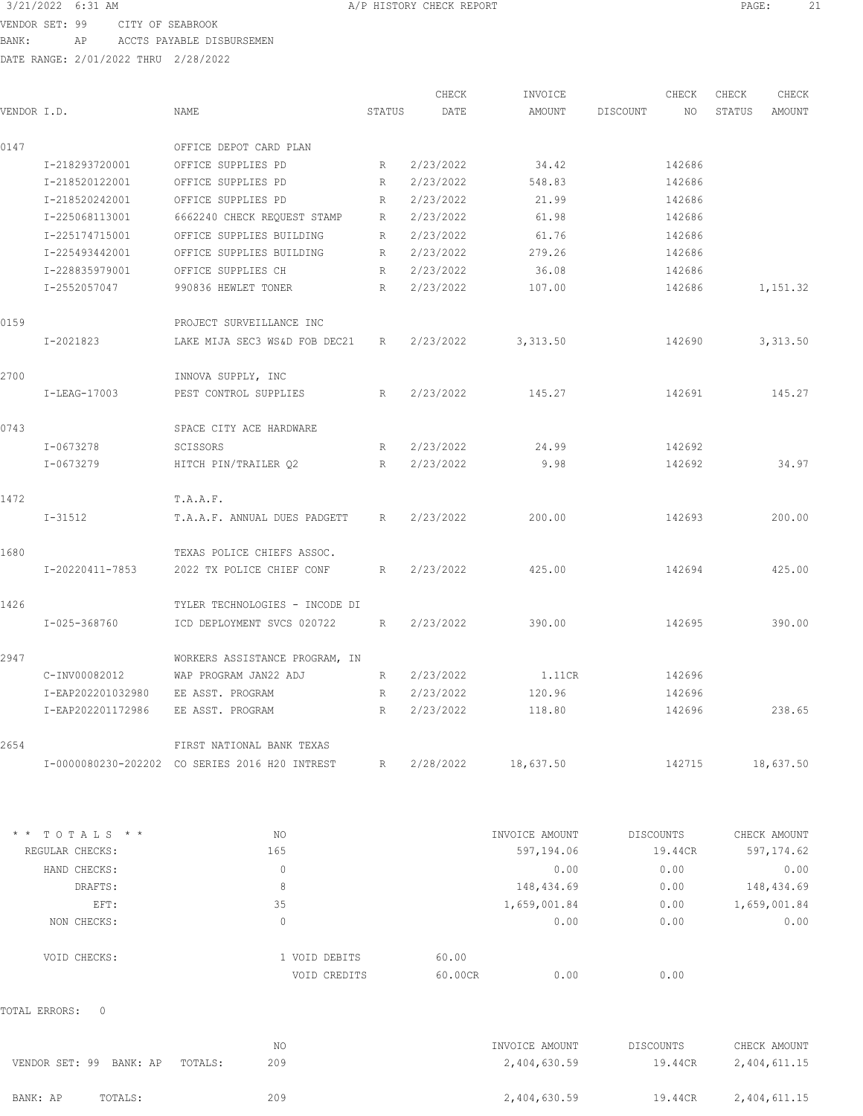| 3/21/2022 6:31 AM |                                      | A/P HISTORY CHECK REPORT | PAGE: | 21 |
|-------------------|--------------------------------------|--------------------------|-------|----|
|                   | VENDOR SET: 99 CITY OF SEABROOK      |                          |       |    |
|                   | BANK: AP ACCTS PAYABLE DISBURSEMEN   |                          |       |    |
|                   | DATE RANGE: 2/01/2022 THRU 2/28/2022 |                          |       |    |
|                   |                                      |                          |       |    |
|                   |                                      |                          |       |    |

|                 |                               |                                                |        | CHECK     | INVOICE        |                  | CHECK     | CHECK  | CHECK        |
|-----------------|-------------------------------|------------------------------------------------|--------|-----------|----------------|------------------|-----------|--------|--------------|
| VENDOR I.D.     |                               | NAME                                           | STATUS | DATE      | AMOUNT         | DISCOUNT         | NO        | STATUS | AMOUNT       |
| 0147            |                               | OFFICE DEPOT CARD PLAN                         |        |           |                |                  |           |        |              |
|                 | I-218293720001                | OFFICE SUPPLIES PD                             | R      | 2/23/2022 | 34.42          |                  | 142686    |        |              |
|                 | I-218520122001                | OFFICE SUPPLIES PD                             | R      | 2/23/2022 | 548.83         |                  | 142686    |        |              |
|                 | I-218520242001                | OFFICE SUPPLIES PD                             | R      | 2/23/2022 | 21.99          |                  | 142686    |        |              |
|                 | I-225068113001                | 6662240 CHECK REQUEST STAMP                    | R      | 2/23/2022 | 61.98          |                  | 142686    |        |              |
|                 | I-225174715001                | OFFICE SUPPLIES BUILDING                       | R      | 2/23/2022 | 61.76          |                  | 142686    |        |              |
|                 | I-225493442001                | OFFICE SUPPLIES BUILDING                       | R      | 2/23/2022 | 279.26         |                  | 142686    |        |              |
|                 | I-228835979001                | OFFICE SUPPLIES CH                             | R      | 2/23/2022 | 36.08          |                  | 142686    |        |              |
|                 | I-2552057047                  | 990836 HEWLET TONER                            | R      | 2/23/2022 | 107.00         |                  | 142686    |        | 1,151.32     |
| 0159            |                               | PROJECT SURVEILLANCE INC                       |        |           |                |                  |           |        |              |
|                 | I-2021823                     | LAKE MIJA SEC3 WS&D FOB DEC21                  | R      | 2/23/2022 | 3,313.50       |                  | 142690    |        | 3,313.50     |
| 2700            |                               | INNOVA SUPPLY, INC                             |        |           |                |                  |           |        |              |
|                 | I-LEAG-17003                  | PEST CONTROL SUPPLIES                          | R      | 2/23/2022 | 145.27         |                  | 142691    |        | 145.27       |
| 0743            |                               | SPACE CITY ACE HARDWARE                        |        |           |                |                  |           |        |              |
|                 | $I - 0673278$                 | SCISSORS                                       | R      | 2/23/2022 | 24.99          |                  | 142692    |        |              |
|                 | I-0673279                     | HITCH PIN/TRAILER Q2                           | R      | 2/23/2022 | 9.98           |                  | 142692    |        | 34.97        |
| 1472            |                               | T.A.A.F.                                       |        |           |                |                  |           |        |              |
|                 | $I-31512$                     | T.A.A.F. ANNUAL DUES PADGETT                   | R      | 2/23/2022 | 200.00         |                  | 142693    |        | 200.00       |
| 1680            |                               | TEXAS POLICE CHIEFS ASSOC.                     |        |           |                |                  |           |        |              |
|                 | I-20220411-7853               | 2022 TX POLICE CHIEF CONF                      | R      | 2/23/2022 | 425.00         |                  | 142694    |        | 425.00       |
| 1426            |                               | TYLER TECHNOLOGIES - INCODE DI                 |        |           |                |                  |           |        |              |
|                 | I-025-368760                  | ICD DEPLOYMENT SVCS 020722                     | R      | 2/23/2022 | 390.00         |                  | 142695    |        | 390.00       |
| 2947            |                               | WORKERS ASSISTANCE PROGRAM, IN                 |        |           |                |                  |           |        |              |
|                 | C-INV00082012                 | WAP PROGRAM JAN22 ADJ                          | R      | 2/23/2022 | 1.11CR         |                  | 142696    |        |              |
|                 | I-EAP202201032980             | EE ASST. PROGRAM                               | R      | 2/23/2022 | 120.96         |                  | 142696    |        |              |
|                 | I-EAP202201172986             | EE ASST. PROGRAM                               | R      | 2/23/2022 | 118.80         |                  | 142696    |        | 238.65       |
| 2654            |                               | FIRST NATIONAL BANK TEXAS                      |        |           |                |                  |           |        |              |
|                 |                               | I-0000080230-202202 CO SERIES 2016 H20 INTREST | R      | 2/28/2022 | 18,637.50      |                  | 142715    |        | 18,637.50    |
| $\star$ $\star$ | TOTALS * *                    | NO                                             |        |           | INVOICE AMOUNT |                  | DISCOUNTS |        | CHECK AMOUNT |
|                 | REGULAR CHECKS:               | 165                                            |        |           | 597,194.06     |                  | 19.44CR   |        | 597,174.62   |
|                 | HAND CHECKS:                  | $\circ$                                        |        |           | 0.00           |                  | 0.00      |        | 0.00         |
|                 | DRAFTS:                       | 8                                              |        |           | 148, 434.69    |                  | 0.00      |        | 148, 434.69  |
|                 | EFT:                          | 35                                             |        |           | 1,659,001.84   |                  | 0.00      |        | 1,659,001.84 |
|                 | NON CHECKS:                   | $\circ$                                        |        |           | 0.00           |                  | 0.00      |        | 0.00         |
|                 | VOID CHECKS:                  | 1 VOID DEBITS                                  |        | 60.00     |                |                  |           |        |              |
|                 |                               | VOID CREDITS                                   |        | 60.00CR   | 0.00           |                  | 0.00      |        |              |
|                 | TOTAL ERRORS:<br>$\mathbf{0}$ |                                                |        |           |                |                  |           |        |              |
|                 |                               | NO.                                            |        |           | INVOICE AMOUNT | <b>DISCOUNTS</b> |           |        | CHECK AMOUNT |
|                 | VENDOR SET: 99 BANK: AP       | 209<br>TOTALS:                                 |        |           | 2,404,630.59   |                  | 19.44CR   |        | 2,404,611.15 |

BANK: AP TOTALS: 209 209 2,404,630.59 19.44CR 2,404,611.15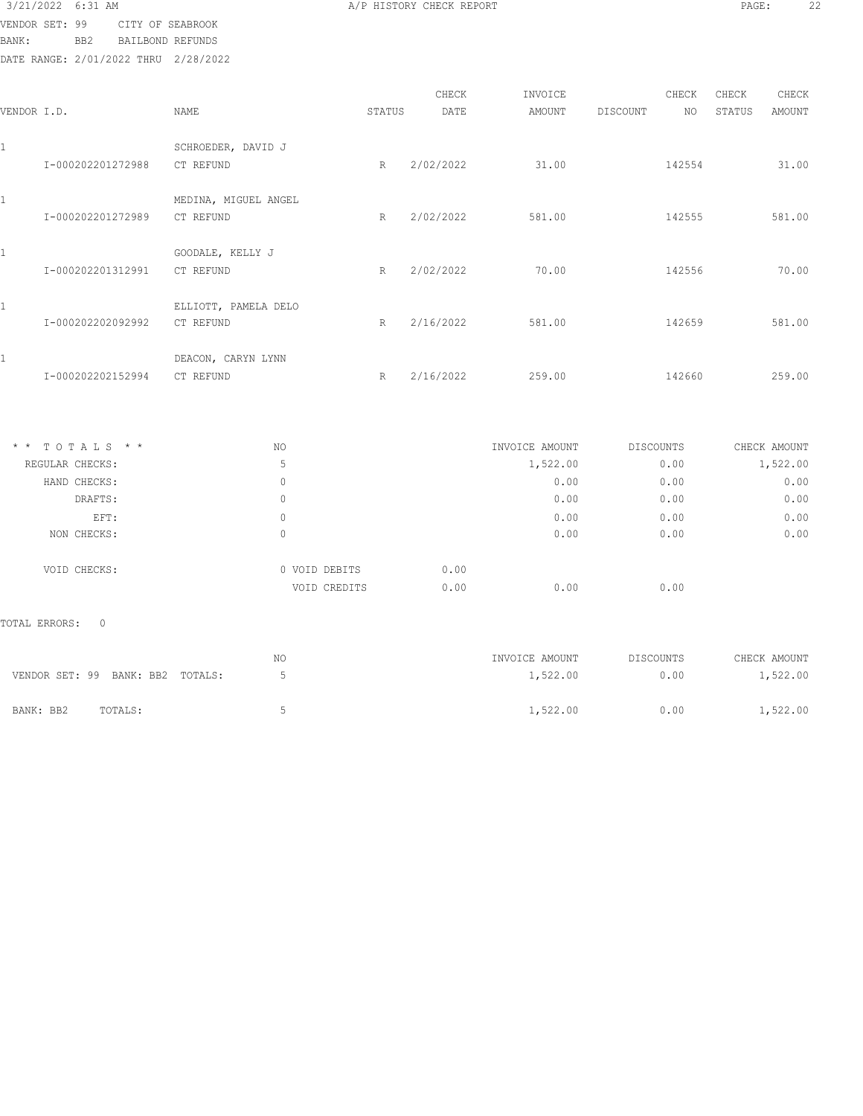| 3/21/2022 6:31 AM |                                      | A/P HISTORY CHECK REPORT | PAGE: | 22 |
|-------------------|--------------------------------------|--------------------------|-------|----|
|                   | VENDOR SET: 99 CITY OF SEABROOK      |                          |       |    |
| BANK:             | BB2 BAILBOND REFUNDS                 |                          |       |    |
|                   | DATE RANGE: 2/01/2022 THRU 2/28/2022 |                          |       |    |

| VENDOR I.D.   |                                  | NAME                 | STATUS       | CHECK<br>DATE | INVOICE<br>AMOUNT          | CHECK<br><b>DISCOUNT</b><br>NO | CHECK<br>CHECK<br>STATUS<br><b>AMOUNT</b> |
|---------------|----------------------------------|----------------------|--------------|---------------|----------------------------|--------------------------------|-------------------------------------------|
| $\mathbf{1}$  |                                  | SCHROEDER, DAVID J   |              |               |                            |                                |                                           |
|               | I-000202201272988                | CT REFUND            | R            | 2/02/2022     | 31.00                      | 142554                         | 31.00                                     |
| $\mathbf{1}$  |                                  | MEDINA, MIGUEL ANGEL |              |               |                            |                                |                                           |
|               | I-000202201272989                | CT REFUND            | R            | 2/02/2022     | 581.00                     | 142555                         | 581.00                                    |
| $\mathbf{1}$  |                                  | GOODALE, KELLY J     |              |               |                            |                                |                                           |
|               | I-000202201312991                | CT REFUND            | R            | 2/02/2022     | 70.00                      | 142556                         | 70.00                                     |
| $\mathbf{1}$  |                                  | ELLIOTT, PAMELA DELO |              |               |                            |                                |                                           |
|               | I-000202202092992                | CT REFUND            | R            | 2/16/2022     | 581.00                     | 142659                         | 581.00                                    |
| 1             |                                  | DEACON, CARYN LYNN   |              |               |                            |                                |                                           |
|               | I-000202202152994                | CT REFUND            | R            | 2/16/2022     | 259.00                     | 142660                         | 259.00                                    |
|               | * * TOTALS * *                   |                      |              |               |                            |                                |                                           |
|               | REGULAR CHECKS:                  | NO<br>5              |              |               | INVOICE AMOUNT<br>1,522.00 | DISCOUNTS<br>0.00              | CHECK AMOUNT<br>1,522.00                  |
|               | HAND CHECKS:                     | $\mathbb O$          |              |               | 0.00                       | 0.00                           | 0.00                                      |
|               | DRAFTS:                          | $\mathbb O$          |              |               | 0.00                       | 0.00                           | 0.00                                      |
|               | EFT:                             | $\mathbb O$          |              |               | 0.00                       | 0.00                           | 0.00                                      |
|               | NON CHECKS:                      | $\circ$              |              |               | 0.00                       | 0.00                           | 0.00                                      |
|               | VOID CHECKS:                     | 0 VOID DEBITS        |              | 0.00          |                            |                                |                                           |
|               |                                  |                      | VOID CREDITS | 0.00          | 0.00                       | 0.00                           |                                           |
| TOTAL ERRORS: | $\circ$                          |                      |              |               |                            |                                |                                           |
|               |                                  | NO                   |              |               | INVOICE AMOUNT             | DISCOUNTS                      | CHECK AMOUNT                              |
|               | VENDOR SET: 99 BANK: BB2 TOTALS: | 5                    |              |               | 1,522.00                   | 0.00                           | 1,522.00                                  |
| BANK: BB2     | TOTALS:                          | 5                    |              |               | 1,522.00                   | 0.00                           | 1,522.00                                  |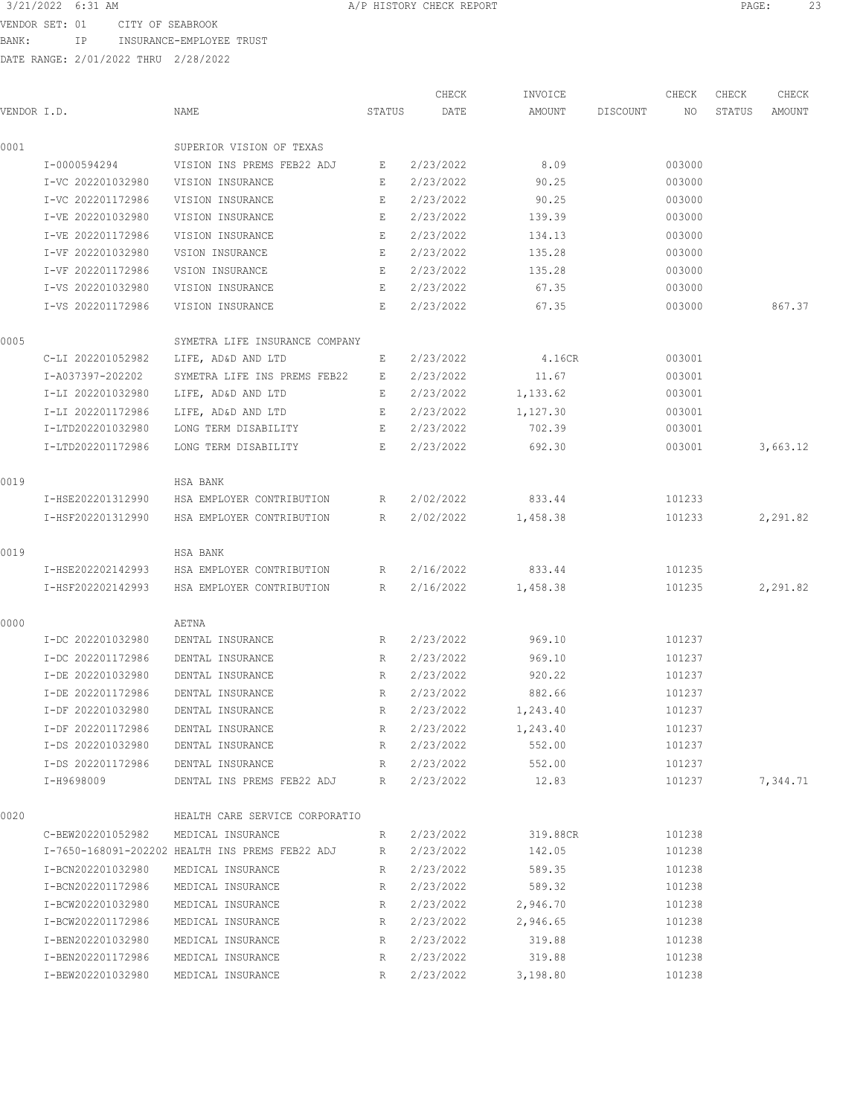VENDOR SET: 01 CITY OF SEABROOK

BANK: IP INSURANCE-EMPLOYEE TRUST

DATE RANGE: 2/01/2022 THRU 2/28/2022

CHECK INVOICE CHECK CHECK CHECK .<br>In the other weapon of the Search Status of the Search Design and Discount and Status amount of the Mount of t 0001 SUPERIOR VISION OF TEXAS I-0000594294 VISION INS PREMS FEB22 ADJ E 2/23/2022 8.09 003000 I-VC 202201032980 VISION INSURANCE E 2/23/2022 90.25 003000 I-VC 202201172986 VISION INSURANCE E 2/23/2022 90.25 003000 I-VE 202201032980 VISION INSURANCE E 2/23/2022 139.39 003000 I-VE 202201172986 VISION INSURANCE E 2/23/2022 134.13 003000 I-VF 202201032980 VSION INSURANCE E 2/23/2022 135.28 003000 I-VF 202201172986 VSION INSURANCE E 2/23/2022 135.28 003000 I-VS 202201032980 VISION INSURANCE E 2/23/2022 67.35 003000 I-VS 202201172986 VISION INSURANCE E 2/23/2022 67.35 003000 867.37 0005 SYMETRA LIFE INSURANCE COMPANY C-LI 202201052982 LIFE, AD&D AND LTD E 2/23/2022 4.16CR 003001 I-A037397-202202 SYMETRA LIFE INS PREMS FEB22 E 2/23/2022 11.67 003001 I-LI 202201032980 LIFE, AD&D AND LTD E 2/23/2022 1,133.62 003001 I-LI 202201172986 LIFE, AD&D AND LTD E 2/23/2022 1,127.30 003001 I-LTD202201032980 LONG TERM DISABILITY E 2/23/2022 702.39 003001 I-LTD202201172986 LONG TERM DISABILITY E 2/23/2022 692.30 003001 3,663.12 0019 HSA BANK I-HSE202201312990 HSA EMPLOYER CONTRIBUTION R 2/02/2022 833.44 101233 I-HSF202201312990 HSA EMPLOYER CONTRIBUTION R 2/02/2022 1,458.38 101233 2,291.82 0019 HSA BANK I-HSE202202142993 HSA EMPLOYER CONTRIBUTION R 2/16/2022 833.44 101235 I-HSF202202142993 HSA EMPLOYER CONTRIBUTION R 2/16/2022 1,458.38 101235 2,291.82 0000 AETNA I-DC 202201032980 DENTAL INSURANCE R 2/23/2022 969.10 101237 I-DC 202201172986 DENTAL INSURANCE R 2/23/2022 969.10 101237 I-DE 202201032980 DENTAL INSURANCE R 2/23/2022 920.22 101237 I-DE 202201172986 DENTAL INSURANCE R 2/23/2022 882.66 101237 I-DF 202201032980 DENTAL INSURANCE R 2/23/2022 1,243.40 101237 I-DF 202201172986 DENTAL INSURANCE R 2/23/2022 1,243.40 101237 I-DS 202201032980 DENTAL INSURANCE R 2/23/2022 552.00 101237 I-DS 202201172986 DENTAL INSURANCE R 2/23/2022 552.00 101237 I-H9698009 DENTAL INS PREMS FEB22 ADJ R 2/23/2022 12.83 101237 7,344.71 0020 HEALTH CARE SERVICE CORPORATIO C-BEW202201052982 MEDICAL INSURANCE R 2/23/2022 319.88CR 101238 I-7650-168091-202202 HEALTH INS PREMS FEB22 ADJ R 2/23/2022 142.05 101238 I-BCN202201032980 MEDICAL INSURANCE R 2/23/2022 589.35 101238 I-BCN202201172986 MEDICAL INSURANCE R 2/23/2022 589.32 101238 I-BCW202201032980 MEDICAL INSURANCE R 2/23/2022 2,946.70 101238 I-BCW202201172986 MEDICAL INSURANCE R 2/23/2022 2,946.65 101238 I-BEN202201032980 MEDICAL INSURANCE R 2/23/2022 319.88 101238 I-BEN202201172986 MEDICAL INSURANCE R 2/23/2022 319.88 101238 I-BEW202201032980 MEDICAL INSURANCE R 2/23/2022 3,198.80 101238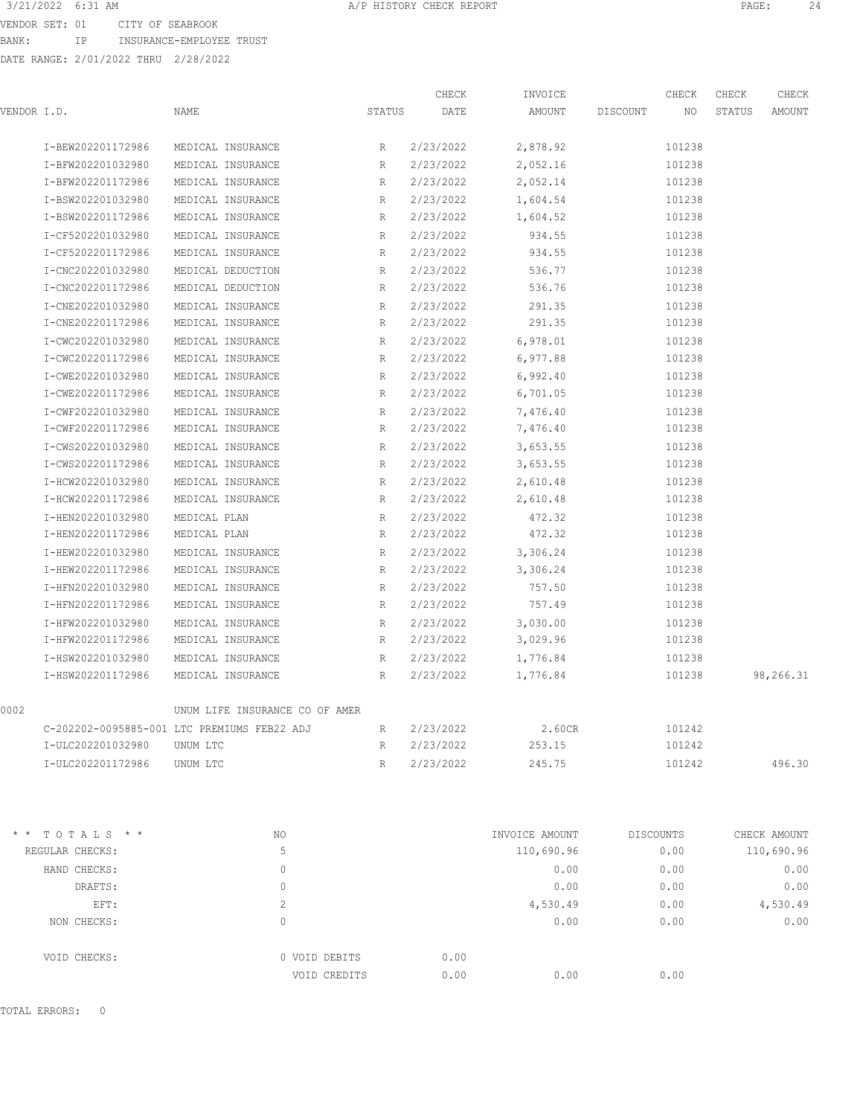VENDOR SET: 01 CITY OF SEABROOK BANK: IP INSURANCE-EMPLOYEE TRUST

|             |                                      |                                             |        | CHECK     | INVOICE        |            | CHECK  | CHECK  | CHECK        |
|-------------|--------------------------------------|---------------------------------------------|--------|-----------|----------------|------------|--------|--------|--------------|
| VENDOR I.D. |                                      | NAME                                        | STATUS | DATE      | AMOUNT         | DISCOUNT   | NO.    | STATUS | AMOUNT       |
|             | I-BEW202201172986                    | MEDICAL INSURANCE                           | R      | 2/23/2022 | 2,878.92       |            | 101238 |        |              |
|             | I-BFW202201032980                    | MEDICAL INSURANCE                           | R      | 2/23/2022 | 2,052.16       |            | 101238 |        |              |
|             | I-BFW202201172986                    | MEDICAL INSURANCE                           | R      | 2/23/2022 | 2,052.14       |            | 101238 |        |              |
|             | I-BSW202201032980                    | MEDICAL INSURANCE                           | R      | 2/23/2022 | 1,604.54       |            | 101238 |        |              |
|             | I-BSW202201172986                    | MEDICAL INSURANCE                           | R      | 2/23/2022 | 1,604.52       |            | 101238 |        |              |
|             | I-CF5202201032980                    | MEDICAL INSURANCE                           | R      | 2/23/2022 | 934.55         |            | 101238 |        |              |
|             | I-CF5202201172986                    | MEDICAL INSURANCE                           | R      | 2/23/2022 | 934.55         |            | 101238 |        |              |
|             | I-CNC202201032980                    | MEDICAL DEDUCTION                           | R      | 2/23/2022 | 536.77         |            | 101238 |        |              |
|             | I-CNC202201172986                    | MEDICAL DEDUCTION                           | R      | 2/23/2022 | 536.76         |            | 101238 |        |              |
|             | I-CNE202201032980                    | MEDICAL INSURANCE                           | R      | 2/23/2022 | 291.35         |            | 101238 |        |              |
|             | I-CNE202201172986                    | MEDICAL INSURANCE                           | R      | 2/23/2022 | 291.35         |            | 101238 |        |              |
|             | I-CWC202201032980                    | MEDICAL INSURANCE                           | R      | 2/23/2022 | 6,978.01       |            | 101238 |        |              |
|             | I-CWC202201172986                    | MEDICAL INSURANCE                           | R      | 2/23/2022 | 6,977.88       |            | 101238 |        |              |
|             | I-CWE202201032980                    | MEDICAL INSURANCE                           | R      | 2/23/2022 | 6,992.40       |            | 101238 |        |              |
|             | I-CWE202201172986                    | MEDICAL INSURANCE                           | R      | 2/23/2022 | 6,701.05       |            | 101238 |        |              |
|             | I-CWF202201032980                    | MEDICAL INSURANCE                           | R      | 2/23/2022 | 7,476.40       |            | 101238 |        |              |
|             | I-CWF202201172986                    | MEDICAL INSURANCE                           | R      | 2/23/2022 | 7,476.40       |            | 101238 |        |              |
|             | I-CWS202201032980                    | MEDICAL INSURANCE                           | R      | 2/23/2022 | 3,653.55       |            | 101238 |        |              |
|             | I-CWS202201172986                    | MEDICAL INSURANCE                           | R      | 2/23/2022 | 3,653.55       |            | 101238 |        |              |
|             | I-HCW202201032980                    | MEDICAL INSURANCE                           | R      | 2/23/2022 | 2,610.48       |            | 101238 |        |              |
|             | I-HCW202201172986                    | MEDICAL INSURANCE                           | R      | 2/23/2022 | 2,610.48       |            | 101238 |        |              |
|             | I-HEN202201032980                    | MEDICAL PLAN                                | R      | 2/23/2022 | 472.32         |            | 101238 |        |              |
|             | I-HEN202201172986                    | MEDICAL PLAN                                | R      | 2/23/2022 | 472.32         |            | 101238 |        |              |
|             | I-HEW202201032980                    | MEDICAL INSURANCE                           | R      | 2/23/2022 | 3,306.24       |            | 101238 |        |              |
|             | I-HEW202201172986                    | MEDICAL INSURANCE                           | R      | 2/23/2022 | 3,306.24       |            | 101238 |        |              |
|             | I-HFN202201032980                    | MEDICAL INSURANCE                           | R      | 2/23/2022 | 757.50         |            | 101238 |        |              |
|             | I-HFN202201172986                    | MEDICAL INSURANCE                           | R      | 2/23/2022 | 757.49         |            | 101238 |        |              |
|             | I-HFW202201032980                    | MEDICAL INSURANCE                           | R      | 2/23/2022 | 3,030.00       |            | 101238 |        |              |
|             | I-HFW202201172986                    | MEDICAL INSURANCE                           | R      | 2/23/2022 | 3,029.96       |            | 101238 |        |              |
|             | I-HSW202201032980                    | MEDICAL INSURANCE                           | R      | 2/23/2022 | 1,776.84       |            | 101238 |        |              |
|             | I-HSW202201172986                    | MEDICAL INSURANCE                           | R      | 2/23/2022 | 1,776.84       |            | 101238 |        | 98,266.31    |
| 0002        |                                      | UNUM LIFE INSURANCE CO OF AMER              |        |           |                |            |        |        |              |
|             |                                      | C-202202-0095885-001 LTC PREMIUMS FEB22 ADJ | R      | 2/23/2022 | 2.60CR         |            | 101242 |        |              |
|             | I-ULC202201032980                    | UNUM LTC                                    | R      | 2/23/2022 | 253.15         |            | 101242 |        |              |
|             | I-ULC202201172986                    | UNUM LTC                                    | R      | 2/23/2022 | 245.75         |            | 101242 |        | 496.30       |
|             |                                      |                                             |        |           |                |            |        |        |              |
|             | $* * \top \cap \top \land T \in * *$ | N <sub>O</sub>                              |        |           | INVOICE AMOUNT | DI SCOUNTS |        |        | CHECK AMOUNT |

| AATUTAL SAA     | .nu           | INVOICE AMOUNT | DISCOUNTS | CHECK AMOUNT |
|-----------------|---------------|----------------|-----------|--------------|
| REGULAR CHECKS: | 5             | 110,690.96     | 0.00      | 110,690.96   |
| HAND CHECKS:    | 0             | 0.00           | 0.00      | 0.00         |
| DRAFTS:         | 0             | 0.00           | 0.00      | 0.00         |
| EFT:            | $\mathcal{L}$ | 4,530.49       | 0.00      | 4,530.49     |
| NON CHECKS:     | 0             | 0.00           | 0.00      | 0.00         |
| VOID CHECKS:    | 0 VOID DEBITS | 0.00           |           |              |
|                 | VOID CREDITS  | 0.00<br>0.00   | 0.00      |              |
|                 |               |                |           |              |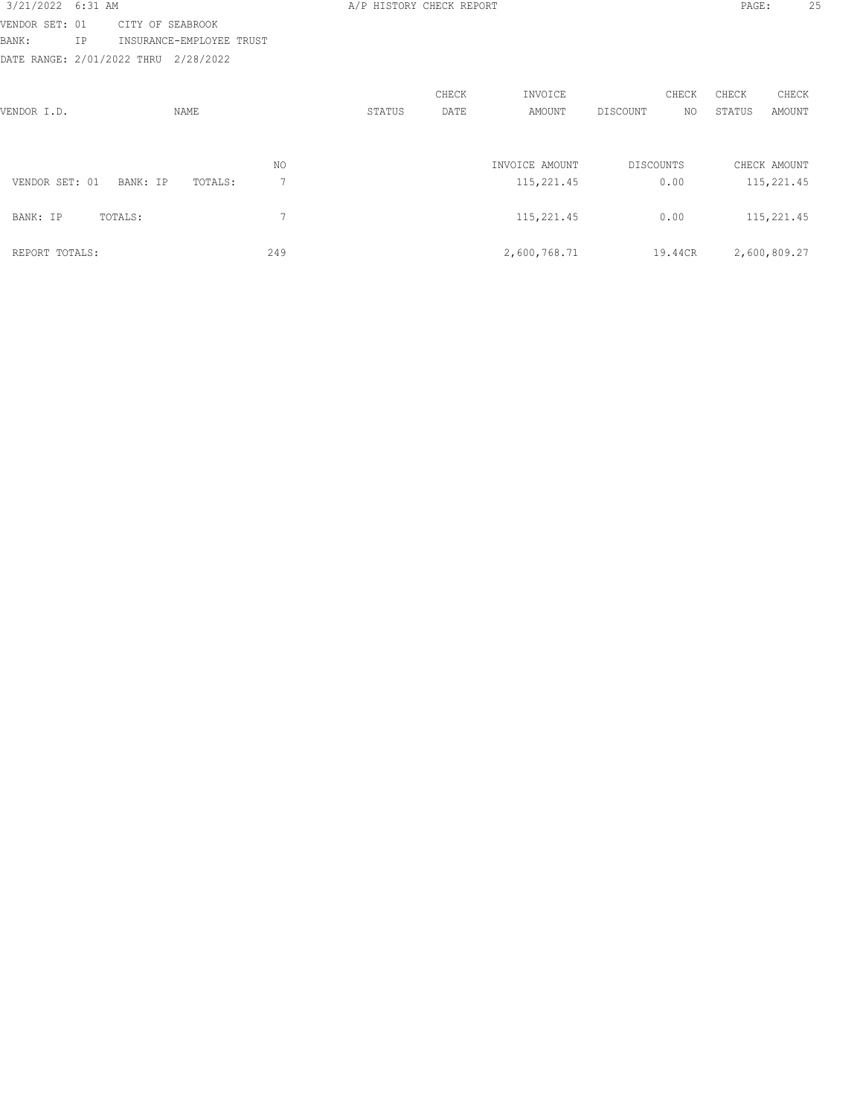| 3/21/2022 6:31 AM          |    |                          |     | A/P HISTORY CHECK REPORT |            |                |           |              | PAGE:      | 25           |  |
|----------------------------|----|--------------------------|-----|--------------------------|------------|----------------|-----------|--------------|------------|--------------|--|
| VENDOR SET: 01             |    | CITY OF SEABROOK         |     |                          |            |                |           |              |            |              |  |
| BANK:                      | ΙP | INSURANCE-EMPLOYEE TRUST |     |                          |            |                |           |              |            |              |  |
| DATE RANGE: 2/01/2022 THRU |    | 2/28/2022                |     |                          |            |                |           |              |            |              |  |
|                            |    |                          |     |                          |            |                |           |              |            |              |  |
|                            |    |                          |     |                          | CHECK      | INVOICE        |           | CHECK        | CHECK      | CHECK        |  |
| VENDOR I.D.                |    | NAME                     |     | STATUS                   | DATE       | AMOUNT         | DISCOUNT  | NO.          | STATUS     | AMOUNT       |  |
|                            |    |                          |     |                          |            |                |           |              |            |              |  |
|                            |    |                          |     |                          |            |                |           |              |            |              |  |
|                            |    |                          | NO. |                          |            | INVOICE AMOUNT | DISCOUNTS |              |            | CHECK AMOUNT |  |
| VENDOR SET: 01             |    | BANK: IP<br>TOTALS:      | 7   |                          |            | 115,221.45     |           | 0.00         |            | 115,221.45   |  |
|                            |    |                          |     |                          |            |                |           |              |            |              |  |
| 7<br>BANK: IP<br>TOTALS:   |    |                          |     |                          | 115,221.45 |                | 0.00      |              | 115,221.45 |              |  |
|                            |    |                          |     |                          |            |                |           |              |            |              |  |
| 249<br>REPORT TOTALS:      |    |                          |     | 2,600,768.71             |            | 19.44CR        |           | 2,600,809.27 |            |              |  |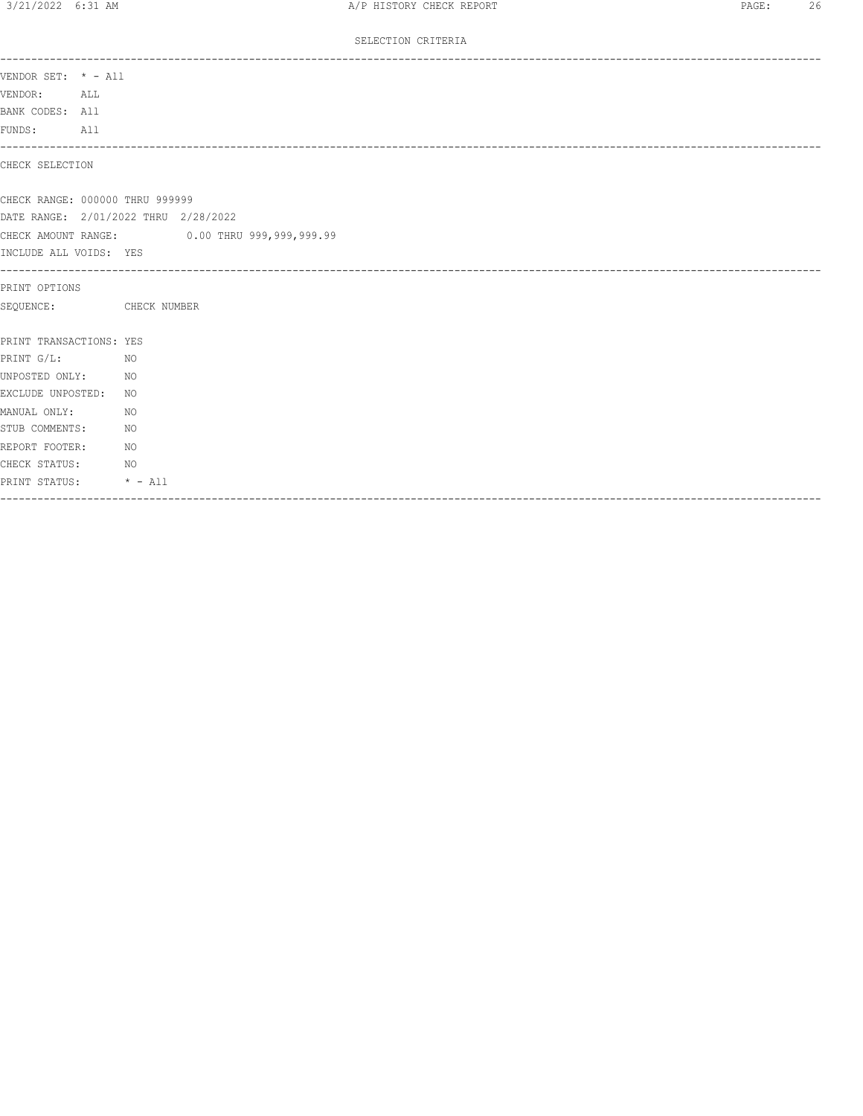### SELECTION CRITERIA

| VENDOR SET: * - All<br>---------------------------------<br>NO <sub>N</sub><br>NO <sub>1</sub><br>NO.<br>NO <sub>N</sub><br>NO <sub>N</sub>                                                                                                                                                                                                                                                         |                                              |  |
|-----------------------------------------------------------------------------------------------------------------------------------------------------------------------------------------------------------------------------------------------------------------------------------------------------------------------------------------------------------------------------------------------------|----------------------------------------------|--|
| CHECK SELECTION<br>CHECK RANGE: 000000 THRU 999999<br>DATE RANGE: 2/01/2022 THRU 2/28/2022<br>CHECK AMOUNT RANGE: 0.00 THRU 999,999,999.99<br>INCLUDE ALL VOIDS: YES<br>PRINT OPTIONS<br>SEQUENCE: CHECK NUMBER<br>PRINT TRANSACTIONS: YES<br>PRINT G/L:<br>UNPOSTED ONLY: NO<br>EXCLUDE UNPOSTED: NO<br>MANUAL ONLY:<br>STUB COMMENTS:<br>REPORT FOOTER:<br>CHECK STATUS:<br>PRINT STATUS: * - All | VENDOR: ALL<br>BANK CODES: All<br>FUNDS: All |  |
|                                                                                                                                                                                                                                                                                                                                                                                                     |                                              |  |
|                                                                                                                                                                                                                                                                                                                                                                                                     |                                              |  |
|                                                                                                                                                                                                                                                                                                                                                                                                     |                                              |  |
|                                                                                                                                                                                                                                                                                                                                                                                                     |                                              |  |
|                                                                                                                                                                                                                                                                                                                                                                                                     |                                              |  |
|                                                                                                                                                                                                                                                                                                                                                                                                     |                                              |  |
|                                                                                                                                                                                                                                                                                                                                                                                                     |                                              |  |
|                                                                                                                                                                                                                                                                                                                                                                                                     |                                              |  |
|                                                                                                                                                                                                                                                                                                                                                                                                     |                                              |  |
|                                                                                                                                                                                                                                                                                                                                                                                                     |                                              |  |
|                                                                                                                                                                                                                                                                                                                                                                                                     |                                              |  |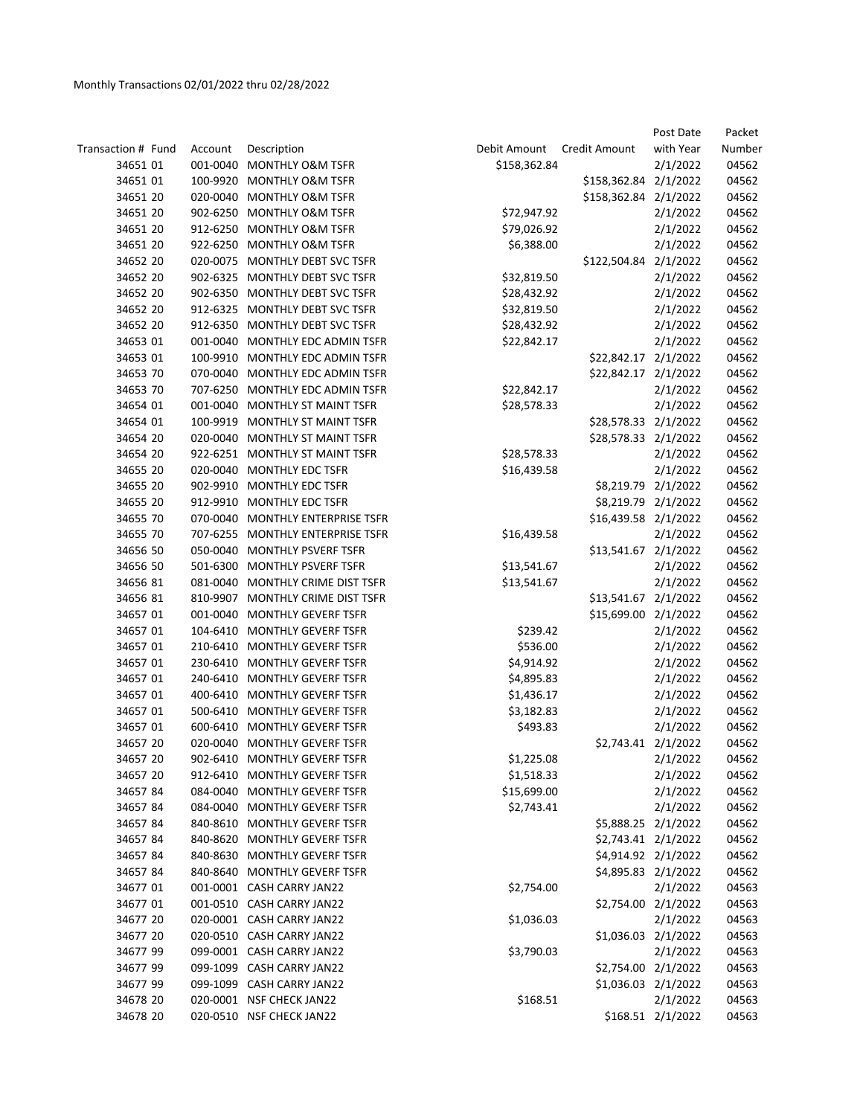|                    |          |                                  |              |                       | Post Date         | Packet |
|--------------------|----------|----------------------------------|--------------|-----------------------|-------------------|--------|
| Transaction # Fund | Account  | Description                      | Debit Amount | Credit Amount         | with Year         | Number |
| 34651 01           | 001-0040 | <b>MONTHLY O&amp;M TSFR</b>      | \$158,362.84 |                       | 2/1/2022          | 04562  |
| 34651 01           | 100-9920 | <b>MONTHLY O&amp;M TSFR</b>      |              | \$158,362.84 2/1/2022 |                   | 04562  |
| 34651 20           | 020-0040 | MONTHLY O&M TSFR                 |              | \$158,362.84 2/1/2022 |                   | 04562  |
| 34651 20           | 902-6250 | <b>MONTHLY O&amp;M TSFR</b>      | \$72,947.92  |                       | 2/1/2022          | 04562  |
| 34651 20           |          | 912-6250 MONTHLY O&M TSFR        | \$79,026.92  |                       | 2/1/2022          | 04562  |
| 34651 20           |          | 922-6250 MONTHLY O&M TSFR        | \$6,388.00   |                       | 2/1/2022          | 04562  |
| 34652 20           |          | 020-0075 MONTHLY DEBT SVC TSFR   |              | \$122,504.84 2/1/2022 |                   | 04562  |
| 34652 20           |          | 902-6325 MONTHLY DEBT SVC TSFR   | \$32,819.50  |                       | 2/1/2022          | 04562  |
| 34652 20           |          | 902-6350 MONTHLY DEBT SVC TSFR   | \$28,432.92  |                       | 2/1/2022          | 04562  |
| 34652 20           |          | 912-6325 MONTHLY DEBT SVC TSFR   | \$32,819.50  |                       | 2/1/2022          | 04562  |
| 34652 20           |          | 912-6350 MONTHLY DEBT SVC TSFR   | \$28,432.92  |                       | 2/1/2022          | 04562  |
| 34653 01           | 001-0040 | MONTHLY EDC ADMIN TSFR           | \$22,842.17  |                       | 2/1/2022          | 04562  |
| 34653 01           | 100-9910 | MONTHLY EDC ADMIN TSFR           |              | \$22,842.17 2/1/2022  |                   | 04562  |
| 34653 70           |          | 070-0040 MONTHLY EDC ADMIN TSFR  |              | \$22,842.17 2/1/2022  |                   | 04562  |
| 34653 70           |          | 707-6250 MONTHLY EDC ADMIN TSFR  | \$22,842.17  |                       | 2/1/2022          | 04562  |
| 34654 01           |          | 001-0040 MONTHLY ST MAINT TSFR   | \$28,578.33  |                       | 2/1/2022          | 04562  |
| 34654 01           | 100-9919 | <b>MONTHLY ST MAINT TSFR</b>     |              | \$28,578.33 2/1/2022  |                   | 04562  |
| 34654 20           | 020-0040 | MONTHLY ST MAINT TSFR            |              | \$28,578.33 2/1/2022  |                   | 04562  |
| 34654 20           |          | 922-6251 MONTHLY ST MAINT TSFR   | \$28,578.33  |                       | 2/1/2022          | 04562  |
| 34655 20           | 020-0040 | MONTHLY EDC TSFR                 | \$16,439.58  |                       | 2/1/2022          | 04562  |
| 34655 20           |          | 902-9910 MONTHLY EDC TSFR        |              | \$8,219.79 2/1/2022   |                   | 04562  |
| 34655 20           | 912-9910 | <b>MONTHLY EDC TSFR</b>          |              | \$8,219.79 2/1/2022   |                   | 04562  |
| 34655 70           | 070-0040 | MONTHLY ENTERPRISE TSFR          |              | \$16,439.58 2/1/2022  |                   | 04562  |
| 34655 70           |          | 707-6255 MONTHLY ENTERPRISE TSFR | \$16,439.58  |                       | 2/1/2022          | 04562  |
| 34656 50           |          | 050-0040 MONTHLY PSVERF TSFR     |              | \$13,541.67 2/1/2022  |                   | 04562  |
| 34656 50           |          | 501-6300 MONTHLY PSVERF TSFR     | \$13,541.67  |                       | 2/1/2022          | 04562  |
| 34656 81           |          | 081-0040 MONTHLY CRIME DIST TSFR | \$13,541.67  |                       | 2/1/2022          | 04562  |
| 34656 81           | 810-9907 | MONTHLY CRIME DIST TSFR          |              | \$13,541.67 2/1/2022  |                   | 04562  |
| 34657 01           | 001-0040 | <b>MONTHLY GEVERF TSFR</b>       |              | \$15,699.00 2/1/2022  |                   | 04562  |
| 34657 01           | 104-6410 | MONTHLY GEVERF TSFR              | \$239.42     |                       | 2/1/2022          | 04562  |
| 34657 01           | 210-6410 | <b>MONTHLY GEVERF TSFR</b>       | \$536.00     |                       | 2/1/2022          | 04562  |
| 34657 01           | 230-6410 | <b>MONTHLY GEVERF TSFR</b>       | \$4,914.92   |                       | 2/1/2022          | 04562  |
| 34657 01           | 240-6410 | MONTHLY GEVERF TSFR              | \$4,895.83   |                       | 2/1/2022          | 04562  |
| 34657 01           | 400-6410 | <b>MONTHLY GEVERF TSFR</b>       | \$1,436.17   |                       | 2/1/2022          | 04562  |
| 34657 01           | 500-6410 | MONTHLY GEVERF TSFR              | \$3,182.83   |                       | 2/1/2022          | 04562  |
| 34657 01           |          | 600-6410 MONTHLY GEVERF TSFR     | \$493.83     |                       | 2/1/2022          | 04562  |
| 34657 20           |          | 020-0040 MONTHLY GEVERF TSFR     |              | \$2,743.41 2/1/2022   |                   | 04562  |
| 34657 20           |          | 902-6410 MONTHLY GEVERF TSFR     | \$1,225.08   |                       | 2/1/2022          | 04562  |
| 34657 20           |          | 912-6410 MONTHLY GEVERF TSFR     | \$1,518.33   |                       | 2/1/2022          | 04562  |
| 3465784            |          | 084-0040 MONTHLY GEVERF TSFR     | \$15,699.00  |                       | 2/1/2022          | 04562  |
| 3465784            |          | 084-0040 MONTHLY GEVERF TSFR     | \$2,743.41   |                       | 2/1/2022          | 04562  |
| 3465784            |          | 840-8610 MONTHLY GEVERF TSFR     |              | \$5,888.25 2/1/2022   |                   | 04562  |
| 3465784            |          | 840-8620 MONTHLY GEVERF TSFR     |              | \$2,743.41 2/1/2022   |                   | 04562  |
| 3465784            |          | 840-8630 MONTHLY GEVERF TSFR     |              | \$4,914.92 2/1/2022   |                   | 04562  |
| 3465784            |          | 840-8640 MONTHLY GEVERF TSFR     |              | \$4,895.83 2/1/2022   |                   | 04562  |
| 34677 01           |          | 001-0001 CASH CARRY JAN22        | \$2,754.00   |                       | 2/1/2022          | 04563  |
| 34677 01           |          | 001-0510 CASH CARRY JAN22        |              | \$2,754.00 2/1/2022   |                   | 04563  |
| 34677 20           |          | 020-0001 CASH CARRY JAN22        | \$1,036.03   |                       | 2/1/2022          | 04563  |
| 34677 20           |          | 020-0510 CASH CARRY JAN22        |              | \$1,036.03 2/1/2022   |                   | 04563  |
| 34677 99           |          | 099-0001 CASH CARRY JAN22        | \$3,790.03   |                       | 2/1/2022          | 04563  |
| 34677 99           |          | 099-1099 CASH CARRY JAN22        |              | \$2,754.00 2/1/2022   |                   | 04563  |
| 34677 99           |          | 099-1099 CASH CARRY JAN22        |              | \$1,036.03 2/1/2022   |                   | 04563  |
| 34678 20           |          | 020-0001 NSF CHECK JAN22         | \$168.51     |                       | 2/1/2022          | 04563  |
| 34678 20           |          | 020-0510 NSF CHECK JAN22         |              |                       | \$168.51 2/1/2022 | 04563  |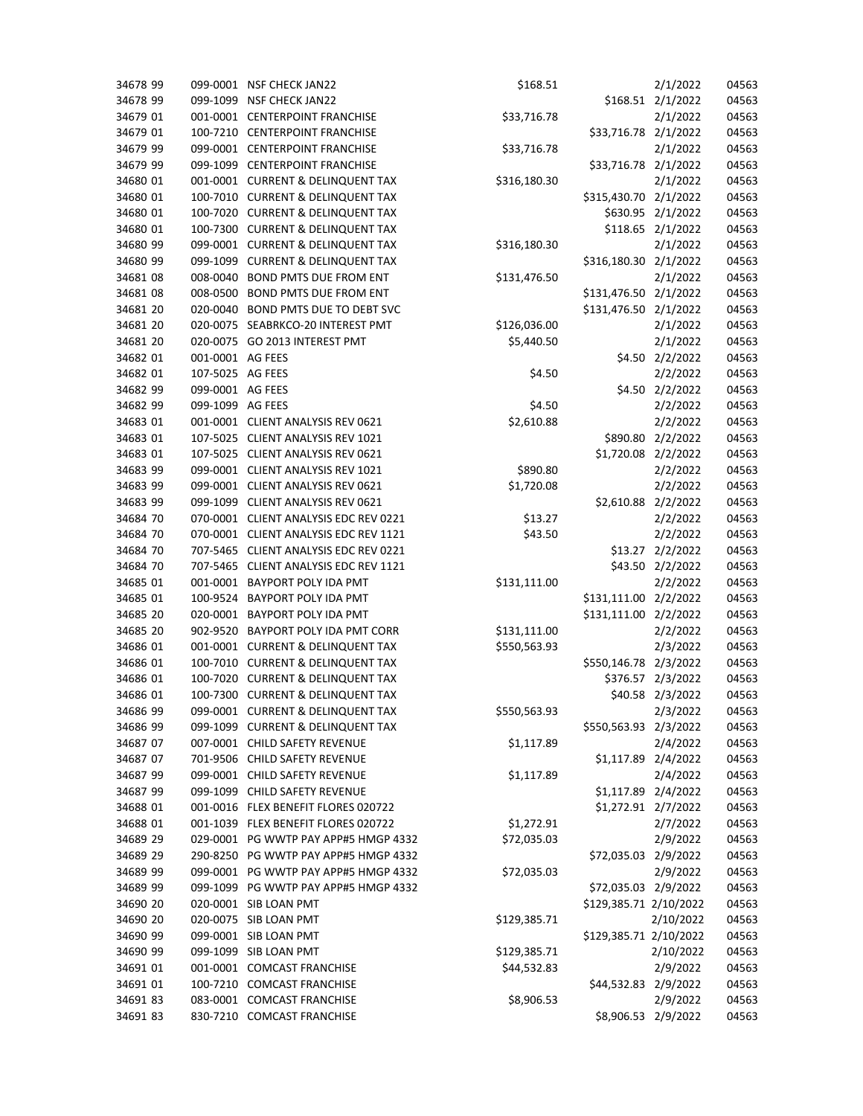| 34678 99 |                  | 099-0001 NSF CHECK JAN22              | \$168.51     |                        | 2/1/2022          | 04563 |
|----------|------------------|---------------------------------------|--------------|------------------------|-------------------|-------|
| 34678 99 | 099-1099         | <b>NSF CHECK JAN22</b>                |              |                        | \$168.51 2/1/2022 | 04563 |
| 34679 01 |                  | 001-0001 CENTERPOINT FRANCHISE        | \$33,716.78  |                        | 2/1/2022          | 04563 |
| 34679 01 |                  | 100-7210 CENTERPOINT FRANCHISE        |              | \$33,716.78 2/1/2022   |                   | 04563 |
| 34679 99 |                  | 099-0001 CENTERPOINT FRANCHISE        | \$33,716.78  |                        | 2/1/2022          | 04563 |
| 34679 99 |                  | 099-1099 CENTERPOINT FRANCHISE        |              | \$33,716.78 2/1/2022   |                   | 04563 |
| 34680 01 |                  | 001-0001 CURRENT & DELINQUENT TAX     | \$316,180.30 |                        | 2/1/2022          | 04563 |
| 34680 01 |                  | 100-7010 CURRENT & DELINQUENT TAX     |              | \$315,430.70 2/1/2022  |                   | 04563 |
| 34680 01 |                  | 100-7020 CURRENT & DELINQUENT TAX     |              |                        | \$630.95 2/1/2022 | 04563 |
| 34680 01 |                  | 100-7300 CURRENT & DELINQUENT TAX     |              |                        | \$118.65 2/1/2022 | 04563 |
| 34680 99 |                  | 099-0001 CURRENT & DELINQUENT TAX     | \$316,180.30 |                        | 2/1/2022          | 04563 |
| 34680 99 | 099-1099         | <b>CURRENT &amp; DELINQUENT TAX</b>   |              | \$316,180.30 2/1/2022  |                   | 04563 |
| 34681 08 | 008-0040         | <b>BOND PMTS DUE FROM ENT</b>         | \$131,476.50 |                        | 2/1/2022          | 04563 |
| 34681 08 | 008-0500         | <b>BOND PMTS DUE FROM ENT</b>         |              | \$131,476.50 2/1/2022  |                   | 04563 |
| 34681 20 | 020-0040         | BOND PMTS DUE TO DEBT SVC             |              | \$131,476.50 2/1/2022  |                   | 04563 |
| 34681 20 |                  | 020-0075 SEABRKCO-20 INTEREST PMT     | \$126,036.00 |                        | 2/1/2022          | 04563 |
| 34681 20 |                  | 020-0075 GO 2013 INTEREST PMT         | \$5,440.50   |                        | 2/1/2022          | 04563 |
| 34682 01 | 001-0001 AG FEES |                                       |              |                        | \$4.50 2/2/2022   | 04563 |
| 34682 01 | 107-5025 AG FEES |                                       | \$4.50       |                        | 2/2/2022          | 04563 |
| 34682 99 | 099-0001 AG FEES |                                       |              |                        | \$4.50 2/2/2022   | 04563 |
| 34682 99 | 099-1099 AG FEES |                                       | \$4.50       |                        | 2/2/2022          | 04563 |
| 34683 01 |                  | 001-0001 CLIENT ANALYSIS REV 0621     | \$2,610.88   |                        | 2/2/2022          | 04563 |
| 34683 01 |                  | 107-5025 CLIENT ANALYSIS REV 1021     |              |                        | \$890.80 2/2/2022 | 04563 |
| 34683 01 |                  | 107-5025 CLIENT ANALYSIS REV 0621     |              | \$1,720.08 2/2/2022    |                   | 04563 |
| 34683 99 |                  | 099-0001 CLIENT ANALYSIS REV 1021     | \$890.80     |                        | 2/2/2022          | 04563 |
| 34683 99 |                  | 099-0001 CLIENT ANALYSIS REV 0621     | \$1,720.08   |                        | 2/2/2022          | 04563 |
| 34683 99 |                  | 099-1099 CLIENT ANALYSIS REV 0621     |              | \$2,610.88 2/2/2022    |                   | 04563 |
| 34684 70 |                  | 070-0001 CLIENT ANALYSIS EDC REV 0221 | \$13.27      |                        | 2/2/2022          | 04563 |
| 34684 70 |                  | 070-0001 CLIENT ANALYSIS EDC REV 1121 | \$43.50      |                        | 2/2/2022          | 04563 |
| 34684 70 |                  | 707-5465 CLIENT ANALYSIS EDC REV 0221 |              |                        | \$13.27 2/2/2022  | 04563 |
| 34684 70 |                  | 707-5465 CLIENT ANALYSIS EDC REV 1121 |              |                        | \$43.50 2/2/2022  | 04563 |
| 34685 01 | 001-0001         | BAYPORT POLY IDA PMT                  | \$131,111.00 |                        | 2/2/2022          | 04563 |
| 34685 01 | 100-9524         | BAYPORT POLY IDA PMT                  |              | \$131,111.00 2/2/2022  |                   | 04563 |
| 34685 20 |                  | 020-0001 BAYPORT POLY IDA PMT         |              | \$131,111.00           | 2/2/2022          | 04563 |
| 34685 20 | 902-9520         | BAYPORT POLY IDA PMT CORR             | \$131,111.00 |                        | 2/2/2022          | 04563 |
| 34686 01 |                  | 001-0001 CURRENT & DELINQUENT TAX     | \$550,563.93 |                        | 2/3/2022          | 04563 |
| 34686 01 |                  | 100-7010 CURRENT & DELINQUENT TAX     |              | \$550,146.78 2/3/2022  |                   | 04563 |
| 34686 01 |                  | 100-7020 CURRENT & DELINQUENT TAX     |              |                        | \$376.57 2/3/2022 | 04563 |
| 34686 01 |                  | 100-7300 CURRENT & DELINQUENT TAX     |              |                        | \$40.58 2/3/2022  | 04563 |
| 34686 99 |                  | 099-0001 CURRENT & DELINQUENT TAX     | \$550,563.93 |                        | 2/3/2022          | 04563 |
| 34686 99 |                  | 099-1099 CURRENT & DELINQUENT TAX     |              | \$550,563.93 2/3/2022  |                   | 04563 |
| 34687 07 |                  | 007-0001 CHILD SAFETY REVENUE         | \$1,117.89   |                        | 2/4/2022          | 04563 |
| 34687 07 |                  | 701-9506 CHILD SAFETY REVENUE         |              | \$1,117.89 2/4/2022    |                   | 04563 |
| 34687 99 |                  | 099-0001 CHILD SAFETY REVENUE         | \$1,117.89   |                        | 2/4/2022          | 04563 |
| 34687 99 |                  | 099-1099 CHILD SAFETY REVENUE         |              | \$1,117.89 2/4/2022    |                   | 04563 |
| 34688 01 |                  | 001-0016 FLEX BENEFIT FLORES 020722   |              | \$1,272.91 2/7/2022    |                   | 04563 |
| 34688 01 |                  | 001-1039 FLEX BENEFIT FLORES 020722   | \$1,272.91   |                        | 2/7/2022          | 04563 |
| 34689 29 |                  | 029-0001 PG WWTP PAY APP#5 HMGP 4332  | \$72,035.03  |                        | 2/9/2022          | 04563 |
| 34689 29 |                  | 290-8250 PG WWTP PAY APP#5 HMGP 4332  |              | \$72,035.03 2/9/2022   |                   | 04563 |
| 34689 99 |                  | 099-0001 PG WWTP PAY APP#5 HMGP 4332  | \$72,035.03  |                        | 2/9/2022          | 04563 |
| 34689 99 |                  | 099-1099 PG WWTP PAY APP#5 HMGP 4332  |              | \$72,035.03 2/9/2022   |                   | 04563 |
| 34690 20 |                  | 020-0001 SIB LOAN PMT                 |              | \$129,385.71 2/10/2022 |                   | 04563 |
| 34690 20 |                  | 020-0075 SIB LOAN PMT                 | \$129,385.71 |                        | 2/10/2022         | 04563 |
| 34690 99 |                  | 099-0001 SIB LOAN PMT                 |              | \$129,385.71 2/10/2022 |                   | 04563 |
| 34690 99 |                  | 099-1099 SIB LOAN PMT                 | \$129,385.71 |                        | 2/10/2022         | 04563 |
| 34691 01 |                  | 001-0001 COMCAST FRANCHISE            | \$44,532.83  |                        | 2/9/2022          | 04563 |
| 34691 01 |                  | 100-7210 COMCAST FRANCHISE            |              | \$44,532.83 2/9/2022   |                   | 04563 |
| 3469183  |                  | 083-0001 COMCAST FRANCHISE            | \$8,906.53   |                        | 2/9/2022          | 04563 |
| 3469183  |                  | 830-7210 COMCAST FRANCHISE            |              | \$8,906.53 2/9/2022    |                   | 04563 |
|          |                  |                                       |              |                        |                   |       |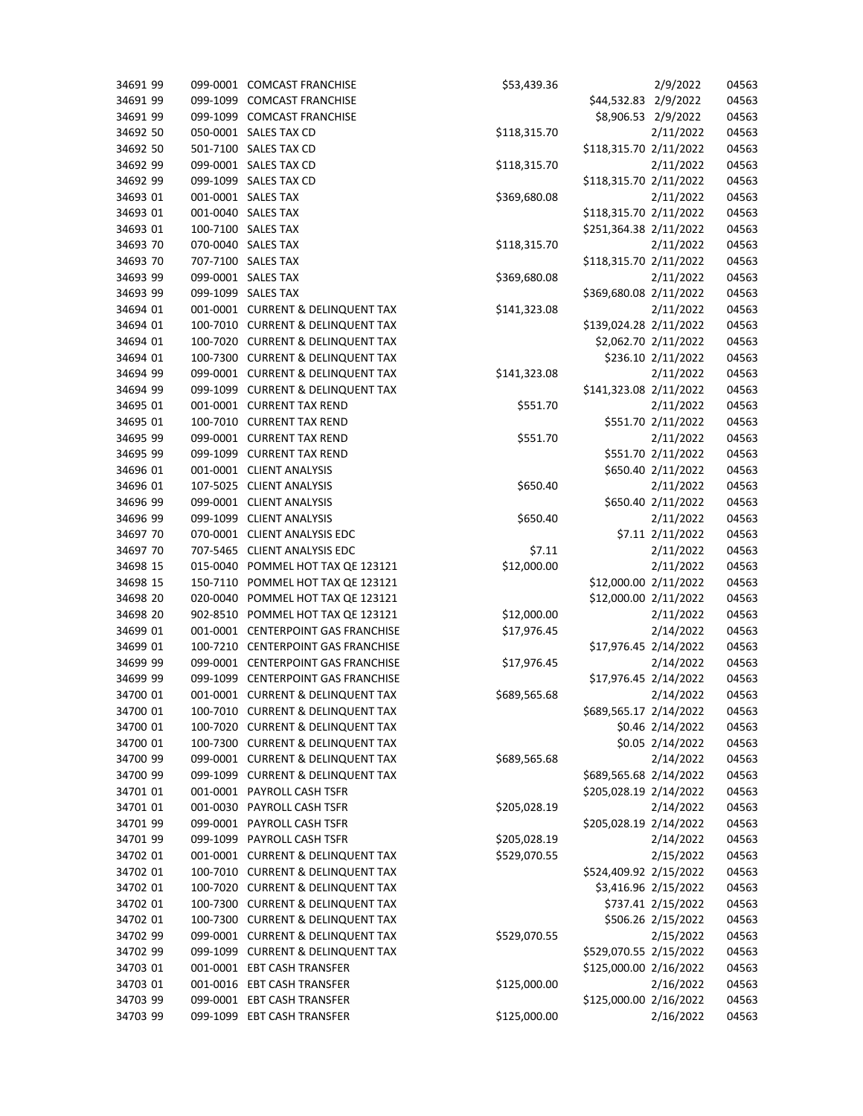| 34691 99             | 099-0001 | <b>COMCAST FRANCHISE</b>           | \$53,439.36  |                        | 2/9/2022             | 04563 |
|----------------------|----------|------------------------------------|--------------|------------------------|----------------------|-------|
| 34691 99             | 099-1099 | <b>COMCAST FRANCHISE</b>           |              | \$44,532.83 2/9/2022   |                      | 04563 |
| 34691 99             |          | 099-1099 COMCAST FRANCHISE         |              | \$8,906.53 2/9/2022    |                      | 04563 |
| 34692 50             |          | 050-0001 SALES TAX CD              | \$118,315.70 |                        | 2/11/2022            | 04563 |
| 34692 50             |          | 501-7100 SALES TAX CD              |              | \$118,315.70 2/11/2022 |                      | 04563 |
| 34692 99             |          | 099-0001 SALES TAX CD              | \$118,315.70 |                        | 2/11/2022            | 04563 |
| 34692 99             |          | 099-1099 SALES TAX CD              |              | \$118,315.70 2/11/2022 |                      | 04563 |
| 34693 01             |          | 001-0001 SALES TAX                 | \$369,680.08 |                        | 2/11/2022            | 04563 |
| 34693 01             |          | 001-0040 SALES TAX                 |              | \$118,315.70 2/11/2022 |                      | 04563 |
| 34693 01             |          | 100-7100 SALES TAX                 |              | \$251,364.38 2/11/2022 |                      | 04563 |
| 34693 70             |          | 070-0040 SALES TAX                 | \$118,315.70 |                        | 2/11/2022            | 04563 |
| 34693 70             |          | 707-7100 SALES TAX                 |              | \$118,315.70 2/11/2022 |                      | 04563 |
| 34693 99             |          | 099-0001 SALES TAX                 | \$369,680.08 |                        | 2/11/2022            | 04563 |
| 34693 99             |          | 099-1099 SALES TAX                 |              | \$369,680.08 2/11/2022 |                      | 04563 |
| 34694 01             |          | 001-0001 CURRENT & DELINQUENT TAX  | \$141,323.08 |                        | 2/11/2022            | 04563 |
| 34694 01             |          | 100-7010 CURRENT & DELINQUENT TAX  |              | \$139,024.28 2/11/2022 |                      | 04563 |
| 34694 01             |          | 100-7020 CURRENT & DELINQUENT TAX  |              |                        | \$2,062.70 2/11/2022 | 04563 |
| 34694 01             |          | 100-7300 CURRENT & DELINQUENT TAX  |              |                        | \$236.10 2/11/2022   | 04563 |
| 34694 99             |          | 099-0001 CURRENT & DELINQUENT TAX  | \$141,323.08 |                        | 2/11/2022            | 04563 |
| 34694 99             |          | 099-1099 CURRENT & DELINQUENT TAX  |              | \$141,323.08 2/11/2022 |                      | 04563 |
| 34695 01             |          | 001-0001 CURRENT TAX REND          | \$551.70     |                        | 2/11/2022            | 04563 |
| 34695 01             |          | 100-7010 CURRENT TAX REND          |              |                        | \$551.70 2/11/2022   | 04563 |
| 34695 99             |          | 099-0001 CURRENT TAX REND          | \$551.70     |                        | 2/11/2022            | 04563 |
|                      |          | 099-1099 CURRENT TAX REND          |              |                        |                      |       |
| 34695 99<br>34696 01 |          |                                    |              |                        | \$551.70 2/11/2022   | 04563 |
|                      |          | 001-0001 CLIENT ANALYSIS           |              |                        | \$650.40 2/11/2022   | 04563 |
| 34696 01             |          | 107-5025 CLIENT ANALYSIS           | \$650.40     |                        | 2/11/2022            | 04563 |
| 34696 99             |          | 099-0001 CLIENT ANALYSIS           |              |                        | \$650.40 2/11/2022   | 04563 |
| 34696 99             |          | 099-1099 CLIENT ANALYSIS           | \$650.40     |                        | 2/11/2022            | 04563 |
| 34697 70             |          | 070-0001 CLIENT ANALYSIS EDC       |              |                        | \$7.11 2/11/2022     | 04563 |
| 34697 70             | 707-5465 | <b>CLIENT ANALYSIS EDC</b>         | \$7.11       |                        | 2/11/2022            | 04563 |
| 34698 15             | 015-0040 | POMMEL HOT TAX QE 123121           | \$12,000.00  |                        | 2/11/2022            | 04563 |
| 34698 15             | 150-7110 | POMMEL HOT TAX QE 123121           |              | \$12,000.00 2/11/2022  |                      | 04563 |
| 34698 20             | 020-0040 | POMMEL HOT TAX QE 123121           |              | \$12,000.00 2/11/2022  |                      | 04563 |
| 34698 20             |          | 902-8510 POMMEL HOT TAX QE 123121  | \$12,000.00  |                        | 2/11/2022            | 04563 |
| 34699 01             |          | 001-0001 CENTERPOINT GAS FRANCHISE | \$17,976.45  |                        | 2/14/2022            | 04563 |
| 34699 01             |          | 100-7210 CENTERPOINT GAS FRANCHISE |              | \$17,976.45 2/14/2022  |                      | 04563 |
| 34699 99             |          | 099-0001 CENTERPOINT GAS FRANCHISE | \$17,976.45  |                        | 2/14/2022            | 04563 |
| 34699 99             |          | 099-1099 CENTERPOINT GAS FRANCHISE |              | \$17,976.45 2/14/2022  |                      | 04563 |
| 34700 01             |          | 001-0001 CURRENT & DELINQUENT TAX  | \$689,565.68 |                        | 2/14/2022            | 04563 |
| 34700 01             |          | 100-7010 CURRENT & DELINQUENT TAX  |              | \$689,565.17 2/14/2022 |                      | 04563 |
| 34700 01             |          | 100-7020 CURRENT & DELINQUENT TAX  |              |                        | \$0.46 2/14/2022     | 04563 |
| 34700 01             |          | 100-7300 CURRENT & DELINQUENT TAX  |              |                        | \$0.05 2/14/2022     | 04563 |
| 34700 99             |          | 099-0001 CURRENT & DELINQUENT TAX  | \$689,565.68 |                        | 2/14/2022            | 04563 |
| 34700 99             |          | 099-1099 CURRENT & DELINQUENT TAX  |              | \$689,565.68 2/14/2022 |                      | 04563 |
| 34701 01             |          | 001-0001 PAYROLL CASH TSFR         |              | \$205,028.19 2/14/2022 |                      | 04563 |
| 34701 01             |          | 001-0030 PAYROLL CASH TSFR         | \$205,028.19 |                        | 2/14/2022            | 04563 |
| 34701 99             |          | 099-0001 PAYROLL CASH TSFR         |              | \$205,028.19 2/14/2022 |                      | 04563 |
| 34701 99             |          | 099-1099 PAYROLL CASH TSFR         | \$205,028.19 |                        | 2/14/2022            | 04563 |
| 34702 01             |          | 001-0001 CURRENT & DELINQUENT TAX  | \$529,070.55 |                        | 2/15/2022            | 04563 |
| 34702 01             |          | 100-7010 CURRENT & DELINQUENT TAX  |              | \$524,409.92 2/15/2022 |                      | 04563 |
| 34702 01             |          | 100-7020 CURRENT & DELINQUENT TAX  |              |                        | \$3,416.96 2/15/2022 | 04563 |
| 34702 01             |          | 100-7300 CURRENT & DELINQUENT TAX  |              |                        | \$737.41 2/15/2022   | 04563 |
| 34702 01             |          | 100-7300 CURRENT & DELINQUENT TAX  |              |                        | \$506.26 2/15/2022   | 04563 |
| 34702 99             |          | 099-0001 CURRENT & DELINQUENT TAX  | \$529,070.55 |                        | 2/15/2022            | 04563 |
| 34702 99             |          | 099-1099 CURRENT & DELINQUENT TAX  |              | \$529,070.55 2/15/2022 |                      | 04563 |
| 34703 01             |          | 001-0001 EBT CASH TRANSFER         |              | \$125,000.00 2/16/2022 |                      | 04563 |
| 34703 01             |          | 001-0016 EBT CASH TRANSFER         | \$125,000.00 |                        | 2/16/2022            | 04563 |
| 34703 99             |          | 099-0001 EBT CASH TRANSFER         |              | \$125,000.00 2/16/2022 |                      | 04563 |
| 34703 99             |          | 099-1099 EBT CASH TRANSFER         | \$125,000.00 |                        | 2/16/2022            | 04563 |
|                      |          |                                    |              |                        |                      |       |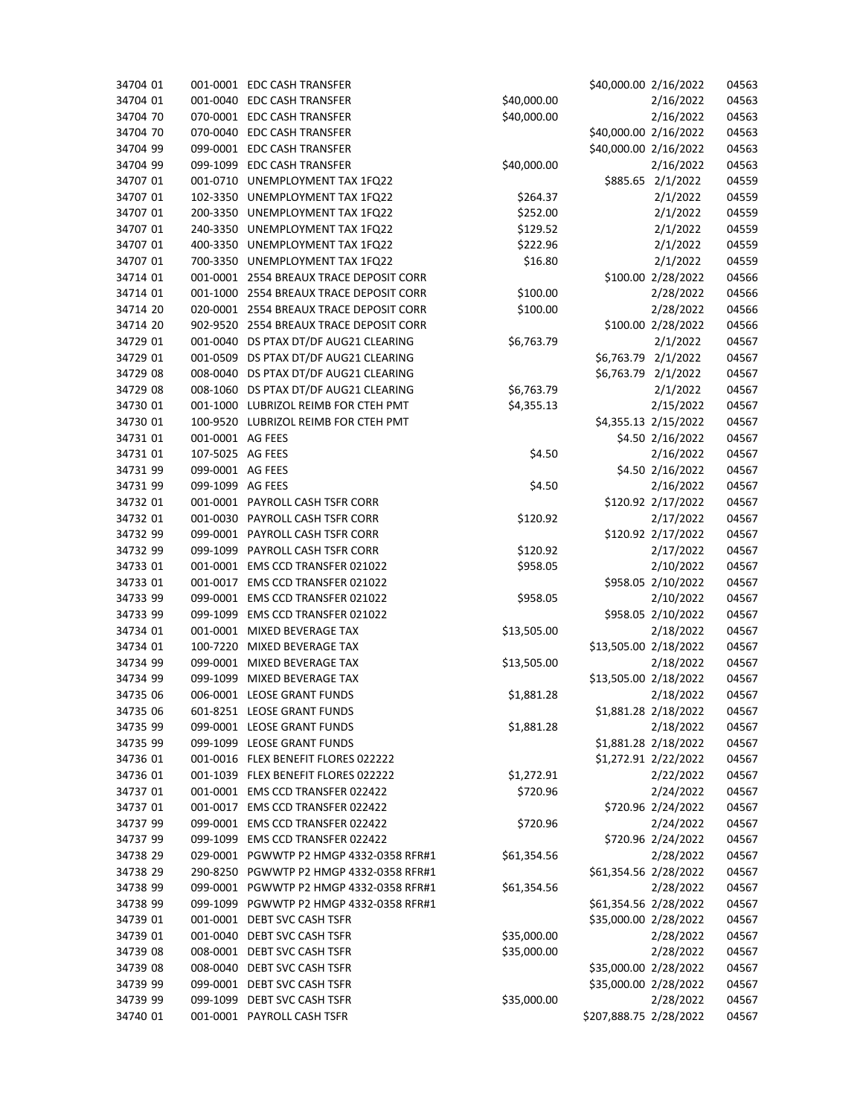| 34704 01 |                  | 001-0001 EDC CASH TRANSFER              |             | \$40,000.00 2/16/2022  |                    | 04563 |
|----------|------------------|-----------------------------------------|-------------|------------------------|--------------------|-------|
| 34704 01 |                  | 001-0040 EDC CASH TRANSFER              | \$40,000.00 |                        | 2/16/2022          | 04563 |
| 34704 70 |                  | 070-0001 EDC CASH TRANSFER              | \$40,000.00 |                        | 2/16/2022          | 04563 |
| 34704 70 |                  | 070-0040 EDC CASH TRANSFER              |             | \$40,000.00 2/16/2022  |                    | 04563 |
| 34704 99 |                  | 099-0001 EDC CASH TRANSFER              |             | \$40,000.00 2/16/2022  |                    | 04563 |
| 34704 99 |                  | 099-1099 EDC CASH TRANSFER              | \$40,000.00 |                        | 2/16/2022          | 04563 |
| 34707 01 |                  | 001-0710 UNEMPLOYMENT TAX 1FQ22         |             | \$885.65 2/1/2022      |                    | 04559 |
| 34707 01 |                  | 102-3350 UNEMPLOYMENT TAX 1FQ22         | \$264.37    |                        | 2/1/2022           | 04559 |
| 34707 01 |                  | 200-3350 UNEMPLOYMENT TAX 1FQ22         | \$252.00    |                        | 2/1/2022           | 04559 |
| 34707 01 |                  | 240-3350 UNEMPLOYMENT TAX 1FQ22         | \$129.52    |                        | 2/1/2022           | 04559 |
| 34707 01 |                  | 400-3350 UNEMPLOYMENT TAX 1FQ22         | \$222.96    |                        | 2/1/2022           | 04559 |
| 34707 01 |                  | 700-3350 UNEMPLOYMENT TAX 1FQ22         | \$16.80     |                        | 2/1/2022           | 04559 |
| 34714 01 |                  | 001-0001 2554 BREAUX TRACE DEPOSIT CORR |             |                        | \$100.00 2/28/2022 | 04566 |
| 34714 01 |                  | 001-1000 2554 BREAUX TRACE DEPOSIT CORR | \$100.00    |                        | 2/28/2022          | 04566 |
| 34714 20 |                  | 020-0001 2554 BREAUX TRACE DEPOSIT CORR | \$100.00    |                        | 2/28/2022          | 04566 |
| 34714 20 |                  | 902-9520 2554 BREAUX TRACE DEPOSIT CORR |             |                        | \$100.00 2/28/2022 | 04566 |
| 34729 01 |                  | 001-0040 DS PTAX DT/DF AUG21 CLEARING   | \$6,763.79  |                        | 2/1/2022           | 04567 |
| 34729 01 |                  | 001-0509 DS PTAX DT/DF AUG21 CLEARING   |             | \$6,763.79 2/1/2022    |                    | 04567 |
| 34729 08 |                  | 008-0040 DS PTAX DT/DF AUG21 CLEARING   |             | \$6,763.79 2/1/2022    |                    | 04567 |
| 34729 08 |                  | 008-1060 DS PTAX DT/DF AUG21 CLEARING   | \$6,763.79  |                        | 2/1/2022           | 04567 |
| 34730 01 |                  | 001-1000 LUBRIZOL REIMB FOR CTEH PMT    | \$4,355.13  |                        | 2/15/2022          | 04567 |
| 34730 01 |                  | 100-9520 LUBRIZOL REIMB FOR CTEH PMT    |             | \$4,355.13 2/15/2022   |                    | 04567 |
| 34731 01 | 001-0001 AG FEES |                                         |             |                        | \$4.50 2/16/2022   | 04567 |
| 34731 01 | 107-5025 AG FEES |                                         | \$4.50      |                        | 2/16/2022          | 04567 |
| 34731 99 | 099-0001 AG FEES |                                         |             |                        | \$4.50 2/16/2022   | 04567 |
| 34731 99 | 099-1099 AG FEES |                                         | \$4.50      |                        | 2/16/2022          | 04567 |
| 34732 01 |                  | 001-0001 PAYROLL CASH TSFR CORR         |             |                        | \$120.92 2/17/2022 | 04567 |
| 34732 01 |                  | 001-0030 PAYROLL CASH TSFR CORR         | \$120.92    |                        | 2/17/2022          | 04567 |
| 34732 99 |                  | 099-0001 PAYROLL CASH TSFR CORR         |             |                        | \$120.92 2/17/2022 | 04567 |
| 34732 99 |                  | 099-1099 PAYROLL CASH TSFR CORR         | \$120.92    |                        | 2/17/2022          | 04567 |
| 34733 01 |                  | 001-0001 EMS CCD TRANSFER 021022        | \$958.05    |                        | 2/10/2022          | 04567 |
| 34733 01 |                  | 001-0017 EMS CCD TRANSFER 021022        |             |                        | \$958.05 2/10/2022 | 04567 |
| 34733 99 |                  | 099-0001 EMS CCD TRANSFER 021022        | \$958.05    |                        | 2/10/2022          | 04567 |
| 34733 99 |                  | 099-1099 EMS CCD TRANSFER 021022        |             |                        | \$958.05 2/10/2022 | 04567 |
| 34734 01 |                  | 001-0001 MIXED BEVERAGE TAX             | \$13,505.00 |                        | 2/18/2022          | 04567 |
| 34734 01 |                  | 100-7220 MIXED BEVERAGE TAX             |             | \$13,505.00 2/18/2022  |                    | 04567 |
| 34734 99 |                  | 099-0001 MIXED BEVERAGE TAX             | \$13,505.00 |                        | 2/18/2022          | 04567 |
| 34734 99 |                  | 099-1099 MIXED BEVERAGE TAX             |             | \$13,505.00 2/18/2022  |                    | 04567 |
| 34735 06 |                  | 006-0001 LEOSE GRANT FUNDS              | \$1,881.28  |                        | 2/18/2022          | 04567 |
| 34735 06 |                  | 601-8251 LEOSE GRANT FUNDS              |             | \$1,881.28 2/18/2022   |                    | 04567 |
| 34735 99 |                  | 099-0001 LEOSE GRANT FUNDS              | \$1,881.28  |                        | 2/18/2022          | 04567 |
| 34735 99 |                  | 099-1099 LEOSE GRANT FUNDS              |             | \$1,881.28 2/18/2022   |                    | 04567 |
| 34736 01 |                  | 001-0016 FLEX BENEFIT FLORES 022222     |             | \$1,272.91 2/22/2022   |                    | 04567 |
| 34736 01 |                  | 001-1039 FLEX BENEFIT FLORES 022222     | \$1,272.91  |                        | 2/22/2022          | 04567 |
| 34737 01 |                  | 001-0001 EMS CCD TRANSFER 022422        | \$720.96    |                        | 2/24/2022          | 04567 |
| 34737 01 |                  | 001-0017 EMS CCD TRANSFER 022422        |             |                        | \$720.96 2/24/2022 | 04567 |
| 34737 99 |                  | 099-0001 EMS CCD TRANSFER 022422        | \$720.96    |                        | 2/24/2022          | 04567 |
| 34737 99 |                  | 099-1099 EMS CCD TRANSFER 022422        |             |                        | \$720.96 2/24/2022 | 04567 |
| 34738 29 |                  | 029-0001 PGWWTP P2 HMGP 4332-0358 RFR#1 | \$61,354.56 |                        | 2/28/2022          | 04567 |
| 34738 29 |                  | 290-8250 PGWWTP P2 HMGP 4332-0358 RFR#1 |             | \$61,354.56 2/28/2022  |                    | 04567 |
| 34738 99 |                  | 099-0001 PGWWTP P2 HMGP 4332-0358 RFR#1 | \$61,354.56 |                        | 2/28/2022          | 04567 |
| 34738 99 |                  | 099-1099 PGWWTP P2 HMGP 4332-0358 RFR#1 |             | \$61,354.56 2/28/2022  |                    | 04567 |
| 34739 01 |                  | 001-0001 DEBT SVC CASH TSFR             |             | \$35,000.00 2/28/2022  |                    | 04567 |
| 34739 01 |                  | 001-0040 DEBT SVC CASH TSFR             | \$35,000.00 |                        | 2/28/2022          | 04567 |
| 34739 08 |                  | 008-0001 DEBT SVC CASH TSFR             | \$35,000.00 |                        | 2/28/2022          | 04567 |
| 34739 08 |                  | 008-0040 DEBT SVC CASH TSFR             |             | \$35,000.00 2/28/2022  |                    | 04567 |
| 34739 99 |                  | 099-0001 DEBT SVC CASH TSFR             |             | \$35,000.00 2/28/2022  |                    | 04567 |
| 34739 99 |                  | 099-1099 DEBT SVC CASH TSFR             | \$35,000.00 |                        | 2/28/2022          | 04567 |
|          |                  |                                         |             |                        |                    |       |
| 34740 01 |                  | 001-0001 PAYROLL CASH TSFR              |             | \$207,888.75 2/28/2022 |                    | 04567 |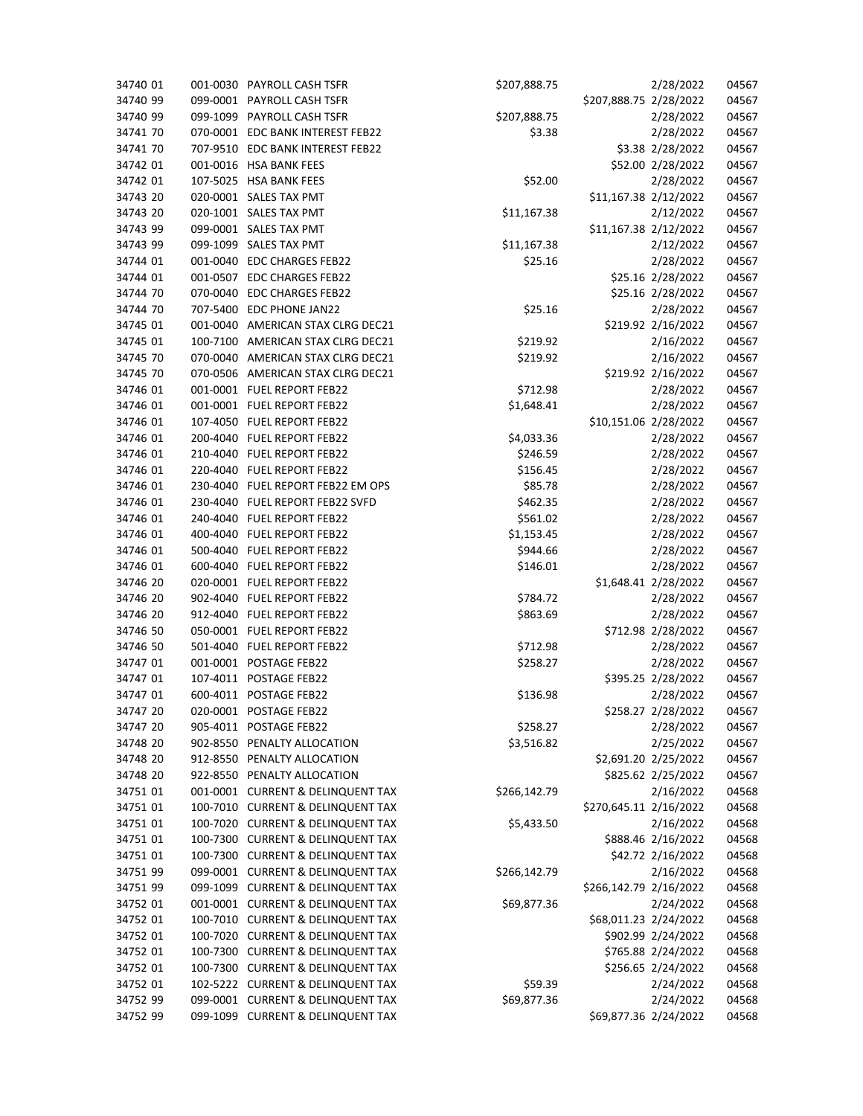| 34740 01 |          | 001-0030 PAYROLL CASH TSFR        | \$207,888.75 |                        | 2/28/2022            | 04567 |
|----------|----------|-----------------------------------|--------------|------------------------|----------------------|-------|
| 34740 99 |          | 099-0001 PAYROLL CASH TSFR        |              | \$207,888.75 2/28/2022 |                      | 04567 |
| 34740 99 |          | 099-1099 PAYROLL CASH TSFR        | \$207,888.75 |                        | 2/28/2022            | 04567 |
| 34741 70 |          | 070-0001 EDC BANK INTEREST FEB22  | \$3.38       |                        | 2/28/2022            | 04567 |
| 34741 70 | 707-9510 | EDC BANK INTEREST FEB22           |              |                        | \$3.38 2/28/2022     | 04567 |
| 34742 01 |          | 001-0016 HSA BANK FEES            |              |                        | \$52.00 2/28/2022    | 04567 |
| 34742 01 |          | 107-5025 HSA BANK FEES            | \$52.00      |                        | 2/28/2022            | 04567 |
| 34743 20 |          | 020-0001 SALES TAX PMT            |              | \$11,167.38 2/12/2022  |                      | 04567 |
| 34743 20 |          | 020-1001 SALES TAX PMT            | \$11,167.38  |                        | 2/12/2022            | 04567 |
| 34743 99 |          | 099-0001 SALES TAX PMT            |              | \$11,167.38 2/12/2022  |                      | 04567 |
| 34743 99 |          | 099-1099 SALES TAX PMT            | \$11,167.38  |                        | 2/12/2022            | 04567 |
| 34744 01 |          | 001-0040 EDC CHARGES FEB22        | \$25.16      |                        | 2/28/2022            | 04567 |
| 34744 01 |          | 001-0507 EDC CHARGES FEB22        |              |                        | \$25.16 2/28/2022    | 04567 |
| 34744 70 |          | 070-0040 EDC CHARGES FEB22        |              |                        | \$25.16 2/28/2022    | 04567 |
| 34744 70 |          | 707-5400 EDC PHONE JAN22          | \$25.16      |                        | 2/28/2022            | 04567 |
| 34745 01 |          | 001-0040 AMERICAN STAX CLRG DEC21 |              |                        | \$219.92 2/16/2022   | 04567 |
| 34745 01 |          | 100-7100 AMERICAN STAX CLRG DEC21 | \$219.92     |                        | 2/16/2022            | 04567 |
| 34745 70 |          | 070-0040 AMERICAN STAX CLRG DEC21 | \$219.92     |                        | 2/16/2022            | 04567 |
| 34745 70 |          | 070-0506 AMERICAN STAX CLRG DEC21 |              |                        | \$219.92 2/16/2022   | 04567 |
| 34746 01 |          | 001-0001 FUEL REPORT FEB22        | \$712.98     |                        | 2/28/2022            | 04567 |
| 34746 01 |          | 001-0001 FUEL REPORT FEB22        | \$1,648.41   |                        | 2/28/2022            | 04567 |
| 34746 01 |          | 107-4050 FUEL REPORT FEB22        |              | \$10,151.06 2/28/2022  |                      | 04567 |
| 34746 01 |          | 200-4040 FUEL REPORT FEB22        | \$4,033.36   |                        | 2/28/2022            | 04567 |
| 34746 01 |          | 210-4040 FUEL REPORT FEB22        | \$246.59     |                        | 2/28/2022            | 04567 |
| 34746 01 |          | 220-4040 FUEL REPORT FEB22        | \$156.45     |                        | 2/28/2022            | 04567 |
| 34746 01 |          | 230-4040 FUEL REPORT FEB22 EM OPS | \$85.78      |                        | 2/28/2022            | 04567 |
| 34746 01 |          | 230-4040 FUEL REPORT FEB22 SVFD   | \$462.35     |                        | 2/28/2022            | 04567 |
| 34746 01 |          | 240-4040 FUEL REPORT FEB22        | \$561.02     |                        | 2/28/2022            | 04567 |
| 34746 01 |          | 400-4040 FUEL REPORT FEB22        | \$1,153.45   |                        | 2/28/2022            | 04567 |
| 34746 01 |          | 500-4040 FUEL REPORT FEB22        | \$944.66     |                        | 2/28/2022            | 04567 |
| 34746 01 |          | 600-4040 FUEL REPORT FEB22        | \$146.01     |                        | 2/28/2022            | 04567 |
| 34746 20 |          | 020-0001 FUEL REPORT FEB22        |              |                        | \$1,648.41 2/28/2022 | 04567 |
| 34746 20 |          | 902-4040 FUEL REPORT FEB22        | \$784.72     |                        | 2/28/2022            | 04567 |
| 34746 20 |          | 912-4040 FUEL REPORT FEB22        | \$863.69     |                        | 2/28/2022            | 04567 |
| 34746 50 |          | 050-0001 FUEL REPORT FEB22        |              |                        | \$712.98 2/28/2022   | 04567 |
| 34746 50 |          | 501-4040 FUEL REPORT FEB22        | \$712.98     |                        | 2/28/2022            | 04567 |
| 34747 01 |          | 001-0001 POSTAGE FEB22            | \$258.27     |                        | 2/28/2022            | 04567 |
| 34747 01 |          | 107-4011 POSTAGE FEB22            |              |                        | \$395.25 2/28/2022   | 04567 |
| 34747 01 |          | 600-4011 POSTAGE FEB22            | \$136.98     |                        | 2/28/2022            | 04567 |
| 34747 20 |          | 020-0001 POSTAGE FEB22            |              |                        | \$258.27 2/28/2022   | 04567 |
| 34747 20 |          | 905-4011 POSTAGE FEB22            | \$258.27     |                        | 2/28/2022            | 04567 |
| 34748 20 |          | 902-8550 PENALTY ALLOCATION       | \$3,516.82   |                        | 2/25/2022            | 04567 |
| 34748 20 |          | 912-8550 PENALTY ALLOCATION       |              | \$2,691.20 2/25/2022   |                      | 04567 |
| 34748 20 |          | 922-8550 PENALTY ALLOCATION       |              |                        | \$825.62 2/25/2022   | 04567 |
| 34751 01 |          | 001-0001 CURRENT & DELINQUENT TAX | \$266,142.79 |                        | 2/16/2022            | 04568 |
| 34751 01 |          | 100-7010 CURRENT & DELINQUENT TAX |              | \$270,645.11 2/16/2022 |                      | 04568 |
| 34751 01 |          | 100-7020 CURRENT & DELINQUENT TAX | \$5,433.50   |                        | 2/16/2022            | 04568 |
| 34751 01 |          | 100-7300 CURRENT & DELINQUENT TAX |              |                        | \$888.46 2/16/2022   | 04568 |
| 34751 01 |          | 100-7300 CURRENT & DELINQUENT TAX |              |                        | \$42.72 2/16/2022    | 04568 |
| 34751 99 |          | 099-0001 CURRENT & DELINQUENT TAX | \$266,142.79 |                        | 2/16/2022            | 04568 |
| 34751 99 |          | 099-1099 CURRENT & DELINQUENT TAX |              | \$266,142.79 2/16/2022 |                      | 04568 |
| 34752 01 |          | 001-0001 CURRENT & DELINQUENT TAX | \$69,877.36  |                        | 2/24/2022            | 04568 |
| 34752 01 |          | 100-7010 CURRENT & DELINQUENT TAX |              | \$68,011.23 2/24/2022  |                      | 04568 |
| 34752 01 |          | 100-7020 CURRENT & DELINQUENT TAX |              |                        | \$902.99 2/24/2022   | 04568 |
| 34752 01 |          | 100-7300 CURRENT & DELINQUENT TAX |              |                        | \$765.88 2/24/2022   | 04568 |
| 34752 01 |          | 100-7300 CURRENT & DELINQUENT TAX |              |                        | \$256.65 2/24/2022   | 04568 |
| 34752 01 |          | 102-5222 CURRENT & DELINQUENT TAX | \$59.39      |                        | 2/24/2022            | 04568 |
| 34752 99 |          | 099-0001 CURRENT & DELINQUENT TAX | \$69,877.36  |                        | 2/24/2022            | 04568 |
| 34752 99 |          | 099-1099 CURRENT & DELINQUENT TAX |              | \$69,877.36 2/24/2022  |                      | 04568 |
|          |          |                                   |              |                        |                      |       |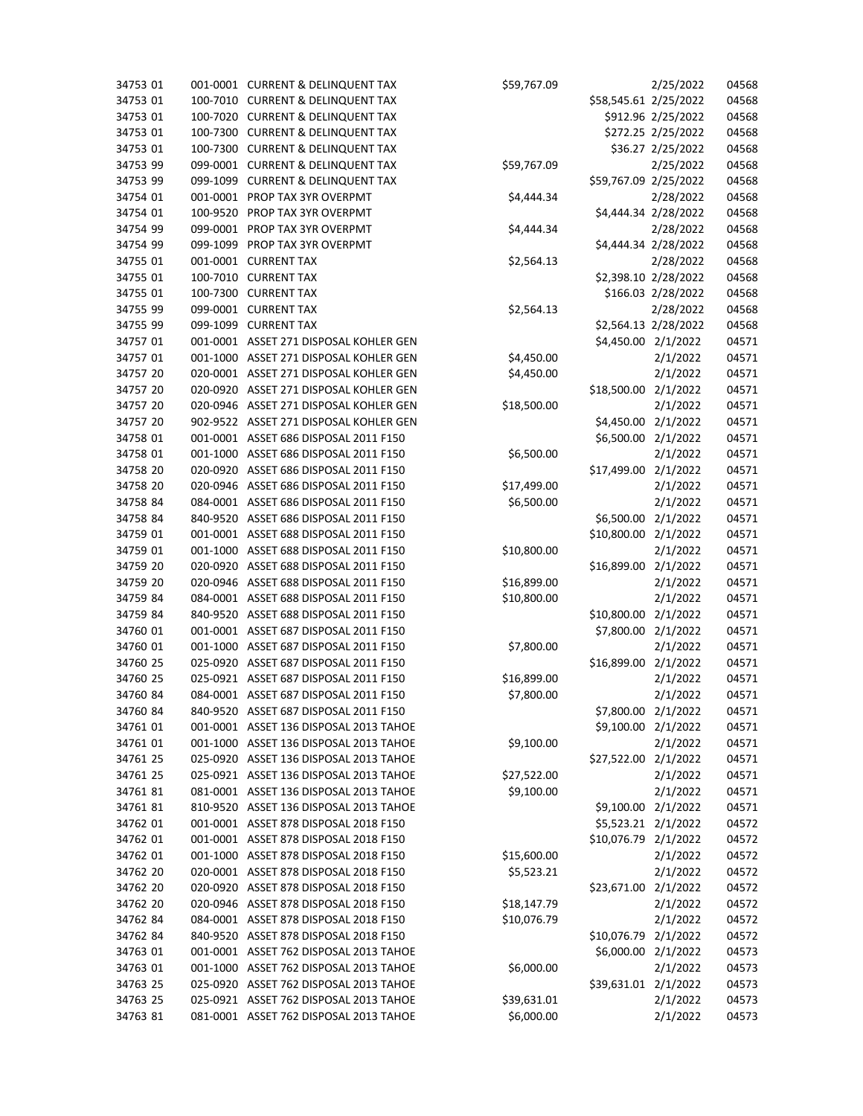| 34753 01 |          | 001-0001 CURRENT & DELINQUENT TAX      | \$59,767.09 |                       | 2/25/2022            | 04568 |
|----------|----------|----------------------------------------|-------------|-----------------------|----------------------|-------|
| 34753 01 | 100-7010 | <b>CURRENT &amp; DELINQUENT TAX</b>    |             | \$58,545.61 2/25/2022 |                      | 04568 |
| 34753 01 | 100-7020 | <b>CURRENT &amp; DELINQUENT TAX</b>    |             |                       | \$912.96 2/25/2022   | 04568 |
| 34753 01 | 100-7300 | <b>CURRENT &amp; DELINQUENT TAX</b>    |             |                       | \$272.25 2/25/2022   | 04568 |
| 34753 01 | 100-7300 | <b>CURRENT &amp; DELINQUENT TAX</b>    |             |                       | \$36.27 2/25/2022    | 04568 |
| 34753 99 | 099-0001 | <b>CURRENT &amp; DELINQUENT TAX</b>    | \$59,767.09 |                       | 2/25/2022            | 04568 |
| 34753 99 | 099-1099 | <b>CURRENT &amp; DELINQUENT TAX</b>    |             | \$59,767.09 2/25/2022 |                      | 04568 |
| 34754 01 |          | 001-0001 PROP TAX 3YR OVERPMT          | \$4,444.34  |                       | 2/28/2022            | 04568 |
| 34754 01 | 100-9520 | PROP TAX 3YR OVERPMT                   |             |                       | \$4,444.34 2/28/2022 | 04568 |
| 34754 99 | 099-0001 | PROP TAX 3YR OVERPMT                   | \$4,444.34  |                       | 2/28/2022            | 04568 |
| 34754 99 | 099-1099 | PROP TAX 3YR OVERPMT                   |             |                       | \$4,444.34 2/28/2022 | 04568 |
| 34755 01 | 001-0001 | <b>CURRENT TAX</b>                     | \$2,564.13  |                       | 2/28/2022            | 04568 |
| 34755 01 | 100-7010 | <b>CURRENT TAX</b>                     |             |                       | \$2,398.10 2/28/2022 | 04568 |
| 34755 01 | 100-7300 | <b>CURRENT TAX</b>                     |             |                       | \$166.03 2/28/2022   | 04568 |
| 34755 99 |          | 099-0001 CURRENT TAX                   | \$2,564.13  |                       | 2/28/2022            | 04568 |
| 34755 99 | 099-1099 | <b>CURRENT TAX</b>                     |             |                       | \$2,564.13 2/28/2022 | 04568 |
| 34757 01 |          | 001-0001 ASSET 271 DISPOSAL KOHLER GEN |             | \$4,450.00 2/1/2022   |                      | 04571 |
| 34757 01 |          | 001-1000 ASSET 271 DISPOSAL KOHLER GEN | \$4,450.00  |                       | 2/1/2022             | 04571 |
| 34757 20 |          | 020-0001 ASSET 271 DISPOSAL KOHLER GEN | \$4,450.00  |                       | 2/1/2022             | 04571 |
| 34757 20 |          | 020-0920 ASSET 271 DISPOSAL KOHLER GEN |             | \$18,500.00 2/1/2022  |                      | 04571 |
| 34757 20 |          | 020-0946 ASSET 271 DISPOSAL KOHLER GEN | \$18,500.00 |                       | 2/1/2022             | 04571 |
| 34757 20 | 902-9522 | ASSET 271 DISPOSAL KOHLER GEN          |             | \$4,450.00 2/1/2022   |                      | 04571 |
| 34758 01 |          | 001-0001 ASSET 686 DISPOSAL 2011 F150  |             | \$6,500.00 2/1/2022   |                      | 04571 |
| 34758 01 | 001-1000 | ASSET 686 DISPOSAL 2011 F150           | \$6,500.00  |                       | 2/1/2022             | 04571 |
| 34758 20 | 020-0920 | ASSET 686 DISPOSAL 2011 F150           |             | \$17,499.00           | 2/1/2022             | 04571 |
| 34758 20 | 020-0946 | ASSET 686 DISPOSAL 2011 F150           | \$17,499.00 |                       | 2/1/2022             | 04571 |
| 34758 84 |          | 084-0001 ASSET 686 DISPOSAL 2011 F150  | \$6,500.00  |                       | 2/1/2022             | 04571 |
| 34758 84 | 840-9520 | ASSET 686 DISPOSAL 2011 F150           |             | \$6,500.00            | 2/1/2022             | 04571 |
| 34759 01 |          | 001-0001 ASSET 688 DISPOSAL 2011 F150  |             | \$10,800.00 2/1/2022  |                      | 04571 |
| 34759 01 |          | 001-1000 ASSET 688 DISPOSAL 2011 F150  | \$10,800.00 |                       | 2/1/2022             | 04571 |
| 34759 20 | 020-0920 | ASSET 688 DISPOSAL 2011 F150           |             | \$16,899.00 2/1/2022  |                      | 04571 |
| 34759 20 | 020-0946 | ASSET 688 DISPOSAL 2011 F150           | \$16,899.00 |                       | 2/1/2022             | 04571 |
| 34759 84 |          | 084-0001 ASSET 688 DISPOSAL 2011 F150  | \$10,800.00 |                       | 2/1/2022             | 04571 |
| 34759 84 |          | 840-9520 ASSET 688 DISPOSAL 2011 F150  |             | \$10,800.00           | 2/1/2022             | 04571 |
| 34760 01 |          | 001-0001 ASSET 687 DISPOSAL 2011 F150  |             | \$7,800.00 2/1/2022   |                      | 04571 |
| 34760 01 | 001-1000 | ASSET 687 DISPOSAL 2011 F150           | \$7,800.00  |                       | 2/1/2022             | 04571 |
| 34760 25 |          | 025-0920 ASSET 687 DISPOSAL 2011 F150  |             | \$16,899.00 2/1/2022  |                      | 04571 |
| 34760 25 |          | 025-0921 ASSET 687 DISPOSAL 2011 F150  | \$16,899.00 |                       | 2/1/2022             | 04571 |
| 34760 84 |          | 084-0001 ASSET 687 DISPOSAL 2011 F150  | \$7,800.00  |                       | 2/1/2022             | 04571 |
|          |          |                                        |             |                       |                      |       |
| 34760 84 |          | 840-9520 ASSET 687 DISPOSAL 2011 F150  |             | \$7,800.00 2/1/2022   |                      | 04571 |
| 34761 01 |          | 001-0001 ASSET 136 DISPOSAL 2013 TAHOE |             | \$9,100.00 2/1/2022   |                      | 04571 |
| 34761 01 |          | 001-1000 ASSET 136 DISPOSAL 2013 TAHOE | \$9,100.00  |                       | 2/1/2022             | 04571 |
| 34761 25 |          | 025-0920 ASSET 136 DISPOSAL 2013 TAHOE |             | \$27,522.00 2/1/2022  |                      | 04571 |
| 34761 25 |          | 025-0921 ASSET 136 DISPOSAL 2013 TAHOE | \$27,522.00 |                       | 2/1/2022             | 04571 |
| 3476181  |          | 081-0001 ASSET 136 DISPOSAL 2013 TAHOE | \$9,100.00  |                       | 2/1/2022             | 04571 |
| 3476181  |          | 810-9520 ASSET 136 DISPOSAL 2013 TAHOE |             | \$9,100.00 2/1/2022   |                      | 04571 |
| 34762 01 |          | 001-0001 ASSET 878 DISPOSAL 2018 F150  |             | \$5,523.21 2/1/2022   |                      | 04572 |
| 34762 01 |          | 001-0001 ASSET 878 DISPOSAL 2018 F150  |             | \$10,076.79 2/1/2022  |                      | 04572 |
| 34762 01 |          | 001-1000 ASSET 878 DISPOSAL 2018 F150  | \$15,600.00 |                       | 2/1/2022             | 04572 |
| 34762 20 |          | 020-0001 ASSET 878 DISPOSAL 2018 F150  | \$5,523.21  |                       | 2/1/2022             | 04572 |
| 34762 20 |          | 020-0920 ASSET 878 DISPOSAL 2018 F150  |             | \$23,671.00 2/1/2022  |                      | 04572 |
| 34762 20 |          | 020-0946 ASSET 878 DISPOSAL 2018 F150  | \$18,147.79 |                       | 2/1/2022             | 04572 |
| 34762 84 |          | 084-0001 ASSET 878 DISPOSAL 2018 F150  | \$10,076.79 |                       | 2/1/2022             | 04572 |
| 34762 84 |          | 840-9520 ASSET 878 DISPOSAL 2018 F150  |             | \$10,076.79 2/1/2022  |                      | 04572 |
| 34763 01 |          | 001-0001 ASSET 762 DISPOSAL 2013 TAHOE |             | \$6,000.00 2/1/2022   |                      | 04573 |
| 34763 01 |          | 001-1000 ASSET 762 DISPOSAL 2013 TAHOE | \$6,000.00  |                       | 2/1/2022             | 04573 |
| 34763 25 |          | 025-0920 ASSET 762 DISPOSAL 2013 TAHOE |             | \$39,631.01 2/1/2022  |                      | 04573 |
| 34763 25 |          | 025-0921 ASSET 762 DISPOSAL 2013 TAHOE | \$39,631.01 |                       | 2/1/2022             | 04573 |
| 34763 81 |          | 081-0001 ASSET 762 DISPOSAL 2013 TAHOE | \$6,000.00  |                       | 2/1/2022             | 04573 |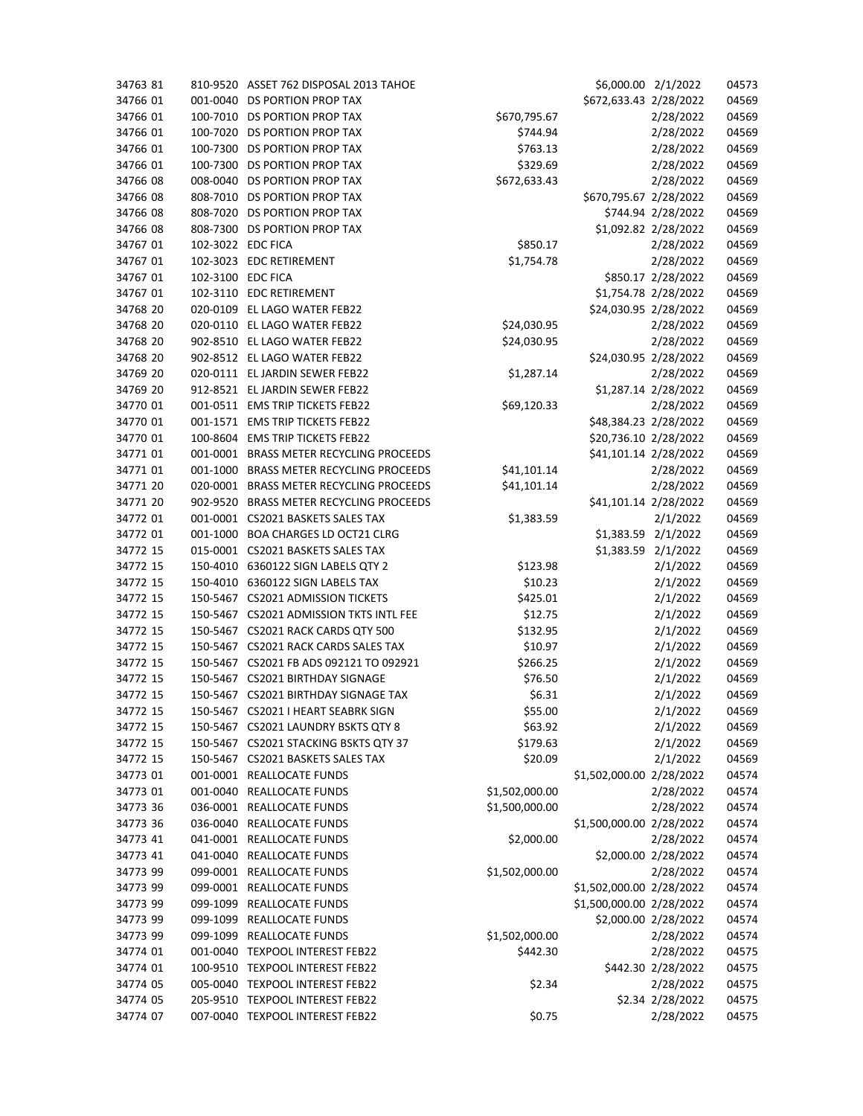| 34763 81 |                   | 810-9520 ASSET 762 DISPOSAL 2013 TAHOE  |                | \$6,000.00 2/1/2022      |                    | 04573 |
|----------|-------------------|-----------------------------------------|----------------|--------------------------|--------------------|-------|
| 34766 01 |                   | 001-0040 DS PORTION PROP TAX            |                | \$672,633.43 2/28/2022   |                    | 04569 |
| 34766 01 |                   | 100-7010 DS PORTION PROP TAX            | \$670,795.67   |                          | 2/28/2022          | 04569 |
| 34766 01 |                   | 100-7020 DS PORTION PROP TAX            | \$744.94       |                          | 2/28/2022          | 04569 |
| 34766 01 | 100-7300          | DS PORTION PROP TAX                     | \$763.13       |                          | 2/28/2022          | 04569 |
| 34766 01 |                   | 100-7300 DS PORTION PROP TAX            | \$329.69       |                          | 2/28/2022          | 04569 |
| 34766 08 |                   | 008-0040 DS PORTION PROP TAX            | \$672,633.43   |                          | 2/28/2022          | 04569 |
| 34766 08 |                   | 808-7010 DS PORTION PROP TAX            |                | \$670,795.67 2/28/2022   |                    | 04569 |
| 34766 08 |                   | 808-7020 DS PORTION PROP TAX            |                |                          | \$744.94 2/28/2022 | 04569 |
| 34766 08 | 808-7300          | DS PORTION PROP TAX                     |                | \$1,092.82 2/28/2022     |                    | 04569 |
| 34767 01 | 102-3022 EDC FICA |                                         | \$850.17       |                          | 2/28/2022          | 04569 |
| 34767 01 |                   | 102-3023 EDC RETIREMENT                 | \$1,754.78     |                          | 2/28/2022          | 04569 |
| 34767 01 | 102-3100 EDC FICA |                                         |                |                          | \$850.17 2/28/2022 | 04569 |
| 34767 01 |                   | 102-3110 EDC RETIREMENT                 |                | \$1,754.78 2/28/2022     |                    | 04569 |
| 34768 20 |                   | 020-0109 EL LAGO WATER FEB22            |                | \$24,030.95 2/28/2022    |                    | 04569 |
| 34768 20 |                   | 020-0110 EL LAGO WATER FEB22            | \$24,030.95    |                          | 2/28/2022          | 04569 |
| 34768 20 |                   | 902-8510 EL LAGO WATER FEB22            | \$24,030.95    |                          | 2/28/2022          | 04569 |
| 34768 20 |                   | 902-8512 EL LAGO WATER FEB22            |                | \$24,030.95 2/28/2022    |                    | 04569 |
| 34769 20 |                   | 020-0111 EL JARDIN SEWER FEB22          |                |                          | 2/28/2022          | 04569 |
| 34769 20 |                   | 912-8521 EL JARDIN SEWER FEB22          | \$1,287.14     | \$1,287.14 2/28/2022     |                    | 04569 |
| 34770 01 |                   |                                         |                |                          |                    |       |
|          |                   | 001-0511 EMS TRIP TICKETS FEB22         | \$69,120.33    |                          | 2/28/2022          | 04569 |
| 34770 01 |                   | 001-1571 EMS TRIP TICKETS FEB22         |                | \$48,384.23 2/28/2022    |                    | 04569 |
| 34770 01 |                   | 100-8604 EMS TRIP TICKETS FEB22         |                | \$20,736.10 2/28/2022    |                    | 04569 |
| 34771 01 |                   | 001-0001 BRASS METER RECYCLING PROCEEDS |                | \$41,101.14 2/28/2022    |                    | 04569 |
| 34771 01 | 001-1000          | BRASS METER RECYCLING PROCEEDS          | \$41,101.14    |                          | 2/28/2022          | 04569 |
| 34771 20 |                   | 020-0001 BRASS METER RECYCLING PROCEEDS | \$41,101.14    |                          | 2/28/2022          | 04569 |
| 34771 20 |                   | 902-9520 BRASS METER RECYCLING PROCEEDS |                | \$41,101.14 2/28/2022    |                    | 04569 |
| 34772 01 |                   | 001-0001 CS2021 BASKETS SALES TAX       | \$1,383.59     |                          | 2/1/2022           | 04569 |
| 34772 01 |                   | 001-1000 BOA CHARGES LD OCT21 CLRG      |                | \$1,383.59 2/1/2022      |                    | 04569 |
| 34772 15 |                   | 015-0001 CS2021 BASKETS SALES TAX       |                | \$1,383.59 2/1/2022      |                    | 04569 |
| 34772 15 | 150-4010          | 6360122 SIGN LABELS QTY 2               | \$123.98       |                          | 2/1/2022           | 04569 |
| 34772 15 |                   | 150-4010 6360122 SIGN LABELS TAX        | \$10.23        |                          | 2/1/2022           | 04569 |
| 34772 15 |                   | 150-5467 CS2021 ADMISSION TICKETS       | \$425.01       |                          | 2/1/2022           | 04569 |
| 34772 15 |                   | 150-5467 CS2021 ADMISSION TKTS INTL FEE | \$12.75        |                          | 2/1/2022           | 04569 |
| 34772 15 |                   | 150-5467 CS2021 RACK CARDS QTY 500      | \$132.95       |                          | 2/1/2022           | 04569 |
| 34772 15 |                   | 150-5467 CS2021 RACK CARDS SALES TAX    | \$10.97        |                          | 2/1/2022           | 04569 |
| 34772 15 |                   | 150-5467 CS2021 FB ADS 092121 TO 092921 | \$266.25       |                          | 2/1/2022           | 04569 |
| 34772 15 |                   | 150-5467 CS2021 BIRTHDAY SIGNAGE        | \$76.50        |                          | 2/1/2022           | 04569 |
| 34772 15 |                   | 150-5467 CS2021 BIRTHDAY SIGNAGE TAX    | \$6.31         |                          | 2/1/2022           | 04569 |
| 34772 15 |                   | 150-5467 CS2021 I HEART SEABRK SIGN     | \$55.00        |                          | 2/1/2022           | 04569 |
| 34772 15 |                   | 150-5467 CS2021 LAUNDRY BSKTS QTY 8     | \$63.92        |                          | 2/1/2022           | 04569 |
| 34772 15 |                   | 150-5467 CS2021 STACKING BSKTS QTY 37   | \$179.63       |                          | 2/1/2022           | 04569 |
| 34772 15 |                   | 150-5467 CS2021 BASKETS SALES TAX       | \$20.09        |                          | 2/1/2022           | 04569 |
| 34773 01 |                   | 001-0001 REALLOCATE FUNDS               |                | \$1,502,000.00 2/28/2022 |                    | 04574 |
| 34773 01 |                   | 001-0040 REALLOCATE FUNDS               | \$1,502,000.00 |                          | 2/28/2022          | 04574 |
| 34773 36 |                   | 036-0001 REALLOCATE FUNDS               | \$1,500,000.00 |                          | 2/28/2022          | 04574 |
| 34773 36 |                   | 036-0040 REALLOCATE FUNDS               |                | \$1,500,000.00 2/28/2022 |                    | 04574 |
| 34773 41 |                   | 041-0001 REALLOCATE FUNDS               | \$2,000.00     |                          | 2/28/2022          | 04574 |
| 34773 41 |                   | 041-0040 REALLOCATE FUNDS               |                | \$2,000.00 2/28/2022     |                    | 04574 |
| 34773 99 |                   | 099-0001 REALLOCATE FUNDS               | \$1,502,000.00 |                          | 2/28/2022          | 04574 |
| 34773 99 |                   | 099-0001 REALLOCATE FUNDS               |                | \$1,502,000.00 2/28/2022 |                    | 04574 |
| 34773 99 | 099-1099          | <b>REALLOCATE FUNDS</b>                 |                | \$1,500,000.00 2/28/2022 |                    | 04574 |
| 34773 99 |                   | 099-1099 REALLOCATE FUNDS               |                | \$2,000.00 2/28/2022     |                    | 04574 |
| 34773 99 | 099-1099          | <b>REALLOCATE FUNDS</b>                 | \$1,502,000.00 |                          | 2/28/2022          | 04574 |
| 34774 01 |                   | 001-0040 TEXPOOL INTEREST FEB22         | \$442.30       |                          | 2/28/2022          | 04575 |
| 34774 01 |                   | 100-9510 TEXPOOL INTEREST FEB22         |                |                          | \$442.30 2/28/2022 | 04575 |
| 34774 05 |                   | 005-0040 TEXPOOL INTEREST FEB22         | \$2.34         |                          | 2/28/2022          | 04575 |
| 34774 05 |                   | 205-9510 TEXPOOL INTEREST FEB22         |                |                          | \$2.34 2/28/2022   | 04575 |
| 34774 07 |                   | 007-0040 TEXPOOL INTEREST FEB22         | \$0.75         |                          | 2/28/2022          | 04575 |